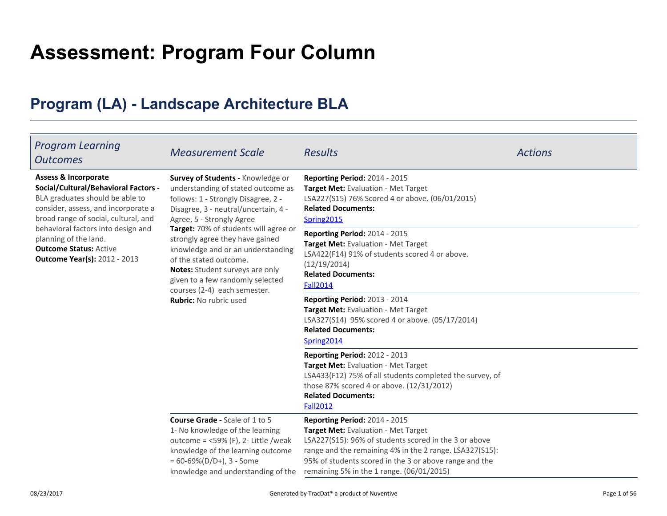# **Assessment: Program Four Column**

## **Program (LA) - Landscape Architecture BLA**

| <b>Program Learning</b><br><b>Outcomes</b>                                                                                                                                                                                                                                                                                       | <b>Measurement Scale</b>                                                                                                                                                                                                                                                                                                                                                                                                                                               | <b>Results</b>                                                                                                                                                                                                                                                                                         | <b>Actions</b> |
|----------------------------------------------------------------------------------------------------------------------------------------------------------------------------------------------------------------------------------------------------------------------------------------------------------------------------------|------------------------------------------------------------------------------------------------------------------------------------------------------------------------------------------------------------------------------------------------------------------------------------------------------------------------------------------------------------------------------------------------------------------------------------------------------------------------|--------------------------------------------------------------------------------------------------------------------------------------------------------------------------------------------------------------------------------------------------------------------------------------------------------|----------------|
| <b>Assess &amp; Incorporate</b><br>Social/Cultural/Behavioral Factors -<br>BLA graduates should be able to<br>consider, assess, and incorporate a<br>broad range of social, cultural, and<br>behavioral factors into design and<br>planning of the land.<br><b>Outcome Status: Active</b><br><b>Outcome Year(s): 2012 - 2013</b> | Survey of Students - Knowledge or<br>understanding of stated outcome as<br>follows: 1 - Strongly Disagree, 2 -<br>Disagree, 3 - neutral/uncertain, 4 -<br>Agree, 5 - Strongly Agree<br>Target: 70% of students will agree or<br>strongly agree they have gained<br>knowledge and or an understanding<br>of the stated outcome.<br>Notes: Student surveys are only<br>given to a few randomly selected<br>courses (2-4) each semester.<br><b>Rubric:</b> No rubric used | Reporting Period: 2014 - 2015<br>Target Met: Evaluation - Met Target<br>LSA227(S15) 76% Scored 4 or above. (06/01/2015)<br><b>Related Documents:</b><br>Spring2015                                                                                                                                     |                |
|                                                                                                                                                                                                                                                                                                                                  |                                                                                                                                                                                                                                                                                                                                                                                                                                                                        | Reporting Period: 2014 - 2015<br>Target Met: Evaluation - Met Target<br>LSA422(F14) 91% of students scored 4 or above.<br>(12/19/2014)<br><b>Related Documents:</b><br><b>Fall2014</b>                                                                                                                 |                |
|                                                                                                                                                                                                                                                                                                                                  |                                                                                                                                                                                                                                                                                                                                                                                                                                                                        | Reporting Period: 2013 - 2014<br>Target Met: Evaluation - Met Target<br>LSA327(S14) 95% scored 4 or above. (05/17/2014)<br><b>Related Documents:</b><br>Spring2014                                                                                                                                     |                |
|                                                                                                                                                                                                                                                                                                                                  |                                                                                                                                                                                                                                                                                                                                                                                                                                                                        | Reporting Period: 2012 - 2013<br>Target Met: Evaluation - Met Target<br>LSA433(F12) 75% of all students completed the survey, of<br>those 87% scored 4 or above. (12/31/2012)<br><b>Related Documents:</b><br><b>Fall2012</b>                                                                          |                |
|                                                                                                                                                                                                                                                                                                                                  | <b>Course Grade - Scale of 1 to 5</b><br>1- No knowledge of the learning<br>outcome = $<$ 59% (F), 2- Little /weak<br>knowledge of the learning outcome<br>$= 60 - 69\% (D/D+), 3 - Some$<br>knowledge and understanding of the                                                                                                                                                                                                                                        | <b>Reporting Period: 2014 - 2015</b><br>Target Met: Evaluation - Met Target<br>LSA227(S15): 96% of students scored in the 3 or above<br>range and the remaining 4% in the 2 range. LSA327(S15):<br>95% of students scored in the 3 or above range and the<br>remaining 5% in the 1 range. (06/01/2015) |                |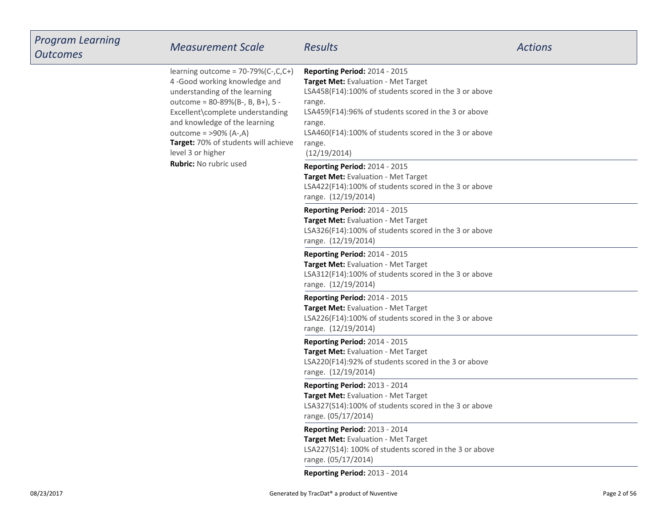| <b>Program Learning</b><br><b>Outcomes</b> | <b>Measurement Scale</b>                                                                                                                                                                                                                                                                                                                  | <b>Results</b>                                                                                                                                                                                                                                                                               | <b>Actions</b> |
|--------------------------------------------|-------------------------------------------------------------------------------------------------------------------------------------------------------------------------------------------------------------------------------------------------------------------------------------------------------------------------------------------|----------------------------------------------------------------------------------------------------------------------------------------------------------------------------------------------------------------------------------------------------------------------------------------------|----------------|
|                                            | learning outcome = $70-79%$ (C-,C,C+)<br>4-Good working knowledge and<br>understanding of the learning<br>outcome = 80-89%(B-, B, B+), 5 -<br>Excellent\complete understanding<br>and knowledge of the learning<br>outcome = $>90\%$ (A-,A)<br>Target: 70% of students will achieve<br>level 3 or higher<br><b>Rubric: No rubric used</b> | Reporting Period: 2014 - 2015<br>Target Met: Evaluation - Met Target<br>LSA458(F14):100% of students scored in the 3 or above<br>range.<br>LSA459(F14):96% of students scored in the 3 or above<br>range.<br>LSA460(F14):100% of students scored in the 3 or above<br>range.<br>(12/19/2014) |                |
|                                            |                                                                                                                                                                                                                                                                                                                                           | <b>Reporting Period: 2014 - 2015</b><br>Target Met: Evaluation - Met Target<br>LSA422(F14):100% of students scored in the 3 or above<br>range. (12/19/2014)                                                                                                                                  |                |
|                                            |                                                                                                                                                                                                                                                                                                                                           | Reporting Period: 2014 - 2015<br>Target Met: Evaluation - Met Target<br>LSA326(F14):100% of students scored in the 3 or above<br>range. (12/19/2014)                                                                                                                                         |                |
|                                            |                                                                                                                                                                                                                                                                                                                                           | Reporting Period: 2014 - 2015<br>Target Met: Evaluation - Met Target<br>LSA312(F14):100% of students scored in the 3 or above<br>range. (12/19/2014)                                                                                                                                         |                |
|                                            |                                                                                                                                                                                                                                                                                                                                           | Reporting Period: 2014 - 2015<br>Target Met: Evaluation - Met Target<br>LSA226(F14):100% of students scored in the 3 or above<br>range. (12/19/2014)                                                                                                                                         |                |
|                                            |                                                                                                                                                                                                                                                                                                                                           | Reporting Period: 2014 - 2015<br>Target Met: Evaluation - Met Target<br>LSA220(F14):92% of students scored in the 3 or above<br>range. (12/19/2014)                                                                                                                                          |                |
|                                            |                                                                                                                                                                                                                                                                                                                                           | Reporting Period: 2013 - 2014<br>Target Met: Evaluation - Met Target<br>LSA327(S14):100% of students scored in the 3 or above<br>range. (05/17/2014)                                                                                                                                         |                |
|                                            |                                                                                                                                                                                                                                                                                                                                           | Reporting Period: 2013 - 2014<br>Target Met: Evaluation - Met Target<br>LSA227(S14): 100% of students scored in the 3 or above<br>range. (05/17/2014)                                                                                                                                        |                |
|                                            |                                                                                                                                                                                                                                                                                                                                           | Reporting Period: 2013 - 2014                                                                                                                                                                                                                                                                |                |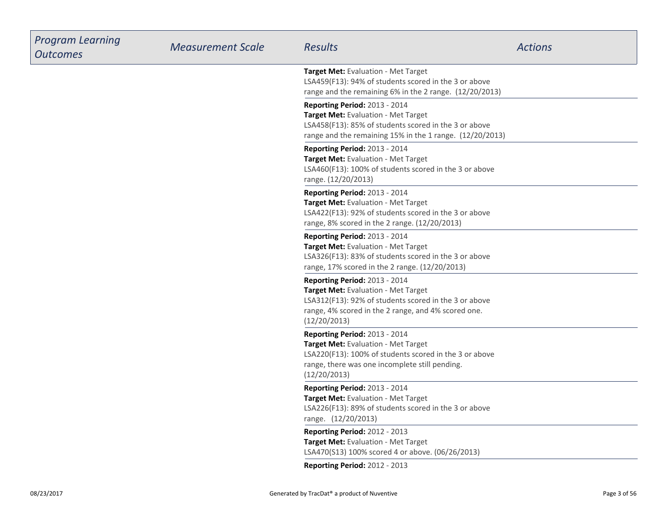| <b>Program Learning</b><br><b>Outcomes</b> | <b>Measurement Scale</b> | <b>Results</b>                                                                                                                                                                                       | <b>Actions</b> |
|--------------------------------------------|--------------------------|------------------------------------------------------------------------------------------------------------------------------------------------------------------------------------------------------|----------------|
|                                            |                          | Target Met: Evaluation - Met Target<br>LSA459(F13): 94% of students scored in the 3 or above<br>range and the remaining 6% in the 2 range. (12/20/2013)                                              |                |
|                                            |                          | <b>Reporting Period: 2013 - 2014</b><br>Target Met: Evaluation - Met Target<br>LSA458(F13): 85% of students scored in the 3 or above<br>range and the remaining 15% in the 1 range. (12/20/2013)     |                |
|                                            |                          | Reporting Period: 2013 - 2014<br>Target Met: Evaluation - Met Target<br>LSA460(F13): 100% of students scored in the 3 or above<br>range. (12/20/2013)                                                |                |
|                                            |                          | Reporting Period: 2013 - 2014<br>Target Met: Evaluation - Met Target<br>LSA422(F13): 92% of students scored in the 3 or above<br>range, 8% scored in the 2 range. (12/20/2013)                       |                |
|                                            |                          | <b>Reporting Period: 2013 - 2014</b><br>Target Met: Evaluation - Met Target<br>LSA326(F13): 83% of students scored in the 3 or above<br>range, 17% scored in the 2 range. (12/20/2013)               |                |
|                                            |                          | Reporting Period: 2013 - 2014<br>Target Met: Evaluation - Met Target<br>LSA312(F13): 92% of students scored in the 3 or above<br>range, 4% scored in the 2 range, and 4% scored one.<br>(12/20/2013) |                |
|                                            |                          | Reporting Period: 2013 - 2014<br>Target Met: Evaluation - Met Target<br>LSA220(F13): 100% of students scored in the 3 or above<br>range, there was one incomplete still pending.<br>(12/20/2013)     |                |
|                                            |                          | Reporting Period: 2013 - 2014<br>Target Met: Evaluation - Met Target<br>LSA226(F13): 89% of students scored in the 3 or above<br>range. (12/20/2013)                                                 |                |
|                                            |                          | <b>Reporting Period: 2012 - 2013</b><br>Target Met: Evaluation - Met Target<br>LSA470(S13) 100% scored 4 or above. (06/26/2013)                                                                      |                |
|                                            |                          | Reporting Period: 2012 - 2013                                                                                                                                                                        |                |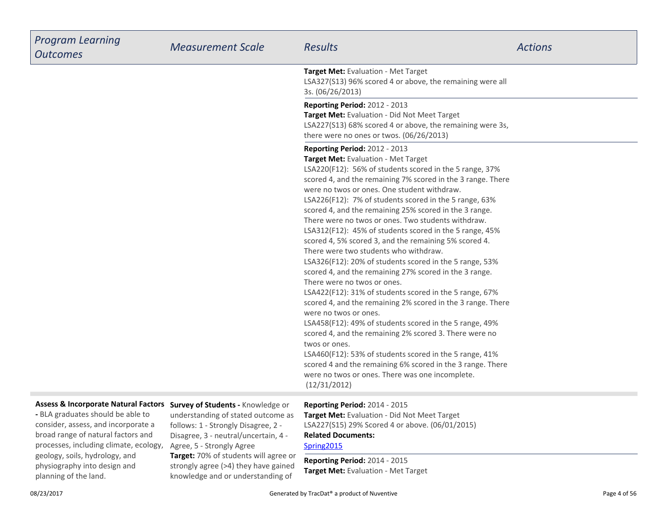| <b>Program Learning</b><br><b>Outcomes</b> | <b>Measurement Scale</b> | <b>Results</b>                                                                                                                                                                                                                                                                                                                                                                                                                                                                                                                                                                                                                                                                                                                                                                                                                                                                                                                                                                                                                                                                                                                                                                                                | <b>Actions</b> |
|--------------------------------------------|--------------------------|---------------------------------------------------------------------------------------------------------------------------------------------------------------------------------------------------------------------------------------------------------------------------------------------------------------------------------------------------------------------------------------------------------------------------------------------------------------------------------------------------------------------------------------------------------------------------------------------------------------------------------------------------------------------------------------------------------------------------------------------------------------------------------------------------------------------------------------------------------------------------------------------------------------------------------------------------------------------------------------------------------------------------------------------------------------------------------------------------------------------------------------------------------------------------------------------------------------|----------------|
|                                            |                          | Target Met: Evaluation - Met Target<br>LSA327(S13) 96% scored 4 or above, the remaining were all<br>3s. (06/26/2013)                                                                                                                                                                                                                                                                                                                                                                                                                                                                                                                                                                                                                                                                                                                                                                                                                                                                                                                                                                                                                                                                                          |                |
|                                            |                          | Reporting Period: 2012 - 2013<br>Target Met: Evaluation - Did Not Meet Target<br>LSA227(S13) 68% scored 4 or above, the remaining were 3s,<br>there were no ones or twos. (06/26/2013)                                                                                                                                                                                                                                                                                                                                                                                                                                                                                                                                                                                                                                                                                                                                                                                                                                                                                                                                                                                                                        |                |
|                                            |                          | Reporting Period: 2012 - 2013<br>Target Met: Evaluation - Met Target<br>LSA220(F12): 56% of students scored in the 5 range, 37%<br>scored 4, and the remaining 7% scored in the 3 range. There<br>were no twos or ones. One student withdraw.<br>LSA226(F12): 7% of students scored in the 5 range, 63%<br>scored 4, and the remaining 25% scored in the 3 range.<br>There were no twos or ones. Two students withdraw.<br>LSA312(F12): 45% of students scored in the 5 range, 45%<br>scored 4, 5% scored 3, and the remaining 5% scored 4.<br>There were two students who withdraw.<br>LSA326(F12): 20% of students scored in the 5 range, 53%<br>scored 4, and the remaining 27% scored in the 3 range.<br>There were no twos or ones.<br>LSA422(F12): 31% of students scored in the 5 range, 67%<br>scored 4, and the remaining 2% scored in the 3 range. There<br>were no twos or ones.<br>LSA458(F12): 49% of students scored in the 5 range, 49%<br>scored 4, and the remaining 2% scored 3. There were no<br>twos or ones.<br>LSA460(F12): 53% of students scored in the 5 range, 41%<br>scored 4 and the remaining 6% scored in the 3 range. There<br>were no twos or ones. There was one incomplete. |                |
| Accocc & Incornarato Natural Factors Cumu  |                          | (12/31/2012)<br>$1.2 - 0.1.3 - 0.010$ $(0.40 - 0.015)$                                                                                                                                                                                                                                                                                                                                                                                                                                                                                                                                                                                                                                                                                                                                                                                                                                                                                                                                                                                                                                                                                                                                                        |                |

#### **Assess & Incorporate Natural Factors Survey of Students -** Knowledge or

**-** BLA graduates should be able to consider, assess, and incorporate a broad range of natural factors and processes, including climate, ecology,geology, soils, hydrology, and physiography into design andplanning of the land.

**Target:** 70% of students will agree or strongly agree (>4) they have gained understanding of stated outcome asfollows: 1 - Strongly Disagree, 2 - Disagree, 3 - neutral/uncertain, 4 -Agree, 5 - Strongly Agree

knowledge and or understanding of

**Related Documents:Reporting Period:** 2014 - 2015 **Target Met:** Evaluation - Did Not Meet TargetLSA227(S15) 29% Scored 4 or above. (06/01/2015)

### [Spring2015](https://esf.tracdat.com:443/tracdat/viewDocument?y=slnn4ivYRxpq)

**Reporting Period:** 2014 - 2015**Target Met:** Evaluation - Met Target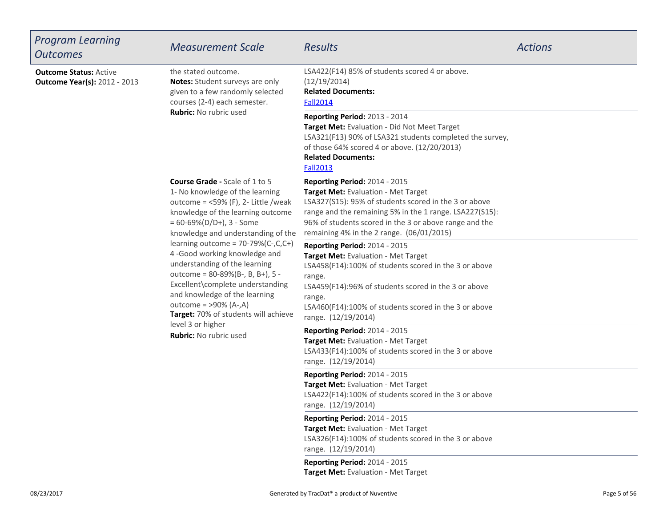| Program Learning<br>Outcomes                                         | <b>Measurement Scale</b>                                                                                                                                                                                                                                                                                                                                                                                                                                                                                                                                                     | Results                                                                                                                                                                                                                                                                                                | <b>Actions</b> |
|----------------------------------------------------------------------|------------------------------------------------------------------------------------------------------------------------------------------------------------------------------------------------------------------------------------------------------------------------------------------------------------------------------------------------------------------------------------------------------------------------------------------------------------------------------------------------------------------------------------------------------------------------------|--------------------------------------------------------------------------------------------------------------------------------------------------------------------------------------------------------------------------------------------------------------------------------------------------------|----------------|
| <b>Outcome Status: Active</b><br><b>Outcome Year(s): 2012 - 2013</b> | the stated outcome.<br>Notes: Student surveys are only<br>given to a few randomly selected<br>courses (2-4) each semester.<br><b>Rubric:</b> No rubric used                                                                                                                                                                                                                                                                                                                                                                                                                  | LSA422(F14) 85% of students scored 4 or above.<br>(12/19/2014)<br><b>Related Documents:</b><br><b>Fall2014</b>                                                                                                                                                                                         |                |
|                                                                      |                                                                                                                                                                                                                                                                                                                                                                                                                                                                                                                                                                              | <b>Reporting Period: 2013 - 2014</b><br>Target Met: Evaluation - Did Not Meet Target<br>LSA321(F13) 90% of LSA321 students completed the survey,<br>of those 64% scored 4 or above. (12/20/2013)<br><b>Related Documents:</b><br><b>Fall2013</b>                                                       |                |
|                                                                      | <b>Course Grade - Scale of 1 to 5</b><br>1- No knowledge of the learning<br>outcome = $<$ 59% (F), 2- Little /weak<br>knowledge of the learning outcome<br>$= 60 - 69\% (D/D+), 3 - Some$<br>knowledge and understanding of the<br>learning outcome = $70-79%$ (C-,C,C+)<br>4-Good working knowledge and<br>understanding of the learning<br>outcome = 80-89%(B-, B, B+), 5 -<br>Excellent\complete understanding<br>and knowledge of the learning<br>outcome = $>90\%$ (A-,A)<br>Target: 70% of students will achieve<br>level 3 or higher<br><b>Rubric:</b> No rubric used | <b>Reporting Period: 2014 - 2015</b><br>Target Met: Evaluation - Met Target<br>LSA327(S15): 95% of students scored in the 3 or above<br>range and the remaining 5% in the 1 range. LSA227(S15):<br>96% of students scored in the 3 or above range and the<br>remaining 4% in the 2 range. (06/01/2015) |                |
|                                                                      |                                                                                                                                                                                                                                                                                                                                                                                                                                                                                                                                                                              | Reporting Period: 2014 - 2015<br>Target Met: Evaluation - Met Target<br>LSA458(F14):100% of students scored in the 3 or above<br>range.<br>LSA459(F14):96% of students scored in the 3 or above<br>range.<br>LSA460(F14):100% of students scored in the 3 or above<br>range. (12/19/2014)              |                |
|                                                                      |                                                                                                                                                                                                                                                                                                                                                                                                                                                                                                                                                                              | <b>Reporting Period: 2014 - 2015</b><br>Target Met: Evaluation - Met Target<br>LSA433(F14):100% of students scored in the 3 or above<br>range. (12/19/2014)                                                                                                                                            |                |
|                                                                      |                                                                                                                                                                                                                                                                                                                                                                                                                                                                                                                                                                              | <b>Reporting Period: 2014 - 2015</b><br>Target Met: Evaluation - Met Target<br>LSA422(F14):100% of students scored in the 3 or above<br>range. (12/19/2014)                                                                                                                                            |                |
|                                                                      |                                                                                                                                                                                                                                                                                                                                                                                                                                                                                                                                                                              | Reporting Period: 2014 - 2015<br>Target Met: Evaluation - Met Target<br>LSA326(F14):100% of students scored in the 3 or above<br>range. (12/19/2014)                                                                                                                                                   |                |
|                                                                      |                                                                                                                                                                                                                                                                                                                                                                                                                                                                                                                                                                              | Reporting Period: 2014 - 2015<br>Target Met: Evaluation - Met Target                                                                                                                                                                                                                                   |                |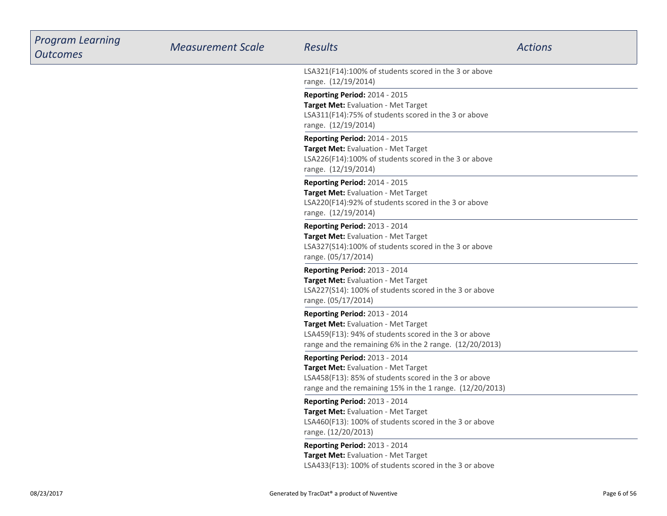| <b>Program Learning</b><br><b>Outcomes</b> | <b>Measurement Scale</b> | <b>Results</b>                                                                                                                                                                                   | <b>Actions</b> |
|--------------------------------------------|--------------------------|--------------------------------------------------------------------------------------------------------------------------------------------------------------------------------------------------|----------------|
|                                            |                          | LSA321(F14):100% of students scored in the 3 or above<br>range. (12/19/2014)                                                                                                                     |                |
|                                            |                          | Reporting Period: 2014 - 2015<br>Target Met: Evaluation - Met Target<br>LSA311(F14):75% of students scored in the 3 or above<br>range. (12/19/2014)                                              |                |
|                                            |                          | Reporting Period: 2014 - 2015<br>Target Met: Evaluation - Met Target<br>LSA226(F14):100% of students scored in the 3 or above<br>range. (12/19/2014)                                             |                |
|                                            |                          | Reporting Period: 2014 - 2015<br>Target Met: Evaluation - Met Target<br>LSA220(F14):92% of students scored in the 3 or above<br>range. (12/19/2014)                                              |                |
|                                            |                          | Reporting Period: 2013 - 2014<br>Target Met: Evaluation - Met Target<br>LSA327(S14):100% of students scored in the 3 or above<br>range. (05/17/2014)                                             |                |
|                                            |                          | <b>Reporting Period: 2013 - 2014</b><br>Target Met: Evaluation - Met Target<br>LSA227(S14): 100% of students scored in the 3 or above<br>range. (05/17/2014)                                     |                |
|                                            |                          | <b>Reporting Period: 2013 - 2014</b><br>Target Met: Evaluation - Met Target<br>LSA459(F13): 94% of students scored in the 3 or above<br>range and the remaining 6% in the 2 range. (12/20/2013)  |                |
|                                            |                          | <b>Reporting Period: 2013 - 2014</b><br>Target Met: Evaluation - Met Target<br>LSA458(F13): 85% of students scored in the 3 or above<br>range and the remaining 15% in the 1 range. (12/20/2013) |                |
|                                            |                          | Reporting Period: 2013 - 2014<br>Target Met: Evaluation - Met Target<br>LSA460(F13): 100% of students scored in the 3 or above<br>range. (12/20/2013)                                            |                |
|                                            |                          | Reporting Period: 2013 - 2014<br>Target Met: Evaluation - Met Target<br>LSA433(F13): 100% of students scored in the 3 or above                                                                   |                |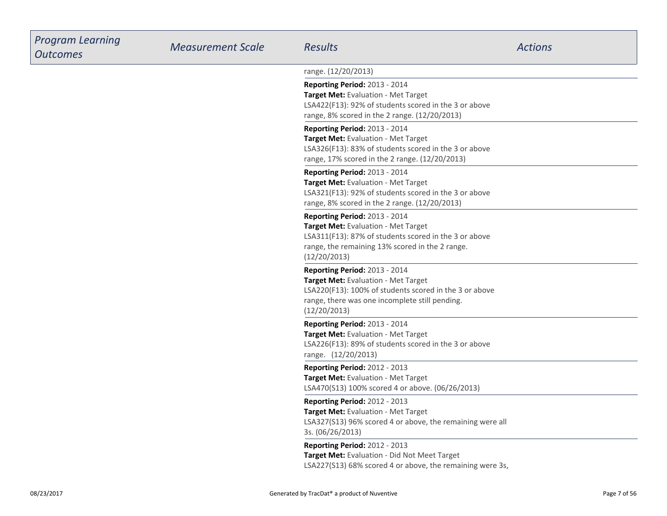| <b>Program Learning</b><br><b>Outcomes</b> | <b>Measurement Scale</b> | <b>Results</b>                                                                                                                                                                                   | <b>Actions</b> |
|--------------------------------------------|--------------------------|--------------------------------------------------------------------------------------------------------------------------------------------------------------------------------------------------|----------------|
|                                            |                          | range. (12/20/2013)                                                                                                                                                                              |                |
|                                            |                          | Reporting Period: 2013 - 2014<br>Target Met: Evaluation - Met Target<br>LSA422(F13): 92% of students scored in the 3 or above<br>range, 8% scored in the 2 range. (12/20/2013)                   |                |
|                                            |                          | Reporting Period: 2013 - 2014<br>Target Met: Evaluation - Met Target<br>LSA326(F13): 83% of students scored in the 3 or above<br>range, 17% scored in the 2 range. (12/20/2013)                  |                |
|                                            |                          | Reporting Period: 2013 - 2014<br>Target Met: Evaluation - Met Target<br>LSA321(F13): 92% of students scored in the 3 or above<br>range, 8% scored in the 2 range. (12/20/2013)                   |                |
|                                            |                          | Reporting Period: 2013 - 2014<br>Target Met: Evaluation - Met Target<br>LSA311(F13): 87% of students scored in the 3 or above<br>range, the remaining 13% scored in the 2 range.<br>(12/20/2013) |                |
|                                            |                          | Reporting Period: 2013 - 2014<br>Target Met: Evaluation - Met Target<br>LSA220(F13): 100% of students scored in the 3 or above<br>range, there was one incomplete still pending.<br>(12/20/2013) |                |
|                                            |                          | Reporting Period: 2013 - 2014<br>Target Met: Evaluation - Met Target<br>LSA226(F13): 89% of students scored in the 3 or above<br>range. (12/20/2013)                                             |                |
|                                            |                          | Reporting Period: 2012 - 2013<br>Target Met: Evaluation - Met Target<br>LSA470(S13) 100% scored 4 or above. (06/26/2013)                                                                         |                |
|                                            |                          | Reporting Period: 2012 - 2013<br>Target Met: Evaluation - Met Target<br>LSA327(S13) 96% scored 4 or above, the remaining were all<br>3s. (06/26/2013)                                            |                |
|                                            |                          | Reporting Period: 2012 - 2013<br>Target Met: Evaluation - Did Not Meet Target<br>LSA227(S13) 68% scored 4 or above, the remaining were 3s,                                                       |                |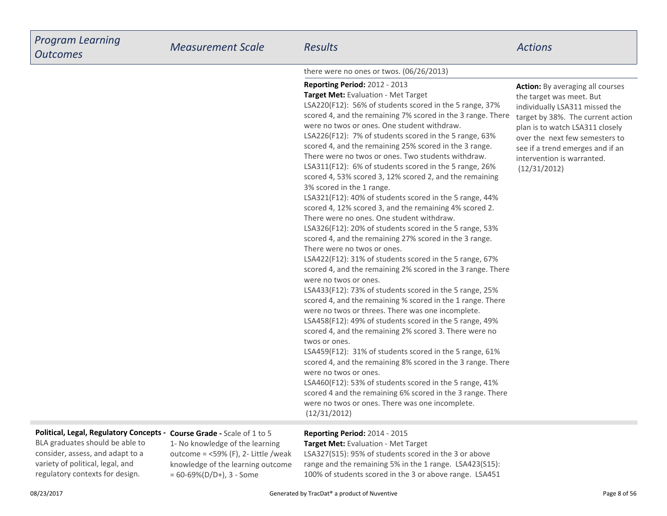| <b>Program Learning</b><br><b>Outcomes</b> | <b>Measurement Scale</b>                                               | <b>Results</b>                                                                                                                                                                                                                                                                                                                                                                                                                                                                                                                                                                                                                                                                                                                                                                                                                                                                                                                                                                                                                                                                                                                                                                                                                                                                                                                                                                                                                                                                                                                                                                                                                                                                                                        | <b>Actions</b>                                                                                                                                                                                                                                                                                    |
|--------------------------------------------|------------------------------------------------------------------------|-----------------------------------------------------------------------------------------------------------------------------------------------------------------------------------------------------------------------------------------------------------------------------------------------------------------------------------------------------------------------------------------------------------------------------------------------------------------------------------------------------------------------------------------------------------------------------------------------------------------------------------------------------------------------------------------------------------------------------------------------------------------------------------------------------------------------------------------------------------------------------------------------------------------------------------------------------------------------------------------------------------------------------------------------------------------------------------------------------------------------------------------------------------------------------------------------------------------------------------------------------------------------------------------------------------------------------------------------------------------------------------------------------------------------------------------------------------------------------------------------------------------------------------------------------------------------------------------------------------------------------------------------------------------------------------------------------------------------|---------------------------------------------------------------------------------------------------------------------------------------------------------------------------------------------------------------------------------------------------------------------------------------------------|
|                                            |                                                                        | there were no ones or twos. (06/26/2013)                                                                                                                                                                                                                                                                                                                                                                                                                                                                                                                                                                                                                                                                                                                                                                                                                                                                                                                                                                                                                                                                                                                                                                                                                                                                                                                                                                                                                                                                                                                                                                                                                                                                              |                                                                                                                                                                                                                                                                                                   |
|                                            |                                                                        | Reporting Period: 2012 - 2013<br>Target Met: Evaluation - Met Target<br>LSA220(F12): 56% of students scored in the 5 range, 37%<br>scored 4, and the remaining 7% scored in the 3 range. There<br>were no twos or ones. One student withdraw.<br>LSA226(F12): 7% of students scored in the 5 range, 63%<br>scored 4, and the remaining 25% scored in the 3 range.<br>There were no twos or ones. Two students withdraw.<br>LSA311(F12): 6% of students scored in the 5 range, 26%<br>scored 4, 53% scored 3, 12% scored 2, and the remaining<br>3% scored in the 1 range.<br>LSA321(F12): 40% of students scored in the 5 range, 44%<br>scored 4, 12% scored 3, and the remaining 4% scored 2.<br>There were no ones. One student withdraw.<br>LSA326(F12): 20% of students scored in the 5 range, 53%<br>scored 4, and the remaining 27% scored in the 3 range.<br>There were no twos or ones.<br>LSA422(F12): 31% of students scored in the 5 range, 67%<br>scored 4, and the remaining 2% scored in the 3 range. There<br>were no twos or ones.<br>LSA433(F12): 73% of students scored in the 5 range, 25%<br>scored 4, and the remaining % scored in the 1 range. There<br>were no twos or threes. There was one incomplete.<br>LSA458(F12): 49% of students scored in the 5 range, 49%<br>scored 4, and the remaining 2% scored 3. There were no<br>twos or ones.<br>LSA459(F12): 31% of students scored in the 5 range, 61%<br>scored 4, and the remaining 8% scored in the 3 range. There<br>were no twos or ones.<br>LSA460(F12): 53% of students scored in the 5 range, 41%<br>scored 4 and the remaining 6% scored in the 3 range. There<br>were no twos or ones. There was one incomplete.<br>(12/31/2012) | <b>Action:</b> By averaging all courses<br>the target was meet. But<br>individually LSA311 missed the<br>target by 38%. The current action<br>plan is to watch LSA311 closely<br>over the next few semesters to<br>see if a trend emerges and if an<br>intervention is warranted.<br>(12/31/2012) |
|                                            | Political, Legal, Regulatory Concepts - Course Grade - Scale of 1 to 5 | <b>Reporting Period: 2014 - 2015</b>                                                                                                                                                                                                                                                                                                                                                                                                                                                                                                                                                                                                                                                                                                                                                                                                                                                                                                                                                                                                                                                                                                                                                                                                                                                                                                                                                                                                                                                                                                                                                                                                                                                                                  |                                                                                                                                                                                                                                                                                                   |

BLA graduates should be able to consider, assess, and adapt to avariety of political, legal, andregulatory contexts for design.

 1- No knowledge of the learning outcome = <59% (F), 2- Little /weak knowledge of the learning outcome= 60-69%(D/D+), 3 - Some

**Reporting Period:** 2014 - 2015

 **Target Met:** Evaluation - Met Target LSA327(S15): 95% of students scored in the 3 or above range and the remaining 5% in the 1 range. LSA423(S15):100% of students scored in the 3 or above range. LSA451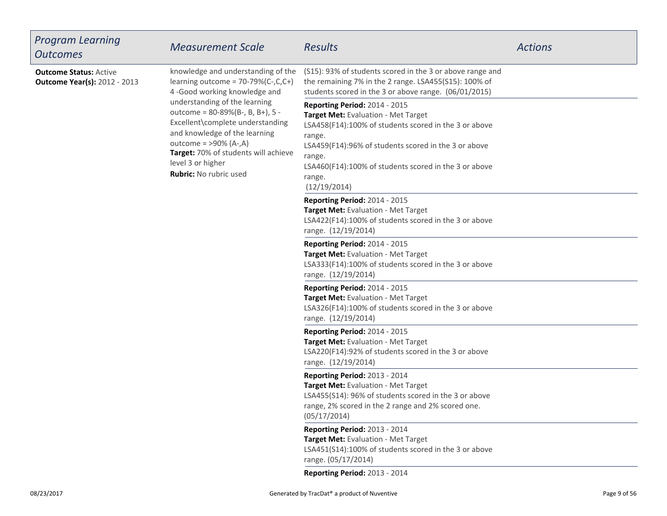| <b>Program Learning</b><br><b>Outcomes</b>                           | <b>Measurement Scale</b>                                                                                                                                                                                                                                                                                                                                                  | <b>Results</b>                                                                                                                                                                                                                                                                               | <b>Actions</b> |
|----------------------------------------------------------------------|---------------------------------------------------------------------------------------------------------------------------------------------------------------------------------------------------------------------------------------------------------------------------------------------------------------------------------------------------------------------------|----------------------------------------------------------------------------------------------------------------------------------------------------------------------------------------------------------------------------------------------------------------------------------------------|----------------|
| <b>Outcome Status: Active</b><br><b>Outcome Year(s): 2012 - 2013</b> | knowledge and understanding of the<br>learning outcome = $70-79\%$ (C-,C,C+)<br>4-Good working knowledge and<br>understanding of the learning<br>outcome = 80-89%(B-, B, B+), 5 -<br>Excellent\complete understanding<br>and knowledge of the learning<br>outcome = $>90\%$ (A-,A)<br>Target: 70% of students will achieve<br>level 3 or higher<br>Rubric: No rubric used | (S15): 93% of students scored in the 3 or above range and<br>the remaining 7% in the 2 range. LSA455(S15): 100% of<br>students scored in the 3 or above range. (06/01/2015)                                                                                                                  |                |
|                                                                      |                                                                                                                                                                                                                                                                                                                                                                           | Reporting Period: 2014 - 2015<br>Target Met: Evaluation - Met Target<br>LSA458(F14):100% of students scored in the 3 or above<br>range.<br>LSA459(F14):96% of students scored in the 3 or above<br>range.<br>LSA460(F14):100% of students scored in the 3 or above<br>range.<br>(12/19/2014) |                |
|                                                                      |                                                                                                                                                                                                                                                                                                                                                                           | Reporting Period: 2014 - 2015<br>Target Met: Evaluation - Met Target<br>LSA422(F14):100% of students scored in the 3 or above<br>range. (12/19/2014)                                                                                                                                         |                |
|                                                                      |                                                                                                                                                                                                                                                                                                                                                                           | Reporting Period: 2014 - 2015<br>Target Met: Evaluation - Met Target<br>LSA333(F14):100% of students scored in the 3 or above<br>range. (12/19/2014)                                                                                                                                         |                |
|                                                                      |                                                                                                                                                                                                                                                                                                                                                                           | Reporting Period: 2014 - 2015<br>Target Met: Evaluation - Met Target<br>LSA326(F14):100% of students scored in the 3 or above<br>range. (12/19/2014)                                                                                                                                         |                |
|                                                                      |                                                                                                                                                                                                                                                                                                                                                                           | Reporting Period: 2014 - 2015<br>Target Met: Evaluation - Met Target<br>LSA220(F14):92% of students scored in the 3 or above<br>range. (12/19/2014)                                                                                                                                          |                |
|                                                                      |                                                                                                                                                                                                                                                                                                                                                                           | Reporting Period: 2013 - 2014<br>Target Met: Evaluation - Met Target<br>LSA455(S14): 96% of students scored in the 3 or above<br>range, 2% scored in the 2 range and 2% scored one.<br>(05/17/2014)                                                                                          |                |
|                                                                      |                                                                                                                                                                                                                                                                                                                                                                           | Reporting Period: 2013 - 2014<br>Target Met: Evaluation - Met Target<br>LSA451(S14):100% of students scored in the 3 or above<br>range. (05/17/2014)                                                                                                                                         |                |
|                                                                      |                                                                                                                                                                                                                                                                                                                                                                           | Reporting Period: 2013 - 2014                                                                                                                                                                                                                                                                |                |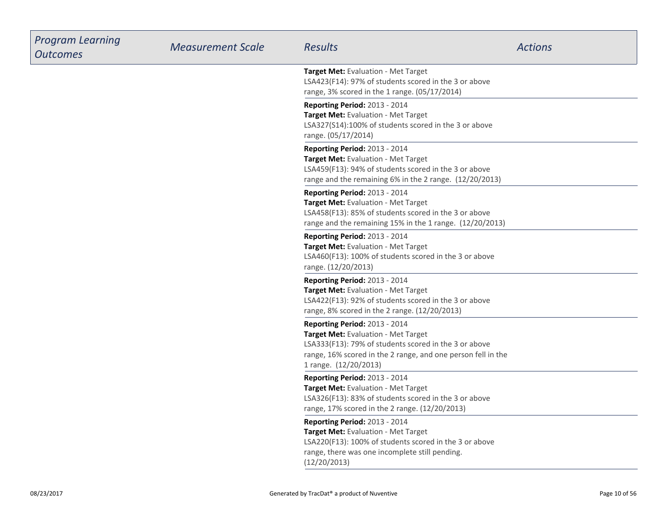| <b>Program Learning</b><br><b>Outcomes</b> | <b>Measurement Scale</b> | <b>Results</b>                                                                                                                                                                                                         | <b>Actions</b> |
|--------------------------------------------|--------------------------|------------------------------------------------------------------------------------------------------------------------------------------------------------------------------------------------------------------------|----------------|
|                                            |                          | Target Met: Evaluation - Met Target<br>LSA423(F14): 97% of students scored in the 3 or above<br>range, 3% scored in the 1 range. (05/17/2014)                                                                          |                |
|                                            |                          | Reporting Period: 2013 - 2014<br>Target Met: Evaluation - Met Target<br>LSA327(S14):100% of students scored in the 3 or above<br>range. (05/17/2014)                                                                   |                |
|                                            |                          | Reporting Period: 2013 - 2014<br>Target Met: Evaluation - Met Target<br>LSA459(F13): 94% of students scored in the 3 or above<br>range and the remaining 6% in the 2 range. (12/20/2013)                               |                |
|                                            |                          | Reporting Period: 2013 - 2014<br>Target Met: Evaluation - Met Target<br>LSA458(F13): 85% of students scored in the 3 or above<br>range and the remaining 15% in the 1 range. (12/20/2013)                              |                |
|                                            |                          | Reporting Period: 2013 - 2014<br>Target Met: Evaluation - Met Target<br>LSA460(F13): 100% of students scored in the 3 or above<br>range. (12/20/2013)                                                                  |                |
|                                            |                          | Reporting Period: 2013 - 2014<br>Target Met: Evaluation - Met Target<br>LSA422(F13): 92% of students scored in the 3 or above<br>range, 8% scored in the 2 range. (12/20/2013)                                         |                |
|                                            |                          | Reporting Period: 2013 - 2014<br>Target Met: Evaluation - Met Target<br>LSA333(F13): 79% of students scored in the 3 or above<br>range, 16% scored in the 2 range, and one person fell in the<br>1 range. (12/20/2013) |                |
|                                            |                          | Reporting Period: 2013 - 2014<br>Target Met: Evaluation - Met Target<br>LSA326(F13): 83% of students scored in the 3 or above<br>range, 17% scored in the 2 range. (12/20/2013)                                        |                |
|                                            |                          | Reporting Period: 2013 - 2014<br>Target Met: Evaluation - Met Target<br>LSA220(F13): 100% of students scored in the 3 or above<br>range, there was one incomplete still pending.<br>(12/20/2013)                       |                |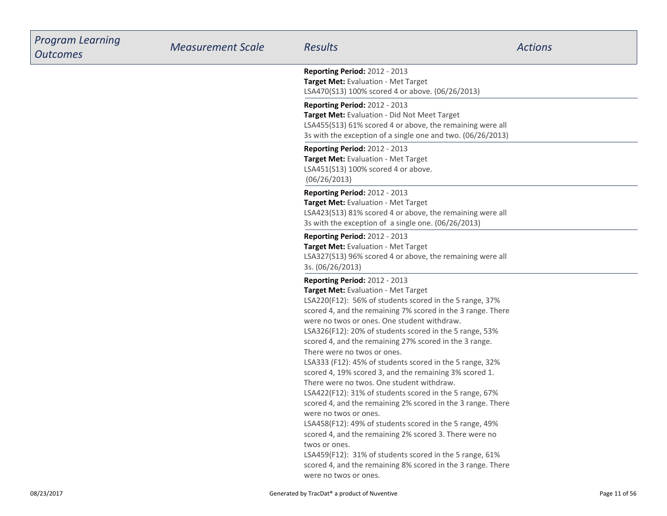| <b>Program Learning</b><br><b>Outcomes</b> | <b>Measurement Scale</b> | <b>Results</b>                                                                                                                                                                                                                                                                                                                                                                                                                                                                                                                                                                                                                                                                                                                                                                                                                                                                                                                                                                                                          | <b>Actions</b> |
|--------------------------------------------|--------------------------|-------------------------------------------------------------------------------------------------------------------------------------------------------------------------------------------------------------------------------------------------------------------------------------------------------------------------------------------------------------------------------------------------------------------------------------------------------------------------------------------------------------------------------------------------------------------------------------------------------------------------------------------------------------------------------------------------------------------------------------------------------------------------------------------------------------------------------------------------------------------------------------------------------------------------------------------------------------------------------------------------------------------------|----------------|
|                                            |                          | <b>Reporting Period: 2012 - 2013</b><br>Target Met: Evaluation - Met Target<br>LSA470(S13) 100% scored 4 or above. (06/26/2013)                                                                                                                                                                                                                                                                                                                                                                                                                                                                                                                                                                                                                                                                                                                                                                                                                                                                                         |                |
|                                            |                          | <b>Reporting Period: 2012 - 2013</b><br>Target Met: Evaluation - Did Not Meet Target<br>LSA455(S13) 61% scored 4 or above, the remaining were all<br>3s with the exception of a single one and two. (06/26/2013)                                                                                                                                                                                                                                                                                                                                                                                                                                                                                                                                                                                                                                                                                                                                                                                                        |                |
|                                            |                          | Reporting Period: 2012 - 2013<br>Target Met: Evaluation - Met Target<br>LSA451(S13) 100% scored 4 or above.<br>(06/26/2013)                                                                                                                                                                                                                                                                                                                                                                                                                                                                                                                                                                                                                                                                                                                                                                                                                                                                                             |                |
|                                            |                          | <b>Reporting Period: 2012 - 2013</b><br>Target Met: Evaluation - Met Target<br>LSA423(S13) 81% scored 4 or above, the remaining were all<br>3s with the exception of a single one. (06/26/2013)                                                                                                                                                                                                                                                                                                                                                                                                                                                                                                                                                                                                                                                                                                                                                                                                                         |                |
|                                            |                          | <b>Reporting Period: 2012 - 2013</b><br>Target Met: Evaluation - Met Target<br>LSA327(S13) 96% scored 4 or above, the remaining were all<br>3s. (06/26/2013)                                                                                                                                                                                                                                                                                                                                                                                                                                                                                                                                                                                                                                                                                                                                                                                                                                                            |                |
|                                            |                          | <b>Reporting Period: 2012 - 2013</b><br>Target Met: Evaluation - Met Target<br>LSA220(F12): 56% of students scored in the 5 range, 37%<br>scored 4, and the remaining 7% scored in the 3 range. There<br>were no twos or ones. One student withdraw.<br>LSA326(F12): 20% of students scored in the 5 range, 53%<br>scored 4, and the remaining 27% scored in the 3 range.<br>There were no twos or ones.<br>LSA333 (F12): 45% of students scored in the 5 range, 32%<br>scored 4, 19% scored 3, and the remaining 3% scored 1.<br>There were no twos. One student withdraw.<br>LSA422(F12): 31% of students scored in the 5 range, 67%<br>scored 4, and the remaining 2% scored in the 3 range. There<br>were no twos or ones.<br>LSA458(F12): 49% of students scored in the 5 range, 49%<br>scored 4, and the remaining 2% scored 3. There were no<br>twos or ones.<br>LSA459(F12): 31% of students scored in the 5 range, 61%<br>scored 4, and the remaining 8% scored in the 3 range. There<br>were no twos or ones. |                |
| 08/23/2017                                 |                          | Generated by TracDat® a product of Nuventive                                                                                                                                                                                                                                                                                                                                                                                                                                                                                                                                                                                                                                                                                                                                                                                                                                                                                                                                                                            | Page 11 of 56  |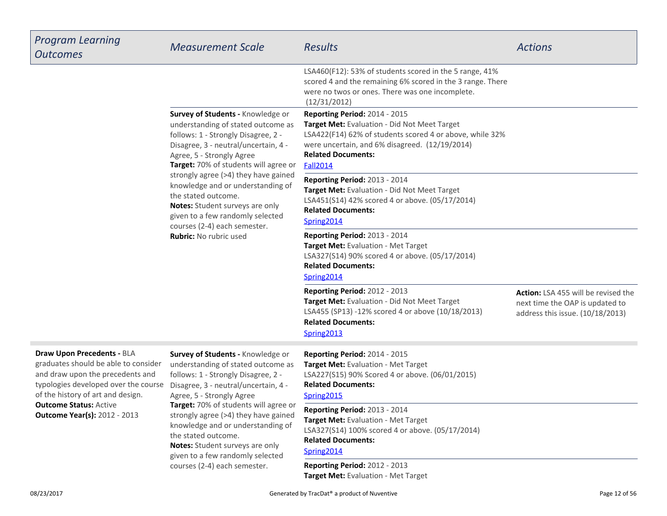| <b>Program Learning</b><br><b>Outcomes</b>                                                                                                                                                                                                                         | <b>Measurement Scale</b>                                                                                                                                                                                                                                                                                                                                                                                                                                                 | Results                                                                                                                                                                                                                                            | <b>Actions</b>                                                                                                    |
|--------------------------------------------------------------------------------------------------------------------------------------------------------------------------------------------------------------------------------------------------------------------|--------------------------------------------------------------------------------------------------------------------------------------------------------------------------------------------------------------------------------------------------------------------------------------------------------------------------------------------------------------------------------------------------------------------------------------------------------------------------|----------------------------------------------------------------------------------------------------------------------------------------------------------------------------------------------------------------------------------------------------|-------------------------------------------------------------------------------------------------------------------|
|                                                                                                                                                                                                                                                                    |                                                                                                                                                                                                                                                                                                                                                                                                                                                                          | LSA460(F12): 53% of students scored in the 5 range, 41%<br>scored 4 and the remaining 6% scored in the 3 range. There<br>were no twos or ones. There was one incomplete.<br>(12/31/2012)                                                           |                                                                                                                   |
|                                                                                                                                                                                                                                                                    | Survey of Students - Knowledge or<br>understanding of stated outcome as<br>follows: 1 - Strongly Disagree, 2 -<br>Disagree, 3 - neutral/uncertain, 4 -<br>Agree, 5 - Strongly Agree<br>Target: 70% of students will agree or<br>strongly agree (>4) they have gained<br>knowledge and or understanding of<br>the stated outcome.<br>Notes: Student surveys are only<br>given to a few randomly selected<br>courses (2-4) each semester.<br><b>Rubric:</b> No rubric used | <b>Reporting Period: 2014 - 2015</b><br>Target Met: Evaluation - Did Not Meet Target<br>LSA422(F14) 62% of students scored 4 or above, while 32%<br>were uncertain, and 6% disagreed. (12/19/2014)<br><b>Related Documents:</b><br><b>Fall2014</b> |                                                                                                                   |
|                                                                                                                                                                                                                                                                    |                                                                                                                                                                                                                                                                                                                                                                                                                                                                          | Reporting Period: 2013 - 2014<br>Target Met: Evaluation - Did Not Meet Target<br>LSA451(S14) 42% scored 4 or above. (05/17/2014)<br><b>Related Documents:</b><br>Spring2014                                                                        |                                                                                                                   |
|                                                                                                                                                                                                                                                                    |                                                                                                                                                                                                                                                                                                                                                                                                                                                                          | <b>Reporting Period: 2013 - 2014</b><br>Target Met: Evaluation - Met Target<br>LSA327(S14) 90% scored 4 or above. (05/17/2014)<br><b>Related Documents:</b><br>Spring2014                                                                          |                                                                                                                   |
|                                                                                                                                                                                                                                                                    |                                                                                                                                                                                                                                                                                                                                                                                                                                                                          | <b>Reporting Period: 2012 - 2013</b><br>Target Met: Evaluation - Did Not Meet Target<br>LSA455 (SP13) -12% scored 4 or above (10/18/2013)<br><b>Related Documents:</b><br>Spring2013                                                               | <b>Action:</b> LSA 455 will be revised the<br>next time the OAP is updated to<br>address this issue. (10/18/2013) |
| <b>Draw Upon Precedents - BLA</b><br>graduates should be able to consider<br>and draw upon the precedents and<br>typologies developed over the course<br>of the history of art and design.<br><b>Outcome Status: Active</b><br><b>Outcome Year(s): 2012 - 2013</b> | Survey of Students - Knowledge or<br>understanding of stated outcome as<br>follows: 1 - Strongly Disagree, 2 -<br>Disagree, 3 - neutral/uncertain, 4 -<br>Agree, 5 - Strongly Agree<br>Target: 70% of students will agree or<br>strongly agree (>4) they have gained<br>knowledge and or understanding of<br>the stated outcome.<br>Notes: Student surveys are only<br>given to a few randomly selected<br>courses (2-4) each semester.                                  | Reporting Period: 2014 - 2015<br>Target Met: Evaluation - Met Target<br>LSA227(S15) 90% Scored 4 or above. (06/01/2015)<br><b>Related Documents:</b><br>Spring2015                                                                                 |                                                                                                                   |
|                                                                                                                                                                                                                                                                    |                                                                                                                                                                                                                                                                                                                                                                                                                                                                          | Reporting Period: 2013 - 2014<br>Target Met: Evaluation - Met Target<br>LSA327(S14) 100% scored 4 or above. (05/17/2014)<br><b>Related Documents:</b><br>Spring2014                                                                                |                                                                                                                   |
|                                                                                                                                                                                                                                                                    |                                                                                                                                                                                                                                                                                                                                                                                                                                                                          | Reporting Period: 2012 - 2013<br>Target Met: Evaluation - Met Target                                                                                                                                                                               |                                                                                                                   |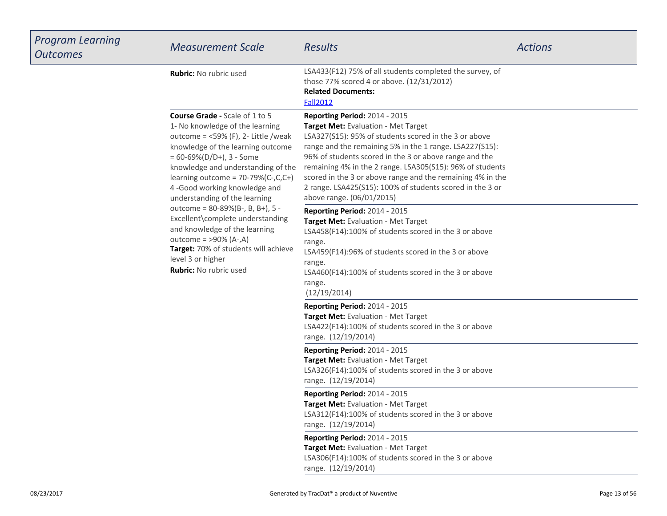| <b>Program Learning</b><br><b>Outcomes</b>                                                                                                                                                                                                                                                                                                | <b>Measurement Scale</b>                                                                                                                                                                                                                                                                                                                                                                                                                                                | <b>Results</b>                                                                                                                                                                                                                                                                               | <b>Actions</b> |
|-------------------------------------------------------------------------------------------------------------------------------------------------------------------------------------------------------------------------------------------------------------------------------------------------------------------------------------------|-------------------------------------------------------------------------------------------------------------------------------------------------------------------------------------------------------------------------------------------------------------------------------------------------------------------------------------------------------------------------------------------------------------------------------------------------------------------------|----------------------------------------------------------------------------------------------------------------------------------------------------------------------------------------------------------------------------------------------------------------------------------------------|----------------|
|                                                                                                                                                                                                                                                                                                                                           | <b>Rubric:</b> No rubric used                                                                                                                                                                                                                                                                                                                                                                                                                                           | LSA433(F12) 75% of all students completed the survey, of<br>those 77% scored 4 or above. (12/31/2012)<br><b>Related Documents:</b><br><b>Fall2012</b>                                                                                                                                        |                |
| <b>Course Grade - Scale of 1 to 5</b><br>1- No knowledge of the learning<br>outcome = $<$ 59% (F), 2- Little /weak<br>knowledge of the learning outcome<br>$= 60 - 69\% (D/D+), 3 - Some$<br>knowledge and understanding of the<br>learning outcome = $70-79%$ (C-,C,C+)<br>4-Good working knowledge and<br>understanding of the learning | Reporting Period: 2014 - 2015<br>Target Met: Evaluation - Met Target<br>LSA327(S15): 95% of students scored in the 3 or above<br>range and the remaining 5% in the 1 range. LSA227(S15):<br>96% of students scored in the 3 or above range and the<br>remaining 4% in the 2 range. LSA305(S15): 96% of students<br>scored in the 3 or above range and the remaining 4% in the<br>2 range. LSA425(S15): 100% of students scored in the 3 or<br>above range. (06/01/2015) |                                                                                                                                                                                                                                                                                              |                |
|                                                                                                                                                                                                                                                                                                                                           | outcome = 80-89%(B-, B, B+), 5 -<br>Excellent\complete understanding<br>and knowledge of the learning<br>outcome = $>90\%$ (A-,A)<br>Target: 70% of students will achieve<br>level 3 or higher<br><b>Rubric:</b> No rubric used                                                                                                                                                                                                                                         | Reporting Period: 2014 - 2015<br>Target Met: Evaluation - Met Target<br>LSA458(F14):100% of students scored in the 3 or above<br>range.<br>LSA459(F14):96% of students scored in the 3 or above<br>range.<br>LSA460(F14):100% of students scored in the 3 or above<br>range.<br>(12/19/2014) |                |
|                                                                                                                                                                                                                                                                                                                                           |                                                                                                                                                                                                                                                                                                                                                                                                                                                                         | Reporting Period: 2014 - 2015<br>Target Met: Evaluation - Met Target<br>LSA422(F14):100% of students scored in the 3 or above<br>range. (12/19/2014)                                                                                                                                         |                |
|                                                                                                                                                                                                                                                                                                                                           |                                                                                                                                                                                                                                                                                                                                                                                                                                                                         | Reporting Period: 2014 - 2015<br>Target Met: Evaluation - Met Target<br>LSA326(F14):100% of students scored in the 3 or above<br>range. (12/19/2014)                                                                                                                                         |                |
|                                                                                                                                                                                                                                                                                                                                           |                                                                                                                                                                                                                                                                                                                                                                                                                                                                         | Reporting Period: 2014 - 2015<br><b>Target Met:</b> Evaluation - Met Target<br>LSA312(F14):100% of students scored in the 3 or above<br>range. (12/19/2014)                                                                                                                                  |                |
|                                                                                                                                                                                                                                                                                                                                           |                                                                                                                                                                                                                                                                                                                                                                                                                                                                         | Reporting Period: 2014 - 2015<br>Target Met: Evaluation - Met Target<br>LSA306(F14):100% of students scored in the 3 or above<br>range. (12/19/2014)                                                                                                                                         |                |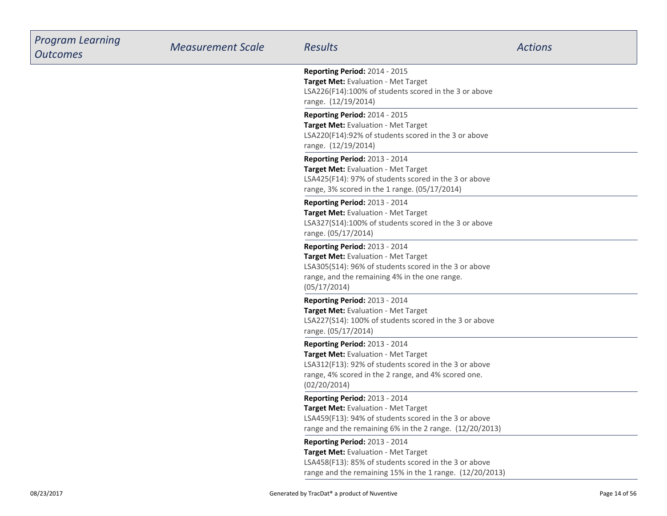| <b>Program Learning</b><br><b>Outcomes</b> | <b>Measurement Scale</b> | <b>Results</b>                                                                                                                                                                                              | <b>Actions</b> |
|--------------------------------------------|--------------------------|-------------------------------------------------------------------------------------------------------------------------------------------------------------------------------------------------------------|----------------|
|                                            |                          | <b>Reporting Period: 2014 - 2015</b><br>Target Met: Evaluation - Met Target<br>LSA226(F14):100% of students scored in the 3 or above<br>range. (12/19/2014)                                                 |                |
|                                            |                          | Reporting Period: 2014 - 2015<br>Target Met: Evaluation - Met Target<br>LSA220(F14):92% of students scored in the 3 or above<br>range. (12/19/2014)                                                         |                |
|                                            |                          | <b>Reporting Period: 2013 - 2014</b><br>Target Met: Evaluation - Met Target<br>LSA425(F14): 97% of students scored in the 3 or above<br>range, 3% scored in the 1 range. (05/17/2014)                       |                |
|                                            |                          | <b>Reporting Period: 2013 - 2014</b><br>Target Met: Evaluation - Met Target<br>LSA327(S14):100% of students scored in the 3 or above<br>range. (05/17/2014)                                                 |                |
|                                            |                          | Reporting Period: 2013 - 2014<br>Target Met: Evaluation - Met Target<br>LSA305(S14): 96% of students scored in the 3 or above<br>range, and the remaining 4% in the one range.<br>(05/17/2014)              |                |
|                                            |                          | Reporting Period: 2013 - 2014<br>Target Met: Evaluation - Met Target<br>LSA227(S14): 100% of students scored in the 3 or above<br>range. (05/17/2014)                                                       |                |
|                                            |                          | <b>Reporting Period: 2013 - 2014</b><br>Target Met: Evaluation - Met Target<br>LSA312(F13): 92% of students scored in the 3 or above<br>range, 4% scored in the 2 range, and 4% scored one.<br>(02/20/2014) |                |
|                                            |                          | <b>Reporting Period: 2013 - 2014</b><br><b>Target Met: Evaluation - Met Target</b><br>LSA459(F13): 94% of students scored in the 3 or above<br>range and the remaining 6% in the 2 range. (12/20/2013)      |                |
|                                            |                          | Reporting Period: 2013 - 2014<br>Target Met: Evaluation - Met Target<br>LSA458(F13): 85% of students scored in the 3 or above<br>range and the remaining 15% in the 1 range. (12/20/2013)                   |                |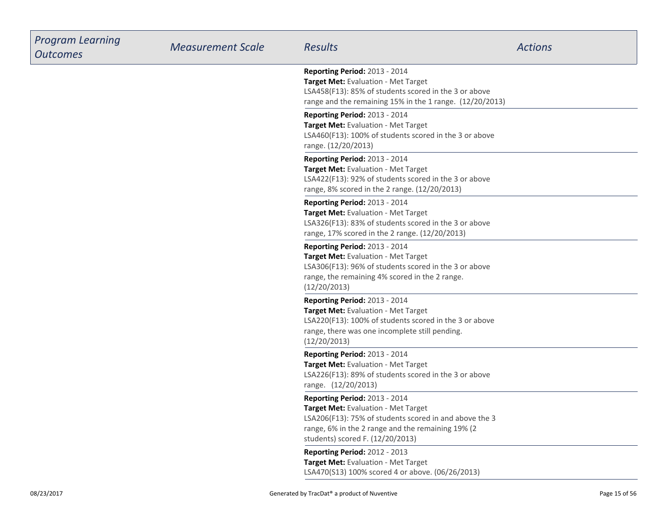| <b>Program Learning</b><br><b>Outcomes</b> | <b>Measurement Scale</b> | <b>Results</b>                                                                                                                                                                                                                 | <b>Actions</b> |
|--------------------------------------------|--------------------------|--------------------------------------------------------------------------------------------------------------------------------------------------------------------------------------------------------------------------------|----------------|
|                                            |                          | Reporting Period: 2013 - 2014<br>Target Met: Evaluation - Met Target<br>LSA458(F13): 85% of students scored in the 3 or above<br>range and the remaining 15% in the 1 range. (12/20/2013)                                      |                |
|                                            |                          | Reporting Period: 2013 - 2014<br>Target Met: Evaluation - Met Target<br>LSA460(F13): 100% of students scored in the 3 or above<br>range. (12/20/2013)                                                                          |                |
|                                            |                          | Reporting Period: 2013 - 2014<br>Target Met: Evaluation - Met Target<br>LSA422(F13): 92% of students scored in the 3 or above<br>range, 8% scored in the 2 range. (12/20/2013)                                                 |                |
|                                            |                          | Reporting Period: 2013 - 2014<br>Target Met: Evaluation - Met Target<br>LSA326(F13): 83% of students scored in the 3 or above<br>range, 17% scored in the 2 range. (12/20/2013)                                                |                |
|                                            |                          | Reporting Period: 2013 - 2014<br>Target Met: Evaluation - Met Target<br>LSA306(F13): 96% of students scored in the 3 or above<br>range, the remaining 4% scored in the 2 range.<br>(12/20/2013)                                |                |
|                                            |                          | Reporting Period: 2013 - 2014<br>Target Met: Evaluation - Met Target<br>LSA220(F13): 100% of students scored in the 3 or above<br>range, there was one incomplete still pending.<br>(12/20/2013)                               |                |
|                                            |                          | Reporting Period: 2013 - 2014<br>Target Met: Evaluation - Met Target<br>LSA226(F13): 89% of students scored in the 3 or above<br>range. (12/20/2013)                                                                           |                |
|                                            |                          | Reporting Period: 2013 - 2014<br><b>Target Met: Evaluation - Met Target</b><br>LSA206(F13): 75% of students scored in and above the 3<br>range, 6% in the 2 range and the remaining 19% (2<br>students) scored F. (12/20/2013) |                |
|                                            |                          | Reporting Period: 2012 - 2013<br>Target Met: Evaluation - Met Target<br>LSA470(S13) 100% scored 4 or above. (06/26/2013)                                                                                                       |                |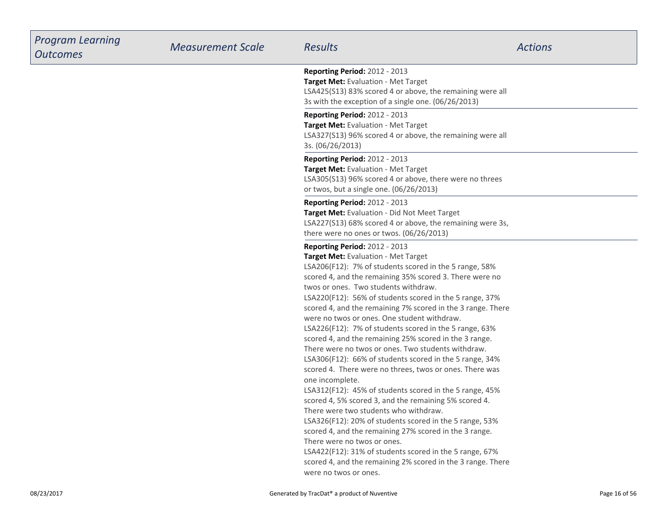| <b>Program Learning</b><br><b>Outcomes</b> | <b>Measurement Scale</b> | <b>Results</b>                                                                                                                                                                                                                                                                                                                                                                                                                                                                                                                                                                                                                                                                                                                                                                                                                                                                                                                                                                                                                                                                                                                                                                                           | <b>Actions</b> |
|--------------------------------------------|--------------------------|----------------------------------------------------------------------------------------------------------------------------------------------------------------------------------------------------------------------------------------------------------------------------------------------------------------------------------------------------------------------------------------------------------------------------------------------------------------------------------------------------------------------------------------------------------------------------------------------------------------------------------------------------------------------------------------------------------------------------------------------------------------------------------------------------------------------------------------------------------------------------------------------------------------------------------------------------------------------------------------------------------------------------------------------------------------------------------------------------------------------------------------------------------------------------------------------------------|----------------|
|                                            |                          | <b>Reporting Period: 2012 - 2013</b><br>Target Met: Evaluation - Met Target<br>LSA425(S13) 83% scored 4 or above, the remaining were all<br>3s with the exception of a single one. (06/26/2013)                                                                                                                                                                                                                                                                                                                                                                                                                                                                                                                                                                                                                                                                                                                                                                                                                                                                                                                                                                                                          |                |
|                                            |                          | <b>Reporting Period: 2012 - 2013</b><br>Target Met: Evaluation - Met Target<br>LSA327(S13) 96% scored 4 or above, the remaining were all<br>3s. (06/26/2013)                                                                                                                                                                                                                                                                                                                                                                                                                                                                                                                                                                                                                                                                                                                                                                                                                                                                                                                                                                                                                                             |                |
|                                            |                          | Reporting Period: 2012 - 2013<br>Target Met: Evaluation - Met Target<br>LSA305(S13) 96% scored 4 or above, there were no threes<br>or twos, but a single one. (06/26/2013)                                                                                                                                                                                                                                                                                                                                                                                                                                                                                                                                                                                                                                                                                                                                                                                                                                                                                                                                                                                                                               |                |
|                                            |                          | <b>Reporting Period: 2012 - 2013</b><br>Target Met: Evaluation - Did Not Meet Target<br>LSA227(S13) 68% scored 4 or above, the remaining were 3s,<br>there were no ones or twos. (06/26/2013)                                                                                                                                                                                                                                                                                                                                                                                                                                                                                                                                                                                                                                                                                                                                                                                                                                                                                                                                                                                                            |                |
|                                            |                          | <b>Reporting Period: 2012 - 2013</b><br>Target Met: Evaluation - Met Target<br>LSA206(F12): 7% of students scored in the 5 range, 58%<br>scored 4, and the remaining 35% scored 3. There were no<br>twos or ones. Two students withdraw.<br>LSA220(F12): 56% of students scored in the 5 range, 37%<br>scored 4, and the remaining 7% scored in the 3 range. There<br>were no twos or ones. One student withdraw.<br>LSA226(F12): 7% of students scored in the 5 range, 63%<br>scored 4, and the remaining 25% scored in the 3 range.<br>There were no twos or ones. Two students withdraw.<br>LSA306(F12): 66% of students scored in the 5 range, 34%<br>scored 4. There were no threes, twos or ones. There was<br>one incomplete.<br>LSA312(F12): 45% of students scored in the 5 range, 45%<br>scored 4, 5% scored 3, and the remaining 5% scored 4.<br>There were two students who withdraw.<br>LSA326(F12): 20% of students scored in the 5 range, 53%<br>scored 4, and the remaining 27% scored in the 3 range.<br>There were no twos or ones.<br>LSA422(F12): 31% of students scored in the 5 range, 67%<br>scored 4, and the remaining 2% scored in the 3 range. There<br>were no twos or ones. |                |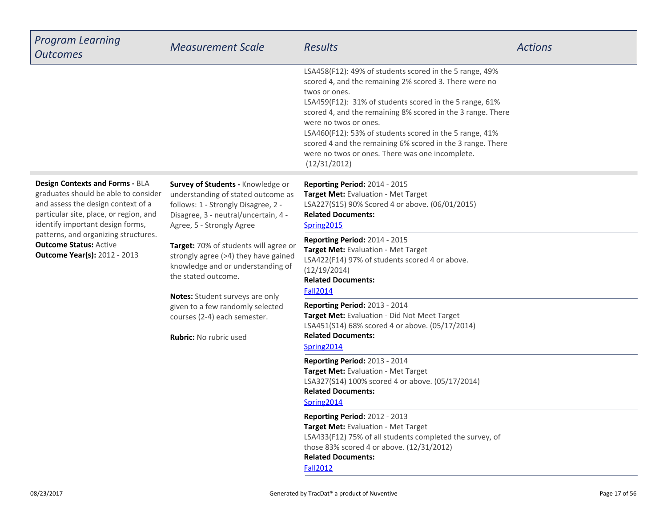| <b>Program Learning</b><br><b>Outcomes</b>                                                                                                                                                                                                                                                                  | <b>Measurement Scale</b>                                                                                                                                                            | <b>Results</b>                                                                                                                                                                                                                                                                                                                                                                                                                                                                    | <b>Actions</b> |
|-------------------------------------------------------------------------------------------------------------------------------------------------------------------------------------------------------------------------------------------------------------------------------------------------------------|-------------------------------------------------------------------------------------------------------------------------------------------------------------------------------------|-----------------------------------------------------------------------------------------------------------------------------------------------------------------------------------------------------------------------------------------------------------------------------------------------------------------------------------------------------------------------------------------------------------------------------------------------------------------------------------|----------------|
|                                                                                                                                                                                                                                                                                                             |                                                                                                                                                                                     | LSA458(F12): 49% of students scored in the 5 range, 49%<br>scored 4, and the remaining 2% scored 3. There were no<br>twos or ones.<br>LSA459(F12): 31% of students scored in the 5 range, 61%<br>scored 4, and the remaining 8% scored in the 3 range. There<br>were no twos or ones.<br>LSA460(F12): 53% of students scored in the 5 range, 41%<br>scored 4 and the remaining 6% scored in the 3 range. There<br>were no twos or ones. There was one incomplete.<br>(12/31/2012) |                |
| Design Contexts and Forms - BLA<br>graduates should be able to consider<br>and assess the design context of a<br>particular site, place, or region, and<br>identify important design forms,<br>patterns, and organizing structures.<br><b>Outcome Status: Active</b><br><b>Outcome Year(s): 2012 - 2013</b> | Survey of Students - Knowledge or<br>understanding of stated outcome as<br>follows: 1 - Strongly Disagree, 2 -<br>Disagree, 3 - neutral/uncertain, 4 -<br>Agree, 5 - Strongly Agree | Reporting Period: 2014 - 2015<br>Target Met: Evaluation - Met Target<br>LSA227(S15) 90% Scored 4 or above. (06/01/2015)<br><b>Related Documents:</b><br>Spring2015                                                                                                                                                                                                                                                                                                                |                |
|                                                                                                                                                                                                                                                                                                             | Target: 70% of students will agree or<br>strongly agree (>4) they have gained<br>knowledge and or understanding of<br>the stated outcome.                                           | Reporting Period: 2014 - 2015<br>Target Met: Evaluation - Met Target<br>LSA422(F14) 97% of students scored 4 or above.<br>(12/19/2014)<br><b>Related Documents:</b><br><b>Fall2014</b>                                                                                                                                                                                                                                                                                            |                |
|                                                                                                                                                                                                                                                                                                             | Notes: Student surveys are only<br>given to a few randomly selected<br>courses (2-4) each semester.<br><b>Rubric:</b> No rubric used                                                | <b>Reporting Period: 2013 - 2014</b><br>Target Met: Evaluation - Did Not Meet Target<br>LSA451(S14) 68% scored 4 or above. (05/17/2014)<br><b>Related Documents:</b><br>Spring2014                                                                                                                                                                                                                                                                                                |                |
|                                                                                                                                                                                                                                                                                                             |                                                                                                                                                                                     | <b>Reporting Period: 2013 - 2014</b><br>Target Met: Evaluation - Met Target<br>LSA327(S14) 100% scored 4 or above. (05/17/2014)<br><b>Related Documents:</b><br>Spring2014                                                                                                                                                                                                                                                                                                        |                |
|                                                                                                                                                                                                                                                                                                             |                                                                                                                                                                                     | <b>Reporting Period: 2012 - 2013</b><br>Target Met: Evaluation - Met Target<br>LSA433(F12) 75% of all students completed the survey, of<br>those 83% scored 4 or above. (12/31/2012)<br><b>Related Documents:</b><br><b>Fall2012</b>                                                                                                                                                                                                                                              |                |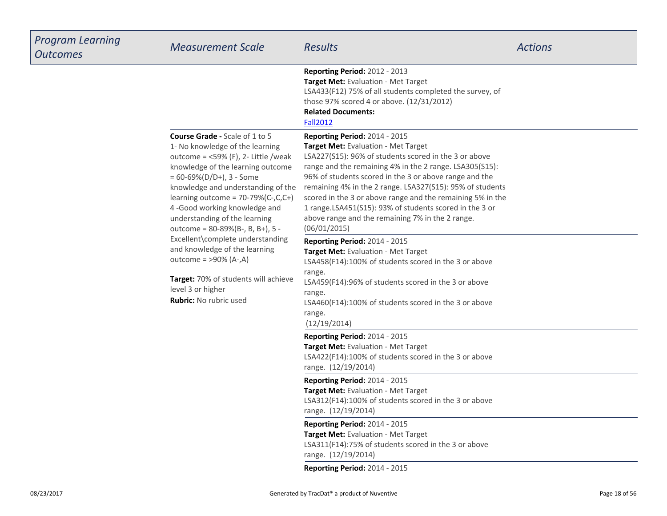| Program Learning<br><b>Outcomes</b> | <b>Measurement Scale</b>                                                                                                                                                                                                                                                                                                                                                      | <b>Results</b>                                                                                                                                                                                                                                                                                                                                                                                                                                                                                                             | <b>Actions</b> |
|-------------------------------------|-------------------------------------------------------------------------------------------------------------------------------------------------------------------------------------------------------------------------------------------------------------------------------------------------------------------------------------------------------------------------------|----------------------------------------------------------------------------------------------------------------------------------------------------------------------------------------------------------------------------------------------------------------------------------------------------------------------------------------------------------------------------------------------------------------------------------------------------------------------------------------------------------------------------|----------------|
|                                     |                                                                                                                                                                                                                                                                                                                                                                               | <b>Reporting Period: 2012 - 2013</b><br>Target Met: Evaluation - Met Target<br>LSA433(F12) 75% of all students completed the survey, of<br>those 97% scored 4 or above. (12/31/2012)<br><b>Related Documents:</b><br><b>Fall2012</b>                                                                                                                                                                                                                                                                                       |                |
|                                     | <b>Course Grade - Scale of 1 to 5</b><br>1- No knowledge of the learning<br>outcome = $<$ 59% (F), 2- Little /weak<br>knowledge of the learning outcome<br>$= 60 - 69\% (D/D+), 3 - Some$<br>knowledge and understanding of the<br>learning outcome = $70-79%$ (C-,C,C+)<br>4-Good working knowledge and<br>understanding of the learning<br>outcome = 80-89%(B-, B, B+), 5 - | <b>Reporting Period: 2014 - 2015</b><br><b>Target Met: Evaluation - Met Target</b><br>LSA227(S15): 96% of students scored in the 3 or above<br>range and the remaining 4% in the 2 range. LSA305(S15):<br>96% of students scored in the 3 or above range and the<br>remaining 4% in the 2 range. LSA327(S15): 95% of students<br>scored in the 3 or above range and the remaining 5% in the<br>1 range.LSA451(S15): 93% of students scored in the 3 or<br>above range and the remaining 7% in the 2 range.<br>(06/01/2015) |                |
|                                     | Excellent\complete understanding<br>and knowledge of the learning<br>outcome = $>90\%$ (A-,A)                                                                                                                                                                                                                                                                                 | Reporting Period: 2014 - 2015<br>Target Met: Evaluation - Met Target<br>LSA458(F14):100% of students scored in the 3 or above<br>range.                                                                                                                                                                                                                                                                                                                                                                                    |                |
|                                     | Target: 70% of students will achieve<br>level 3 or higher<br><b>Rubric:</b> No rubric used                                                                                                                                                                                                                                                                                    | LSA459(F14):96% of students scored in the 3 or above<br>range.<br>LSA460(F14):100% of students scored in the 3 or above<br>range.<br>(12/19/2014)                                                                                                                                                                                                                                                                                                                                                                          |                |
|                                     |                                                                                                                                                                                                                                                                                                                                                                               | Reporting Period: 2014 - 2015<br><b>Target Met:</b> Evaluation - Met Target<br>LSA422(F14):100% of students scored in the 3 or above<br>range. (12/19/2014)                                                                                                                                                                                                                                                                                                                                                                |                |
|                                     |                                                                                                                                                                                                                                                                                                                                                                               | Reporting Period: 2014 - 2015<br>Target Met: Evaluation - Met Target<br>LSA312(F14):100% of students scored in the 3 or above<br>range. (12/19/2014)                                                                                                                                                                                                                                                                                                                                                                       |                |
|                                     |                                                                                                                                                                                                                                                                                                                                                                               | Reporting Period: 2014 - 2015<br><b>Target Met:</b> Evaluation - Met Target<br>LSA311(F14):75% of students scored in the 3 or above<br>range. (12/19/2014)                                                                                                                                                                                                                                                                                                                                                                 |                |
|                                     |                                                                                                                                                                                                                                                                                                                                                                               | <b>Reporting Period: 2014 - 2015</b>                                                                                                                                                                                                                                                                                                                                                                                                                                                                                       |                |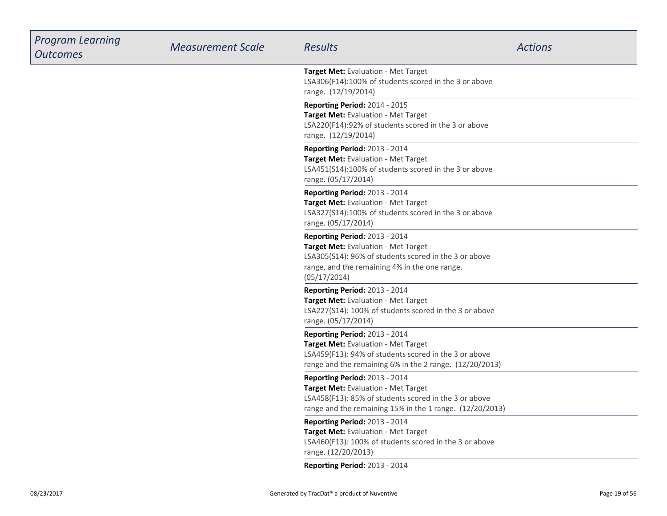| <b>Program Learning</b><br><b>Outcomes</b> | <b>Measurement Scale</b> | <b>Results</b>                                                                                                                                                                                 | <b>Actions</b> |
|--------------------------------------------|--------------------------|------------------------------------------------------------------------------------------------------------------------------------------------------------------------------------------------|----------------|
|                                            |                          | Target Met: Evaluation - Met Target<br>LSA306(F14):100% of students scored in the 3 or above<br>range. (12/19/2014)                                                                            |                |
|                                            |                          | Reporting Period: 2014 - 2015<br>Target Met: Evaluation - Met Target<br>LSA220(F14):92% of students scored in the 3 or above<br>range. (12/19/2014)                                            |                |
|                                            |                          | Reporting Period: 2013 - 2014<br>Target Met: Evaluation - Met Target<br>LSA451(S14):100% of students scored in the 3 or above<br>range. (05/17/2014)                                           |                |
|                                            |                          | Reporting Period: 2013 - 2014<br>Target Met: Evaluation - Met Target<br>LSA327(S14):100% of students scored in the 3 or above<br>range. (05/17/2014)                                           |                |
|                                            |                          | Reporting Period: 2013 - 2014<br>Target Met: Evaluation - Met Target<br>LSA305(S14): 96% of students scored in the 3 or above<br>range, and the remaining 4% in the one range.<br>(05/17/2014) |                |
|                                            |                          | Reporting Period: 2013 - 2014<br>Target Met: Evaluation - Met Target<br>LSA227(S14): 100% of students scored in the 3 or above<br>range. (05/17/2014)                                          |                |
|                                            |                          | Reporting Period: 2013 - 2014<br>Target Met: Evaluation - Met Target<br>LSA459(F13): 94% of students scored in the 3 or above<br>range and the remaining 6% in the 2 range. (12/20/2013)       |                |
|                                            |                          | Reporting Period: 2013 - 2014<br>Target Met: Evaluation - Met Target<br>LSA458(F13): 85% of students scored in the 3 or above<br>range and the remaining 15% in the 1 range. (12/20/2013)      |                |
|                                            |                          | Reporting Period: 2013 - 2014<br>Target Met: Evaluation - Met Target<br>LSA460(F13): 100% of students scored in the 3 or above<br>range. (12/20/2013)                                          |                |
|                                            |                          | Reporting Period: 2013 - 2014                                                                                                                                                                  |                |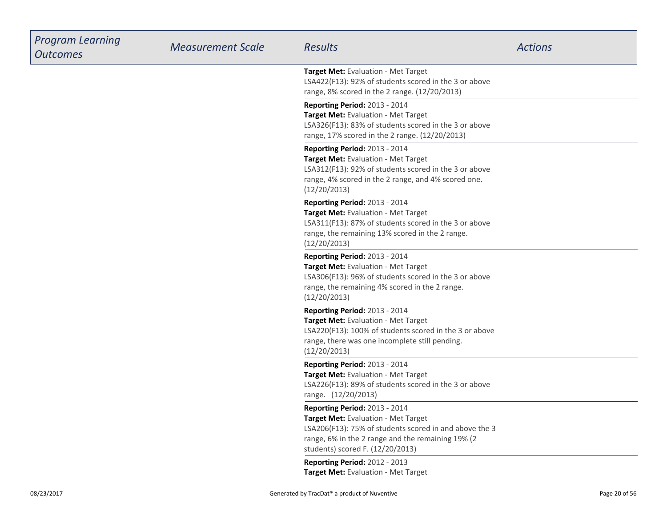| <b>Program Learning</b><br><b>Outcomes</b> | <b>Measurement Scale</b> | <b>Results</b>                                                                                                                                                                                                                 | <b>Actions</b> |
|--------------------------------------------|--------------------------|--------------------------------------------------------------------------------------------------------------------------------------------------------------------------------------------------------------------------------|----------------|
|                                            |                          | Target Met: Evaluation - Met Target<br>LSA422(F13): 92% of students scored in the 3 or above<br>range, 8% scored in the 2 range. (12/20/2013)                                                                                  |                |
|                                            |                          | Reporting Period: 2013 - 2014<br>Target Met: Evaluation - Met Target<br>LSA326(F13): 83% of students scored in the 3 or above<br>range, 17% scored in the 2 range. (12/20/2013)                                                |                |
|                                            |                          | Reporting Period: 2013 - 2014<br>Target Met: Evaluation - Met Target<br>LSA312(F13): 92% of students scored in the 3 or above<br>range, 4% scored in the 2 range, and 4% scored one.<br>(12/20/2013)                           |                |
|                                            |                          | Reporting Period: 2013 - 2014<br>Target Met: Evaluation - Met Target<br>LSA311(F13): 87% of students scored in the 3 or above<br>range, the remaining 13% scored in the 2 range.<br>(12/20/2013)                               |                |
|                                            |                          | Reporting Period: 2013 - 2014<br>Target Met: Evaluation - Met Target<br>LSA306(F13): 96% of students scored in the 3 or above<br>range, the remaining 4% scored in the 2 range.<br>(12/20/2013)                                |                |
|                                            |                          | Reporting Period: 2013 - 2014<br>Target Met: Evaluation - Met Target<br>LSA220(F13): 100% of students scored in the 3 or above<br>range, there was one incomplete still pending.<br>(12/20/2013)                               |                |
|                                            |                          | Reporting Period: 2013 - 2014<br>Target Met: Evaluation - Met Target<br>LSA226(F13): 89% of students scored in the 3 or above<br>range. (12/20/2013)                                                                           |                |
|                                            |                          | <b>Reporting Period: 2013 - 2014</b><br>Target Met: Evaluation - Met Target<br>LSA206(F13): 75% of students scored in and above the 3<br>range, 6% in the 2 range and the remaining 19% (2<br>students) scored F. (12/20/2013) |                |
|                                            |                          | Reporting Period: 2012 - 2013<br>Target Met: Evaluation - Met Target                                                                                                                                                           |                |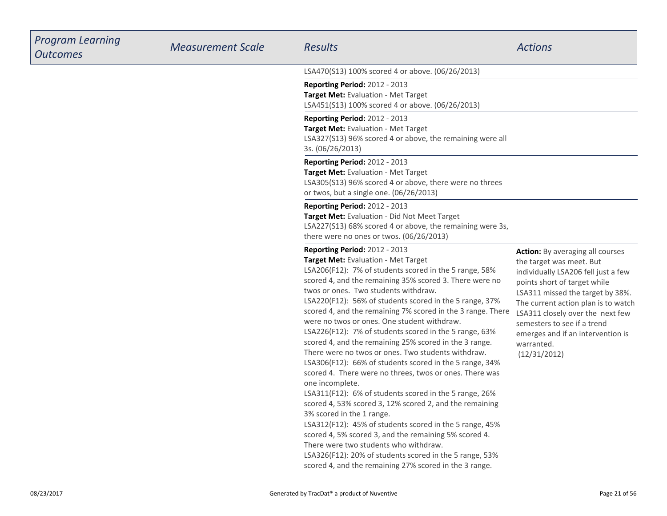| <b>Program Learning</b><br><b>Outcomes</b> | <b>Measurement Scale</b> | <b>Results</b>                                                                                                                                                                                                                                                                                                                                                                                                                                                                                                                                                                                                                                                                                                                                                                                                                                                                                                                                                                                                                                                                                                                                                    | <b>Actions</b>                                                                                                                                                                                                                                                                                                                                              |
|--------------------------------------------|--------------------------|-------------------------------------------------------------------------------------------------------------------------------------------------------------------------------------------------------------------------------------------------------------------------------------------------------------------------------------------------------------------------------------------------------------------------------------------------------------------------------------------------------------------------------------------------------------------------------------------------------------------------------------------------------------------------------------------------------------------------------------------------------------------------------------------------------------------------------------------------------------------------------------------------------------------------------------------------------------------------------------------------------------------------------------------------------------------------------------------------------------------------------------------------------------------|-------------------------------------------------------------------------------------------------------------------------------------------------------------------------------------------------------------------------------------------------------------------------------------------------------------------------------------------------------------|
|                                            |                          | LSA470(S13) 100% scored 4 or above. (06/26/2013)                                                                                                                                                                                                                                                                                                                                                                                                                                                                                                                                                                                                                                                                                                                                                                                                                                                                                                                                                                                                                                                                                                                  |                                                                                                                                                                                                                                                                                                                                                             |
|                                            |                          | <b>Reporting Period: 2012 - 2013</b><br>Target Met: Evaluation - Met Target<br>LSA451(S13) 100% scored 4 or above. (06/26/2013)                                                                                                                                                                                                                                                                                                                                                                                                                                                                                                                                                                                                                                                                                                                                                                                                                                                                                                                                                                                                                                   |                                                                                                                                                                                                                                                                                                                                                             |
|                                            |                          | Reporting Period: 2012 - 2013<br>Target Met: Evaluation - Met Target<br>LSA327(S13) 96% scored 4 or above, the remaining were all<br>3s. (06/26/2013)                                                                                                                                                                                                                                                                                                                                                                                                                                                                                                                                                                                                                                                                                                                                                                                                                                                                                                                                                                                                             |                                                                                                                                                                                                                                                                                                                                                             |
|                                            |                          | Reporting Period: 2012 - 2013<br>Target Met: Evaluation - Met Target<br>LSA305(S13) 96% scored 4 or above, there were no threes<br>or twos, but a single one. (06/26/2013)                                                                                                                                                                                                                                                                                                                                                                                                                                                                                                                                                                                                                                                                                                                                                                                                                                                                                                                                                                                        |                                                                                                                                                                                                                                                                                                                                                             |
|                                            |                          | <b>Reporting Period: 2012 - 2013</b><br>Target Met: Evaluation - Did Not Meet Target<br>LSA227(S13) 68% scored 4 or above, the remaining were 3s,<br>there were no ones or twos. (06/26/2013)                                                                                                                                                                                                                                                                                                                                                                                                                                                                                                                                                                                                                                                                                                                                                                                                                                                                                                                                                                     |                                                                                                                                                                                                                                                                                                                                                             |
|                                            |                          | Reporting Period: 2012 - 2013<br>Target Met: Evaluation - Met Target<br>LSA206(F12): 7% of students scored in the 5 range, 58%<br>scored 4, and the remaining 35% scored 3. There were no<br>twos or ones. Two students withdraw.<br>LSA220(F12): 56% of students scored in the 5 range, 37%<br>scored 4, and the remaining 7% scored in the 3 range. There<br>were no twos or ones. One student withdraw.<br>LSA226(F12): 7% of students scored in the 5 range, 63%<br>scored 4, and the remaining 25% scored in the 3 range.<br>There were no twos or ones. Two students withdraw.<br>LSA306(F12): 66% of students scored in the 5 range, 34%<br>scored 4. There were no threes, twos or ones. There was<br>one incomplete.<br>LSA311(F12): 6% of students scored in the 5 range, 26%<br>scored 4, 53% scored 3, 12% scored 2, and the remaining<br>3% scored in the 1 range.<br>LSA312(F12): 45% of students scored in the 5 range, 45%<br>scored 4, 5% scored 3, and the remaining 5% scored 4.<br>There were two students who withdraw.<br>LSA326(F12): 20% of students scored in the 5 range, 53%<br>scored 4, and the remaining 27% scored in the 3 range. | <b>Action:</b> By averaging all courses<br>the target was meet. But<br>individually LSA206 fell just a few<br>points short of target while<br>LSA311 missed the target by 38%.<br>The current action plan is to watch<br>LSA311 closely over the next few<br>semesters to see if a trend<br>emerges and if an intervention is<br>warranted.<br>(12/31/2012) |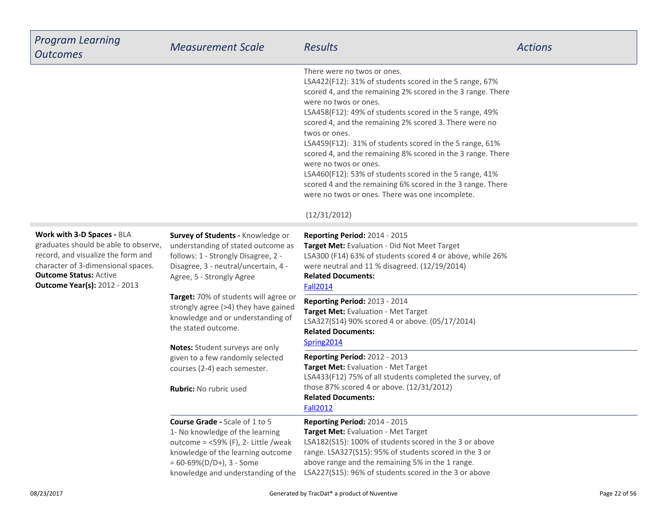| <b>Program Learning</b><br><b>Outcomes</b>                                                                                                                                                                             | <b>Measurement Scale</b>                                                                                                                                                                                                        | <b>Results</b>                                                                                                                                                                                                                                                                                                                                                                                                                                                                                                                                                                                                                                                      | <b>Actions</b> |
|------------------------------------------------------------------------------------------------------------------------------------------------------------------------------------------------------------------------|---------------------------------------------------------------------------------------------------------------------------------------------------------------------------------------------------------------------------------|---------------------------------------------------------------------------------------------------------------------------------------------------------------------------------------------------------------------------------------------------------------------------------------------------------------------------------------------------------------------------------------------------------------------------------------------------------------------------------------------------------------------------------------------------------------------------------------------------------------------------------------------------------------------|----------------|
|                                                                                                                                                                                                                        |                                                                                                                                                                                                                                 | There were no twos or ones.<br>LSA422(F12): 31% of students scored in the 5 range, 67%<br>scored 4, and the remaining 2% scored in the 3 range. There<br>were no twos or ones.<br>LSA458(F12): 49% of students scored in the 5 range, 49%<br>scored 4, and the remaining 2% scored 3. There were no<br>twos or ones.<br>LSA459(F12): 31% of students scored in the 5 range, 61%<br>scored 4, and the remaining 8% scored in the 3 range. There<br>were no twos or ones.<br>LSA460(F12): 53% of students scored in the 5 range, 41%<br>scored 4 and the remaining 6% scored in the 3 range. There<br>were no twos or ones. There was one incomplete.<br>(12/31/2012) |                |
| Work with 3-D Spaces - BLA<br>graduates should be able to observe,<br>record, and visualize the form and<br>character of 3-dimensional spaces.<br><b>Outcome Status: Active</b><br><b>Outcome Year(s): 2012 - 2013</b> | Survey of Students - Knowledge or<br>understanding of stated outcome as<br>follows: 1 - Strongly Disagree, 2 -<br>Disagree, 3 - neutral/uncertain, 4 -<br>Agree, 5 - Strongly Agree                                             | Reporting Period: 2014 - 2015<br>Target Met: Evaluation - Did Not Meet Target<br>LSA300 (F14) 63% of students scored 4 or above, while 26%<br>were neutral and 11 % disagreed. (12/19/2014)<br><b>Related Documents:</b><br><b>Fall2014</b>                                                                                                                                                                                                                                                                                                                                                                                                                         |                |
|                                                                                                                                                                                                                        | Target: 70% of students will agree or<br>strongly agree (>4) they have gained<br>knowledge and or understanding of<br>the stated outcome.<br>Notes: Student surveys are only                                                    | Reporting Period: 2013 - 2014<br>Target Met: Evaluation - Met Target<br>LSA327(S14) 90% scored 4 or above. (05/17/2014)<br><b>Related Documents:</b><br>Spring2014                                                                                                                                                                                                                                                                                                                                                                                                                                                                                                  |                |
|                                                                                                                                                                                                                        | given to a few randomly selected<br>courses (2-4) each semester.<br><b>Rubric:</b> No rubric used                                                                                                                               | <b>Reporting Period: 2012 - 2013</b><br>Target Met: Evaluation - Met Target<br>LSA433(F12) 75% of all students completed the survey, of<br>those 87% scored 4 or above. (12/31/2012)<br><b>Related Documents:</b><br><b>Fall2012</b>                                                                                                                                                                                                                                                                                                                                                                                                                                |                |
|                                                                                                                                                                                                                        | <b>Course Grade - Scale of 1 to 5</b><br>1- No knowledge of the learning<br>outcome = $<$ 59% (F), 2- Little /weak<br>knowledge of the learning outcome<br>$= 60 - 69\% (D/D+), 3 - Some$<br>knowledge and understanding of the | <b>Reporting Period: 2014 - 2015</b><br>Target Met: Evaluation - Met Target<br>LSA182(S15): 100% of students scored in the 3 or above<br>range. LSA327(S15): 95% of students scored in the 3 or<br>above range and the remaining 5% in the 1 range.<br>LSA227(S15): 96% of students scored in the 3 or above                                                                                                                                                                                                                                                                                                                                                        |                |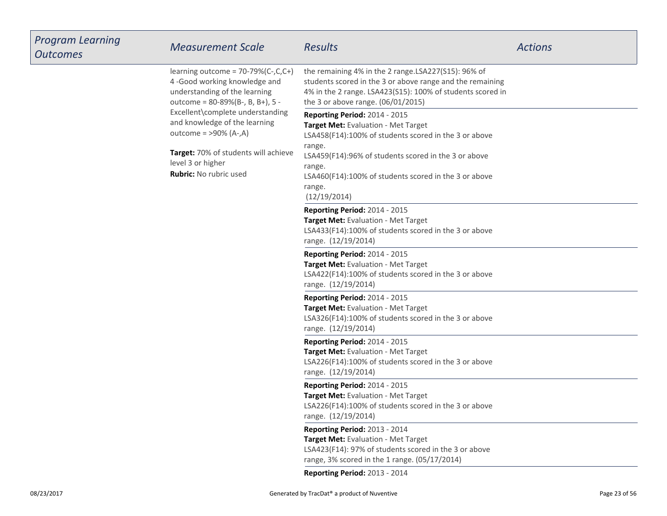| <b>Program Learning</b><br><b>Outcomes</b> | <b>Measurement Scale</b>                                                                                                                                                                                                                    | <b>Results</b>                                                                                                                                                                                                       | <b>Actions</b> |
|--------------------------------------------|---------------------------------------------------------------------------------------------------------------------------------------------------------------------------------------------------------------------------------------------|----------------------------------------------------------------------------------------------------------------------------------------------------------------------------------------------------------------------|----------------|
|                                            | learning outcome = $70-79\%(C-,C,C+)$<br>4-Good working knowledge and<br>understanding of the learning<br>outcome = 80-89%(B-, B, B+), 5 -<br>Excellent\complete understanding<br>and knowledge of the learning<br>outcome = $>90\%$ (A-,A) | the remaining 4% in the 2 range.LSA227(S15): 96% of<br>students scored in the 3 or above range and the remaining<br>4% in the 2 range. LSA423(S15): 100% of students scored in<br>the 3 or above range. (06/01/2015) |                |
|                                            |                                                                                                                                                                                                                                             | Reporting Period: 2014 - 2015<br>Target Met: Evaluation - Met Target<br>LSA458(F14):100% of students scored in the 3 or above                                                                                        |                |
|                                            | Target: 70% of students will achieve<br>level 3 or higher<br>Rubric: No rubric used                                                                                                                                                         | range.<br>LSA459(F14):96% of students scored in the 3 or above<br>range.<br>LSA460(F14):100% of students scored in the 3 or above<br>range.<br>(12/19/2014)                                                          |                |
|                                            |                                                                                                                                                                                                                                             | Reporting Period: 2014 - 2015<br>Target Met: Evaluation - Met Target<br>LSA433(F14):100% of students scored in the 3 or above<br>range. (12/19/2014)                                                                 |                |
|                                            |                                                                                                                                                                                                                                             | Reporting Period: 2014 - 2015<br>Target Met: Evaluation - Met Target<br>LSA422(F14):100% of students scored in the 3 or above<br>range. (12/19/2014)                                                                 |                |
|                                            |                                                                                                                                                                                                                                             | Reporting Period: 2014 - 2015<br>Target Met: Evaluation - Met Target<br>LSA326(F14):100% of students scored in the 3 or above<br>range. (12/19/2014)                                                                 |                |
|                                            |                                                                                                                                                                                                                                             | Reporting Period: 2014 - 2015<br>Target Met: Evaluation - Met Target<br>LSA226(F14):100% of students scored in the 3 or above<br>range. (12/19/2014)                                                                 |                |
|                                            |                                                                                                                                                                                                                                             | Reporting Period: 2014 - 2015<br>Target Met: Evaluation - Met Target<br>LSA226(F14):100% of students scored in the 3 or above<br>range. (12/19/2014)                                                                 |                |
|                                            |                                                                                                                                                                                                                                             | Reporting Period: 2013 - 2014<br>Target Met: Evaluation - Met Target<br>LSA423(F14): 97% of students scored in the 3 or above<br>range, 3% scored in the 1 range. (05/17/2014)                                       |                |
|                                            |                                                                                                                                                                                                                                             | Reporting Period: 2013 - 2014                                                                                                                                                                                        |                |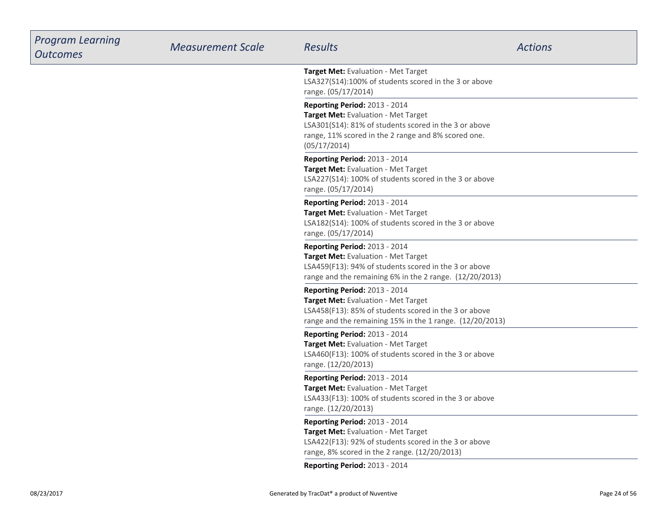| <b>Program Learning</b><br><b>Outcomes</b> | <b>Measurement Scale</b> | <b>Results</b>                                                                                                                                                                                       | <b>Actions</b> |
|--------------------------------------------|--------------------------|------------------------------------------------------------------------------------------------------------------------------------------------------------------------------------------------------|----------------|
|                                            |                          | Target Met: Evaluation - Met Target<br>LSA327(S14):100% of students scored in the 3 or above<br>range. (05/17/2014)                                                                                  |                |
|                                            |                          | Reporting Period: 2013 - 2014<br>Target Met: Evaluation - Met Target<br>LSA301(S14): 81% of students scored in the 3 or above<br>range, 11% scored in the 2 range and 8% scored one.<br>(05/17/2014) |                |
|                                            |                          | Reporting Period: 2013 - 2014<br>Target Met: Evaluation - Met Target<br>LSA227(S14): 100% of students scored in the 3 or above<br>range. (05/17/2014)                                                |                |
|                                            |                          | <b>Reporting Period: 2013 - 2014</b><br>Target Met: Evaluation - Met Target<br>LSA182(S14): 100% of students scored in the 3 or above<br>range. (05/17/2014)                                         |                |
|                                            |                          | Reporting Period: 2013 - 2014<br>Target Met: Evaluation - Met Target<br>LSA459(F13): 94% of students scored in the 3 or above<br>range and the remaining 6% in the 2 range. (12/20/2013)             |                |
|                                            |                          | Reporting Period: 2013 - 2014<br>Target Met: Evaluation - Met Target<br>LSA458(F13): 85% of students scored in the 3 or above<br>range and the remaining 15% in the 1 range. (12/20/2013)            |                |
|                                            |                          | <b>Reporting Period: 2013 - 2014</b><br>Target Met: Evaluation - Met Target<br>LSA460(F13): 100% of students scored in the 3 or above<br>range. (12/20/2013)                                         |                |
|                                            |                          | Reporting Period: 2013 - 2014<br>Target Met: Evaluation - Met Target<br>LSA433(F13): 100% of students scored in the 3 or above<br>range. (12/20/2013)                                                |                |
|                                            |                          | Reporting Period: 2013 - 2014<br>Target Met: Evaluation - Met Target<br>LSA422(F13): 92% of students scored in the 3 or above<br>range, 8% scored in the 2 range. (12/20/2013)                       |                |
|                                            |                          | Reporting Period: 2013 - 2014                                                                                                                                                                        |                |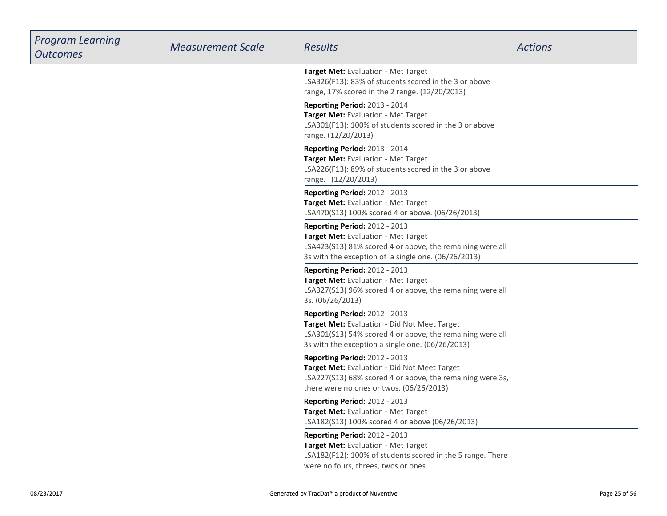| <b>Program Learning</b><br><b>Outcomes</b> | <b>Measurement Scale</b> | <b>Results</b>                                                                                                                                                                                        | <b>Actions</b> |
|--------------------------------------------|--------------------------|-------------------------------------------------------------------------------------------------------------------------------------------------------------------------------------------------------|----------------|
|                                            |                          | Target Met: Evaluation - Met Target<br>LSA326(F13): 83% of students scored in the 3 or above<br>range, 17% scored in the 2 range. (12/20/2013)                                                        |                |
|                                            |                          | <b>Reporting Period: 2013 - 2014</b><br>Target Met: Evaluation - Met Target<br>LSA301(F13): 100% of students scored in the 3 or above<br>range. (12/20/2013)                                          |                |
|                                            |                          | Reporting Period: 2013 - 2014<br>Target Met: Evaluation - Met Target<br>LSA226(F13): 89% of students scored in the 3 or above<br>range. (12/20/2013)                                                  |                |
|                                            |                          | Reporting Period: 2012 - 2013<br>Target Met: Evaluation - Met Target<br>LSA470(S13) 100% scored 4 or above. (06/26/2013)                                                                              |                |
|                                            |                          | <b>Reporting Period: 2012 - 2013</b><br>Target Met: Evaluation - Met Target<br>LSA423(S13) 81% scored 4 or above, the remaining were all<br>3s with the exception of a single one. (06/26/2013)       |                |
|                                            |                          | Reporting Period: 2012 - 2013<br>Target Met: Evaluation - Met Target<br>LSA327(S13) 96% scored 4 or above, the remaining were all<br>3s. (06/26/2013)                                                 |                |
|                                            |                          | <b>Reporting Period: 2012 - 2013</b><br>Target Met: Evaluation - Did Not Meet Target<br>LSA301(S13) 54% scored 4 or above, the remaining were all<br>3s with the exception a single one. (06/26/2013) |                |
|                                            |                          | <b>Reporting Period: 2012 - 2013</b><br>Target Met: Evaluation - Did Not Meet Target<br>LSA227(S13) 68% scored 4 or above, the remaining were 3s,<br>there were no ones or twos. (06/26/2013)         |                |
|                                            |                          | <b>Reporting Period: 2012 - 2013</b><br>Target Met: Evaluation - Met Target<br>LSA182(S13) 100% scored 4 or above (06/26/2013)                                                                        |                |
|                                            |                          | Reporting Period: 2012 - 2013<br>Target Met: Evaluation - Met Target<br>LSA182(F12): 100% of students scored in the 5 range. There<br>were no fours, threes, twos or ones.                            |                |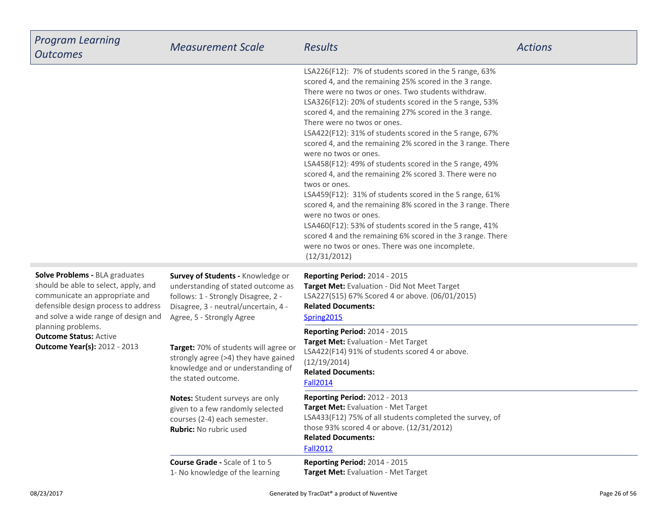| <b>Program Learning</b><br><b>Outcomes</b>                                                                                                                                                                                                                                                    | <b>Measurement Scale</b>                                                                                                                                                            | <b>Results</b>                                                                                                                                                                                                                                                                                                                                                                                                                                                                                                                                                                                                                                                                                                                                                                                                                                                                                                                                                     | <b>Actions</b> |
|-----------------------------------------------------------------------------------------------------------------------------------------------------------------------------------------------------------------------------------------------------------------------------------------------|-------------------------------------------------------------------------------------------------------------------------------------------------------------------------------------|--------------------------------------------------------------------------------------------------------------------------------------------------------------------------------------------------------------------------------------------------------------------------------------------------------------------------------------------------------------------------------------------------------------------------------------------------------------------------------------------------------------------------------------------------------------------------------------------------------------------------------------------------------------------------------------------------------------------------------------------------------------------------------------------------------------------------------------------------------------------------------------------------------------------------------------------------------------------|----------------|
|                                                                                                                                                                                                                                                                                               |                                                                                                                                                                                     | LSA226(F12): 7% of students scored in the 5 range, 63%<br>scored 4, and the remaining 25% scored in the 3 range.<br>There were no twos or ones. Two students withdraw.<br>LSA326(F12): 20% of students scored in the 5 range, 53%<br>scored 4, and the remaining 27% scored in the 3 range.<br>There were no twos or ones.<br>LSA422(F12): 31% of students scored in the 5 range, 67%<br>scored 4, and the remaining 2% scored in the 3 range. There<br>were no twos or ones.<br>LSA458(F12): 49% of students scored in the 5 range, 49%<br>scored 4, and the remaining 2% scored 3. There were no<br>twos or ones.<br>LSA459(F12): 31% of students scored in the 5 range, 61%<br>scored 4, and the remaining 8% scored in the 3 range. There<br>were no twos or ones.<br>LSA460(F12): 53% of students scored in the 5 range, 41%<br>scored 4 and the remaining 6% scored in the 3 range. There<br>were no twos or ones. There was one incomplete.<br>(12/31/2012) |                |
| <b>Solve Problems - BLA graduates</b><br>should be able to select, apply, and<br>communicate an appropriate and<br>defensible design process to address<br>and solve a wide range of design and<br>planning problems.<br><b>Outcome Status: Active</b><br><b>Outcome Year(s): 2012 - 2013</b> | Survey of Students - Knowledge or<br>understanding of stated outcome as<br>follows: 1 - Strongly Disagree, 2 -<br>Disagree, 3 - neutral/uncertain, 4 -<br>Agree, 5 - Strongly Agree | Reporting Period: 2014 - 2015<br>Target Met: Evaluation - Did Not Meet Target<br>LSA227(S15) 67% Scored 4 or above. (06/01/2015)<br><b>Related Documents:</b><br>Spring2015                                                                                                                                                                                                                                                                                                                                                                                                                                                                                                                                                                                                                                                                                                                                                                                        |                |
|                                                                                                                                                                                                                                                                                               | Target: 70% of students will agree or<br>strongly agree (>4) they have gained<br>knowledge and or understanding of<br>the stated outcome.                                           | Reporting Period: 2014 - 2015<br>Target Met: Evaluation - Met Target<br>LSA422(F14) 91% of students scored 4 or above.<br>(12/19/2014)<br><b>Related Documents:</b><br><b>Fall2014</b>                                                                                                                                                                                                                                                                                                                                                                                                                                                                                                                                                                                                                                                                                                                                                                             |                |
|                                                                                                                                                                                                                                                                                               | Notes: Student surveys are only<br>given to a few randomly selected<br>courses (2-4) each semester.<br><b>Rubric:</b> No rubric used                                                | Reporting Period: 2012 - 2013<br><b>Target Met: Evaluation - Met Target</b><br>LSA433(F12) 75% of all students completed the survey, of<br>those 93% scored 4 or above. (12/31/2012)<br><b>Related Documents:</b><br><b>Fall2012</b>                                                                                                                                                                                                                                                                                                                                                                                                                                                                                                                                                                                                                                                                                                                               |                |
|                                                                                                                                                                                                                                                                                               | <b>Course Grade - Scale of 1 to 5</b><br>1- No knowledge of the learning                                                                                                            | Reporting Period: 2014 - 2015<br>Target Met: Evaluation - Met Target                                                                                                                                                                                                                                                                                                                                                                                                                                                                                                                                                                                                                                                                                                                                                                                                                                                                                               |                |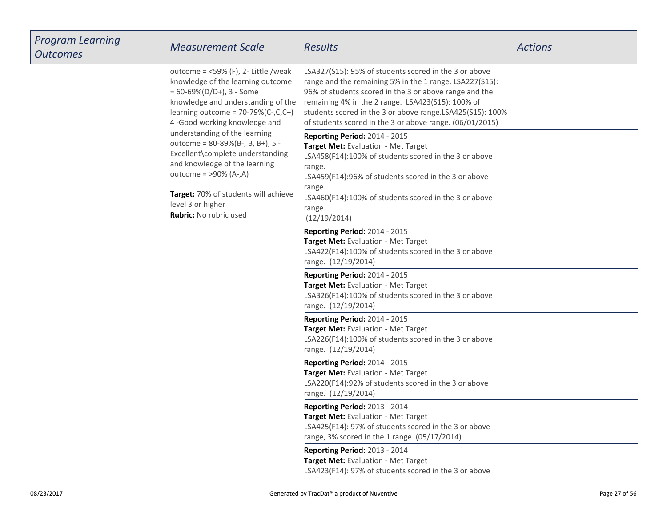| <b>Program Learning</b><br><b>Outcomes</b> | <b>Measurement Scale</b>                                                                                                                                                                                                                                                                                                                                                                        | <b>Results</b>                                                                                                                                                                                                                                                                                                                                           | <b>Actions</b> |
|--------------------------------------------|-------------------------------------------------------------------------------------------------------------------------------------------------------------------------------------------------------------------------------------------------------------------------------------------------------------------------------------------------------------------------------------------------|----------------------------------------------------------------------------------------------------------------------------------------------------------------------------------------------------------------------------------------------------------------------------------------------------------------------------------------------------------|----------------|
|                                            | outcome = $<$ 59% (F), 2- Little /weak<br>knowledge of the learning outcome<br>$= 60 - 69\% (D/D+), 3 - Some$<br>knowledge and understanding of the<br>learning outcome = $70-79%$ (C-,C,C+)<br>4-Good working knowledge and<br>understanding of the learning<br>outcome = 80-89%(B-, B, B+), 5 -<br>Excellent\complete understanding<br>and knowledge of the learning<br>outcome = >90% (A-,A) | LSA327(S15): 95% of students scored in the 3 or above<br>range and the remaining 5% in the 1 range. LSA227(S15):<br>96% of students scored in the 3 or above range and the<br>remaining 4% in the 2 range. LSA423(S15): 100% of<br>students scored in the 3 or above range.LSA425(S15): 100%<br>of students scored in the 3 or above range. (06/01/2015) |                |
|                                            |                                                                                                                                                                                                                                                                                                                                                                                                 | Reporting Period: 2014 - 2015<br>Target Met: Evaluation - Met Target<br>LSA458(F14):100% of students scored in the 3 or above<br>range.<br>LSA459(F14):96% of students scored in the 3 or above                                                                                                                                                          |                |
|                                            | Target: 70% of students will achieve<br>level 3 or higher<br>Rubric: No rubric used                                                                                                                                                                                                                                                                                                             | range.<br>LSA460(F14):100% of students scored in the 3 or above<br>range.<br>(12/19/2014)                                                                                                                                                                                                                                                                |                |
|                                            |                                                                                                                                                                                                                                                                                                                                                                                                 | Reporting Period: 2014 - 2015<br>Target Met: Evaluation - Met Target<br>LSA422(F14):100% of students scored in the 3 or above<br>range. (12/19/2014)                                                                                                                                                                                                     |                |
|                                            |                                                                                                                                                                                                                                                                                                                                                                                                 | Reporting Period: 2014 - 2015<br>Target Met: Evaluation - Met Target<br>LSA326(F14):100% of students scored in the 3 or above<br>range. (12/19/2014)                                                                                                                                                                                                     |                |
|                                            |                                                                                                                                                                                                                                                                                                                                                                                                 | Reporting Period: 2014 - 2015<br>Target Met: Evaluation - Met Target<br>LSA226(F14):100% of students scored in the 3 or above<br>range. (12/19/2014)                                                                                                                                                                                                     |                |
|                                            |                                                                                                                                                                                                                                                                                                                                                                                                 | Reporting Period: 2014 - 2015<br>Target Met: Evaluation - Met Target<br>LSA220(F14):92% of students scored in the 3 or above<br>range. (12/19/2014)                                                                                                                                                                                                      |                |
|                                            |                                                                                                                                                                                                                                                                                                                                                                                                 | <b>Reporting Period: 2013 - 2014</b><br>Target Met: Evaluation - Met Target<br>LSA425(F14): 97% of students scored in the 3 or above<br>range, 3% scored in the 1 range. (05/17/2014)                                                                                                                                                                    |                |
|                                            |                                                                                                                                                                                                                                                                                                                                                                                                 | Reporting Period: 2013 - 2014<br>Target Met: Evaluation - Met Target<br>LSA423(F14): 97% of students scored in the 3 or above                                                                                                                                                                                                                            |                |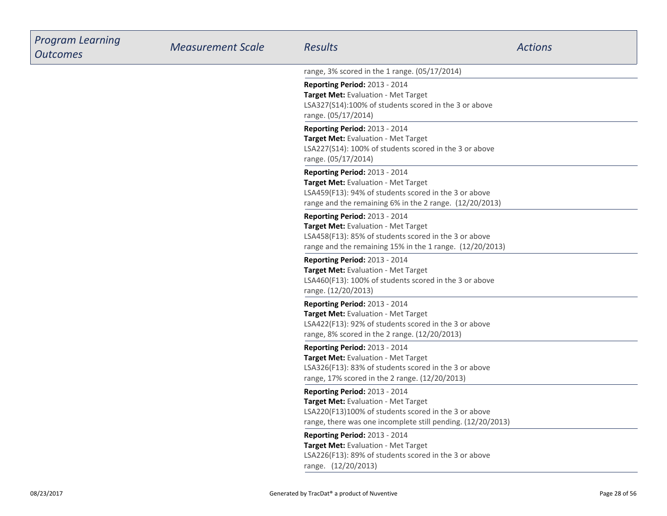| <b>Program Learning</b><br><b>Outcomes</b> | <b>Measurement Scale</b> | Results                                                                                                                                                                                            | <b>Actions</b> |
|--------------------------------------------|--------------------------|----------------------------------------------------------------------------------------------------------------------------------------------------------------------------------------------------|----------------|
|                                            |                          | range, 3% scored in the 1 range. (05/17/2014)                                                                                                                                                      |                |
|                                            |                          | Reporting Period: 2013 - 2014<br>Target Met: Evaluation - Met Target<br>LSA327(S14):100% of students scored in the 3 or above<br>range. (05/17/2014)                                               |                |
|                                            |                          | Reporting Period: 2013 - 2014<br>Target Met: Evaluation - Met Target<br>LSA227(S14): 100% of students scored in the 3 or above<br>range. (05/17/2014)                                              |                |
|                                            |                          | Reporting Period: 2013 - 2014<br>Target Met: Evaluation - Met Target<br>LSA459(F13): 94% of students scored in the 3 or above<br>range and the remaining 6% in the 2 range. (12/20/2013)           |                |
|                                            |                          | Reporting Period: 2013 - 2014<br>Target Met: Evaluation - Met Target<br>LSA458(F13): 85% of students scored in the 3 or above<br>range and the remaining 15% in the 1 range. (12/20/2013)          |                |
|                                            |                          | Reporting Period: 2013 - 2014<br>Target Met: Evaluation - Met Target<br>LSA460(F13): 100% of students scored in the 3 or above<br>range. (12/20/2013)                                              |                |
|                                            |                          | Reporting Period: 2013 - 2014<br>Target Met: Evaluation - Met Target<br>LSA422(F13): 92% of students scored in the 3 or above<br>range, 8% scored in the 2 range. (12/20/2013)                     |                |
|                                            |                          | Reporting Period: 2013 - 2014<br>Target Met: Evaluation - Met Target<br>LSA326(F13): 83% of students scored in the 3 or above<br>range, 17% scored in the 2 range. (12/20/2013)                    |                |
|                                            |                          | Reporting Period: 2013 - 2014<br><b>Target Met:</b> Evaluation - Met Target<br>LSA220(F13)100% of students scored in the 3 or above<br>range, there was one incomplete still pending. (12/20/2013) |                |
|                                            |                          | Reporting Period: 2013 - 2014<br>Target Met: Evaluation - Met Target<br>LSA226(F13): 89% of students scored in the 3 or above<br>range. (12/20/2013)                                               |                |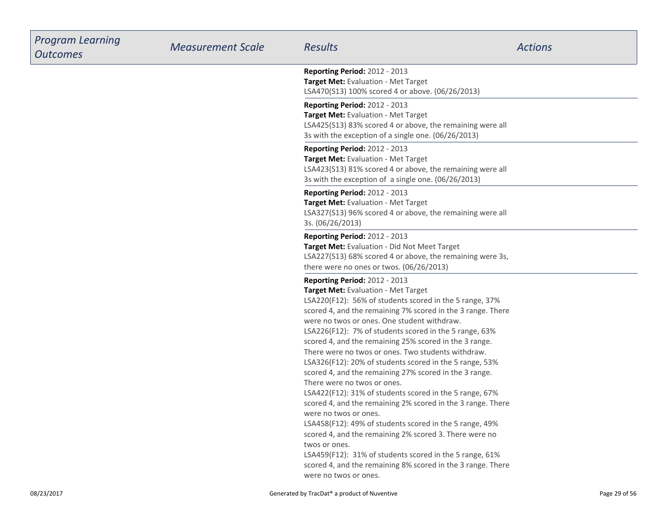| <b>Program Learning</b><br><b>Outcomes</b> | <b>Measurement Scale</b> | <b>Results</b>                                                                                                                                                                                                                                                                                                                                                                                                                                                                                                                                                                                                                                                                                                                                                                                                                                                                                                                                                                                                          | <b>Actions</b> |
|--------------------------------------------|--------------------------|-------------------------------------------------------------------------------------------------------------------------------------------------------------------------------------------------------------------------------------------------------------------------------------------------------------------------------------------------------------------------------------------------------------------------------------------------------------------------------------------------------------------------------------------------------------------------------------------------------------------------------------------------------------------------------------------------------------------------------------------------------------------------------------------------------------------------------------------------------------------------------------------------------------------------------------------------------------------------------------------------------------------------|----------------|
|                                            |                          | Reporting Period: 2012 - 2013<br>Target Met: Evaluation - Met Target<br>LSA470(S13) 100% scored 4 or above. (06/26/2013)                                                                                                                                                                                                                                                                                                                                                                                                                                                                                                                                                                                                                                                                                                                                                                                                                                                                                                |                |
|                                            |                          | Reporting Period: 2012 - 2013<br>Target Met: Evaluation - Met Target<br>LSA425(S13) 83% scored 4 or above, the remaining were all<br>3s with the exception of a single one. (06/26/2013)                                                                                                                                                                                                                                                                                                                                                                                                                                                                                                                                                                                                                                                                                                                                                                                                                                |                |
|                                            |                          | Reporting Period: 2012 - 2013<br>Target Met: Evaluation - Met Target<br>LSA423(S13) 81% scored 4 or above, the remaining were all<br>3s with the exception of a single one. (06/26/2013)                                                                                                                                                                                                                                                                                                                                                                                                                                                                                                                                                                                                                                                                                                                                                                                                                                |                |
|                                            |                          | Reporting Period: 2012 - 2013<br>Target Met: Evaluation - Met Target<br>LSA327(S13) 96% scored 4 or above, the remaining were all<br>3s. (06/26/2013)                                                                                                                                                                                                                                                                                                                                                                                                                                                                                                                                                                                                                                                                                                                                                                                                                                                                   |                |
|                                            |                          | Reporting Period: 2012 - 2013<br>Target Met: Evaluation - Did Not Meet Target<br>LSA227(S13) 68% scored 4 or above, the remaining were 3s,<br>there were no ones or twos. (06/26/2013)                                                                                                                                                                                                                                                                                                                                                                                                                                                                                                                                                                                                                                                                                                                                                                                                                                  |                |
|                                            |                          | Reporting Period: 2012 - 2013<br>Target Met: Evaluation - Met Target<br>LSA220(F12): 56% of students scored in the 5 range, 37%<br>scored 4, and the remaining 7% scored in the 3 range. There<br>were no twos or ones. One student withdraw.<br>LSA226(F12): 7% of students scored in the 5 range, 63%<br>scored 4, and the remaining 25% scored in the 3 range.<br>There were no twos or ones. Two students withdraw.<br>LSA326(F12): 20% of students scored in the 5 range, 53%<br>scored 4, and the remaining 27% scored in the 3 range.<br>There were no twos or ones.<br>LSA422(F12): 31% of students scored in the 5 range, 67%<br>scored 4, and the remaining 2% scored in the 3 range. There<br>were no twos or ones.<br>LSA458(F12): 49% of students scored in the 5 range, 49%<br>scored 4, and the remaining 2% scored 3. There were no<br>twos or ones.<br>LSA459(F12): 31% of students scored in the 5 range, 61%<br>scored 4, and the remaining 8% scored in the 3 range. There<br>were no twos or ones. |                |
| 08/23/2017                                 |                          | Generated by TracDat® a product of Nuventive                                                                                                                                                                                                                                                                                                                                                                                                                                                                                                                                                                                                                                                                                                                                                                                                                                                                                                                                                                            | Page 29 of 56  |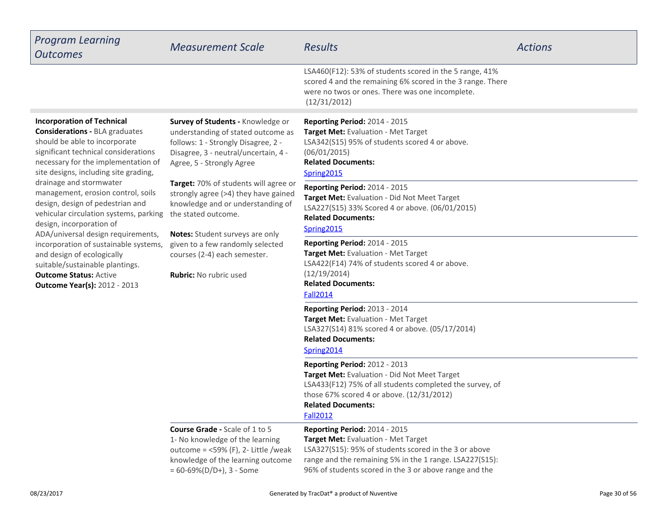| <b>Program Learning</b><br><b>Outcomes</b>                                                                                                                                                                                                                                                                                                                                                      | <b>Measurement Scale</b>                                                                                                                                                                                                                                                          | <b>Results</b>                                                                                                                                                                                                                                            | <b>Actions</b> |
|-------------------------------------------------------------------------------------------------------------------------------------------------------------------------------------------------------------------------------------------------------------------------------------------------------------------------------------------------------------------------------------------------|-----------------------------------------------------------------------------------------------------------------------------------------------------------------------------------------------------------------------------------------------------------------------------------|-----------------------------------------------------------------------------------------------------------------------------------------------------------------------------------------------------------------------------------------------------------|----------------|
|                                                                                                                                                                                                                                                                                                                                                                                                 |                                                                                                                                                                                                                                                                                   | LSA460(F12): 53% of students scored in the 5 range, 41%<br>scored 4 and the remaining 6% scored in the 3 range. There<br>were no twos or ones. There was one incomplete.<br>(12/31/2012)                                                                  |                |
| <b>Incorporation of Technical</b><br><b>Considerations - BLA graduates</b><br>should be able to incorporate<br>significant technical considerations<br>necessary for the implementation of<br>site designs, including site grading,                                                                                                                                                             | Survey of Students - Knowledge or<br>understanding of stated outcome as<br>follows: 1 - Strongly Disagree, 2 -<br>Disagree, 3 - neutral/uncertain, 4 -<br>Agree, 5 - Strongly Agree                                                                                               | Reporting Period: 2014 - 2015<br>Target Met: Evaluation - Met Target<br>LSA342(S15) 95% of students scored 4 or above.<br>(06/01/2015)<br><b>Related Documents:</b><br>Spring2015                                                                         |                |
| drainage and stormwater<br>management, erosion control, soils<br>design, design of pedestrian and<br>vehicular circulation systems, parking<br>design, incorporation of<br>ADA/universal design requirements,<br>incorporation of sustainable systems,<br>and design of ecologically<br>suitable/sustainable plantings.<br><b>Outcome Status: Active</b><br><b>Outcome Year(s): 2012 - 2013</b> | Target: 70% of students will agree or<br>strongly agree (>4) they have gained<br>knowledge and or understanding of<br>the stated outcome.<br>Notes: Student surveys are only<br>given to a few randomly selected<br>courses (2-4) each semester.<br><b>Rubric:</b> No rubric used | Reporting Period: 2014 - 2015<br>Target Met: Evaluation - Did Not Meet Target<br>LSA227(S15) 33% Scored 4 or above. (06/01/2015)<br><b>Related Documents:</b><br>Spring2015                                                                               |                |
|                                                                                                                                                                                                                                                                                                                                                                                                 |                                                                                                                                                                                                                                                                                   | <b>Reporting Period: 2014 - 2015</b><br>Target Met: Evaluation - Met Target<br>LSA422(F14) 74% of students scored 4 or above.<br>(12/19/2014)<br><b>Related Documents:</b><br><b>Fall2014</b>                                                             |                |
|                                                                                                                                                                                                                                                                                                                                                                                                 |                                                                                                                                                                                                                                                                                   | Reporting Period: 2013 - 2014<br>Target Met: Evaluation - Met Target<br>LSA327(S14) 81% scored 4 or above. (05/17/2014)<br><b>Related Documents:</b><br>Spring2014                                                                                        |                |
|                                                                                                                                                                                                                                                                                                                                                                                                 |                                                                                                                                                                                                                                                                                   | Reporting Period: 2012 - 2013<br>Target Met: Evaluation - Did Not Meet Target<br>LSA433(F12) 75% of all students completed the survey, of<br>those 67% scored 4 or above. (12/31/2012)<br><b>Related Documents:</b><br><b>Fall2012</b>                    |                |
|                                                                                                                                                                                                                                                                                                                                                                                                 | <b>Course Grade - Scale of 1 to 5</b><br>1- No knowledge of the learning<br>outcome = $<$ 59% (F), 2- Little /weak<br>knowledge of the learning outcome<br>$= 60 - 69\% (D/D+), 3 - Some$                                                                                         | <b>Reporting Period: 2014 - 2015</b><br>Target Met: Evaluation - Met Target<br>LSA327(S15): 95% of students scored in the 3 or above<br>range and the remaining 5% in the 1 range. LSA227(S15):<br>96% of students scored in the 3 or above range and the |                |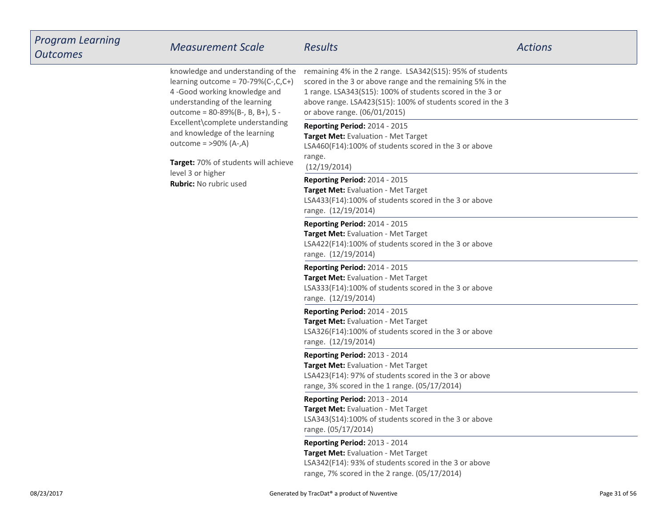| <b>Program Learning</b><br><b>Outcomes</b> | <b>Measurement Scale</b>                                                                                                                                                                                                                                                          | <b>Results</b>                                                                                                                                                                                                                                                                     | <b>Actions</b> |
|--------------------------------------------|-----------------------------------------------------------------------------------------------------------------------------------------------------------------------------------------------------------------------------------------------------------------------------------|------------------------------------------------------------------------------------------------------------------------------------------------------------------------------------------------------------------------------------------------------------------------------------|----------------|
|                                            | knowledge and understanding of the<br>learning outcome = $70-79%$ (C-,C,C+)<br>4-Good working knowledge and<br>understanding of the learning<br>outcome = 80-89%(B-, B, B+), 5 -<br>Excellent\complete understanding<br>and knowledge of the learning<br>outcome = $>90\%$ (A-,A) | remaining 4% in the 2 range. LSA342(S15): 95% of students<br>scored in the 3 or above range and the remaining 5% in the<br>1 range. LSA343(S15): 100% of students scored in the 3 or<br>above range. LSA423(S15): 100% of students scored in the 3<br>or above range. (06/01/2015) |                |
|                                            |                                                                                                                                                                                                                                                                                   | Reporting Period: 2014 - 2015<br>Target Met: Evaluation - Met Target<br>LSA460(F14):100% of students scored in the 3 or above                                                                                                                                                      |                |
|                                            | Target: 70% of students will achieve<br>level 3 or higher                                                                                                                                                                                                                         | range.<br>(12/19/2014)                                                                                                                                                                                                                                                             |                |
|                                            | Rubric: No rubric used                                                                                                                                                                                                                                                            | Reporting Period: 2014 - 2015<br>Target Met: Evaluation - Met Target<br>LSA433(F14):100% of students scored in the 3 or above<br>range. (12/19/2014)                                                                                                                               |                |
|                                            |                                                                                                                                                                                                                                                                                   | Reporting Period: 2014 - 2015<br>Target Met: Evaluation - Met Target<br>LSA422(F14):100% of students scored in the 3 or above<br>range. (12/19/2014)                                                                                                                               |                |
|                                            |                                                                                                                                                                                                                                                                                   | Reporting Period: 2014 - 2015<br>Target Met: Evaluation - Met Target<br>LSA333(F14):100% of students scored in the 3 or above<br>range. (12/19/2014)                                                                                                                               |                |
|                                            |                                                                                                                                                                                                                                                                                   | Reporting Period: 2014 - 2015<br>Target Met: Evaluation - Met Target<br>LSA326(F14):100% of students scored in the 3 or above<br>range. (12/19/2014)                                                                                                                               |                |
|                                            |                                                                                                                                                                                                                                                                                   | Reporting Period: 2013 - 2014<br>Target Met: Evaluation - Met Target<br>LSA423(F14): 97% of students scored in the 3 or above<br>range, 3% scored in the 1 range. (05/17/2014)                                                                                                     |                |
|                                            |                                                                                                                                                                                                                                                                                   | Reporting Period: 2013 - 2014<br>Target Met: Evaluation - Met Target<br>LSA343(S14):100% of students scored in the 3 or above<br>range. (05/17/2014)                                                                                                                               |                |
|                                            |                                                                                                                                                                                                                                                                                   | Reporting Period: 2013 - 2014<br>Target Met: Evaluation - Met Target<br>LSA342(F14): 93% of students scored in the 3 or above<br>range, 7% scored in the 2 range. (05/17/2014)                                                                                                     |                |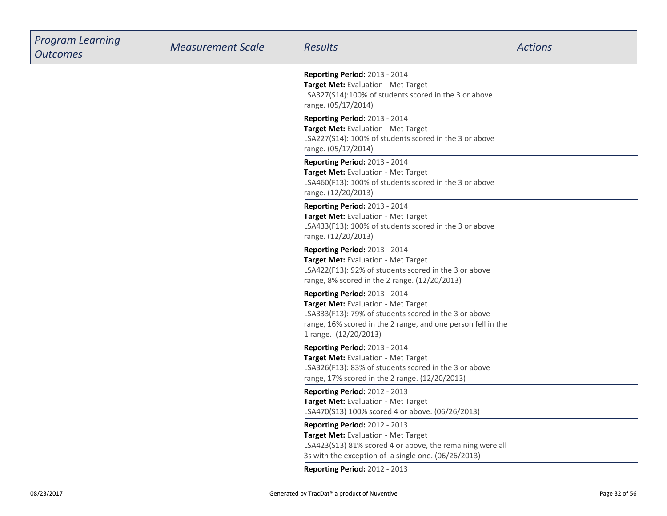| <b>Program Learning</b><br><b>Outcomes</b> | <b>Measurement Scale</b> | Results                                                                                                                                                                                                                | <b>Actions</b> |
|--------------------------------------------|--------------------------|------------------------------------------------------------------------------------------------------------------------------------------------------------------------------------------------------------------------|----------------|
|                                            |                          | <b>Reporting Period: 2013 - 2014</b><br>Target Met: Evaluation - Met Target<br>LSA327(S14):100% of students scored in the 3 or above<br>range. (05/17/2014)                                                            |                |
|                                            |                          | <b>Reporting Period: 2013 - 2014</b><br>Target Met: Evaluation - Met Target<br>LSA227(S14): 100% of students scored in the 3 or above<br>range. (05/17/2014)                                                           |                |
|                                            |                          | Reporting Period: 2013 - 2014<br>Target Met: Evaluation - Met Target<br>LSA460(F13): 100% of students scored in the 3 or above<br>range. (12/20/2013)                                                                  |                |
|                                            |                          | Reporting Period: 2013 - 2014<br>Target Met: Evaluation - Met Target<br>LSA433(F13): 100% of students scored in the 3 or above<br>range. (12/20/2013)                                                                  |                |
|                                            |                          | <b>Reporting Period: 2013 - 2014</b><br>Target Met: Evaluation - Met Target<br>LSA422(F13): 92% of students scored in the 3 or above<br>range, 8% scored in the 2 range. (12/20/2013)                                  |                |
|                                            |                          | Reporting Period: 2013 - 2014<br>Target Met: Evaluation - Met Target<br>LSA333(F13): 79% of students scored in the 3 or above<br>range, 16% scored in the 2 range, and one person fell in the<br>1 range. (12/20/2013) |                |
|                                            |                          | Reporting Period: 2013 - 2014<br>Target Met: Evaluation - Met Target<br>LSA326(F13): 83% of students scored in the 3 or above<br>range, 17% scored in the 2 range. (12/20/2013)                                        |                |
|                                            |                          | <b>Reporting Period: 2012 - 2013</b><br>Target Met: Evaluation - Met Target<br>LSA470(S13) 100% scored 4 or above. (06/26/2013)                                                                                        |                |
|                                            |                          | <b>Reporting Period: 2012 - 2013</b><br>Target Met: Evaluation - Met Target<br>LSA423(S13) 81% scored 4 or above, the remaining were all<br>3s with the exception of a single one. (06/26/2013)                        |                |
|                                            |                          | Reporting Period: 2012 - 2013                                                                                                                                                                                          |                |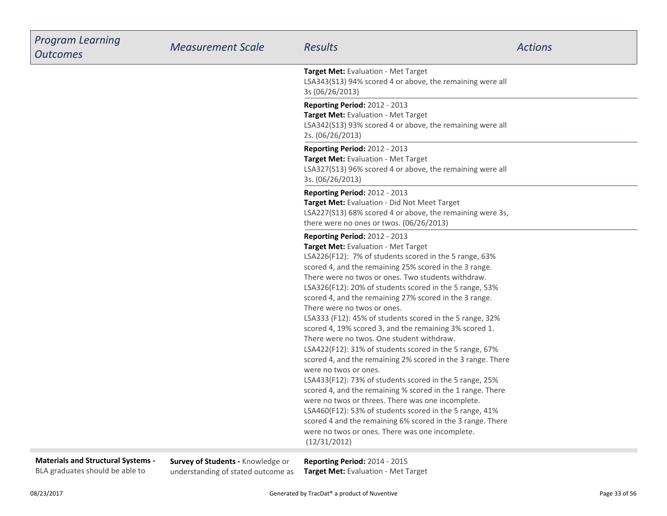| <b>Program Learning</b><br><b>Outcomes</b>                                   | <b>Measurement Scale</b>                                                | <b>Results</b>                                                                                                                                                                                                                                                                                                                                                                                                                                                                                                                                                                                                                                                                                                                                                                                                                                                                                                                                                                                                                                                                                            | <b>Actions</b> |
|------------------------------------------------------------------------------|-------------------------------------------------------------------------|-----------------------------------------------------------------------------------------------------------------------------------------------------------------------------------------------------------------------------------------------------------------------------------------------------------------------------------------------------------------------------------------------------------------------------------------------------------------------------------------------------------------------------------------------------------------------------------------------------------------------------------------------------------------------------------------------------------------------------------------------------------------------------------------------------------------------------------------------------------------------------------------------------------------------------------------------------------------------------------------------------------------------------------------------------------------------------------------------------------|----------------|
|                                                                              |                                                                         | Target Met: Evaluation - Met Target<br>LSA343(S13) 94% scored 4 or above, the remaining were all<br>3s (06/26/2013)                                                                                                                                                                                                                                                                                                                                                                                                                                                                                                                                                                                                                                                                                                                                                                                                                                                                                                                                                                                       |                |
|                                                                              |                                                                         | <b>Reporting Period: 2012 - 2013</b><br>Target Met: Evaluation - Met Target<br>LSA342(S13) 93% scored 4 or above, the remaining were all<br>2s. (06/26/2013)                                                                                                                                                                                                                                                                                                                                                                                                                                                                                                                                                                                                                                                                                                                                                                                                                                                                                                                                              |                |
|                                                                              |                                                                         | Reporting Period: 2012 - 2013<br>Target Met: Evaluation - Met Target<br>LSA327(S13) 96% scored 4 or above, the remaining were all<br>3s. (06/26/2013)                                                                                                                                                                                                                                                                                                                                                                                                                                                                                                                                                                                                                                                                                                                                                                                                                                                                                                                                                     |                |
|                                                                              |                                                                         | Reporting Period: 2012 - 2013<br>Target Met: Evaluation - Did Not Meet Target<br>LSA227(S13) 68% scored 4 or above, the remaining were 3s,<br>there were no ones or twos. (06/26/2013)                                                                                                                                                                                                                                                                                                                                                                                                                                                                                                                                                                                                                                                                                                                                                                                                                                                                                                                    |                |
|                                                                              |                                                                         | <b>Reporting Period: 2012 - 2013</b><br>Target Met: Evaluation - Met Target<br>LSA226(F12): 7% of students scored in the 5 range, 63%<br>scored 4, and the remaining 25% scored in the 3 range.<br>There were no twos or ones. Two students withdraw.<br>LSA326(F12): 20% of students scored in the 5 range, 53%<br>scored 4, and the remaining 27% scored in the 3 range.<br>There were no twos or ones.<br>LSA333 (F12): 45% of students scored in the 5 range, 32%<br>scored 4, 19% scored 3, and the remaining 3% scored 1.<br>There were no twos. One student withdraw.<br>LSA422(F12): 31% of students scored in the 5 range, 67%<br>scored 4, and the remaining 2% scored in the 3 range. There<br>were no twos or ones.<br>LSA433(F12): 73% of students scored in the 5 range, 25%<br>scored 4, and the remaining % scored in the 1 range. There<br>were no twos or threes. There was one incomplete.<br>LSA460(F12): 53% of students scored in the 5 range, 41%<br>scored 4 and the remaining 6% scored in the 3 range. There<br>were no twos or ones. There was one incomplete.<br>(12/31/2012) |                |
| <b>Materials and Structural Systems -</b><br>BLA graduates should be able to | Survey of Students - Knowledge or<br>understanding of stated outcome as | Reporting Period: 2014 - 2015<br>Target Met: Evaluation - Met Target                                                                                                                                                                                                                                                                                                                                                                                                                                                                                                                                                                                                                                                                                                                                                                                                                                                                                                                                                                                                                                      |                |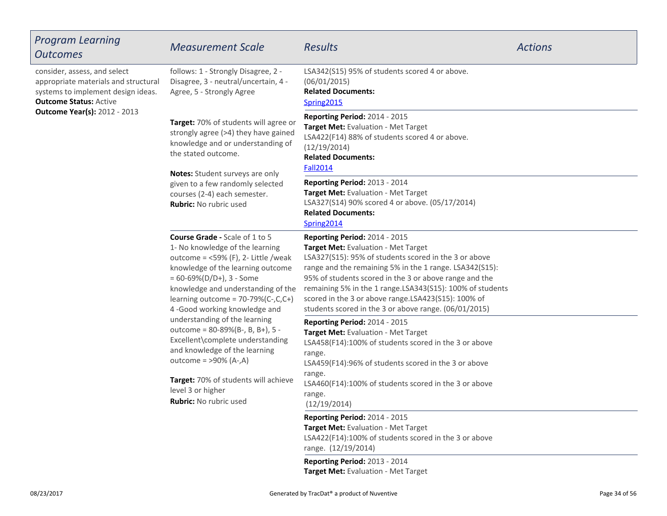| Program Learning<br>Outcomes                                                                                                                                                       | <b>Measurement Scale</b>                                                                                                                                                                                                                                                                                                                                                                                                                                                                                                                                                     | <b>Results</b>                                                                                                                                                                                                                                                                                                                                                                                                                         | <b>Actions</b> |
|------------------------------------------------------------------------------------------------------------------------------------------------------------------------------------|------------------------------------------------------------------------------------------------------------------------------------------------------------------------------------------------------------------------------------------------------------------------------------------------------------------------------------------------------------------------------------------------------------------------------------------------------------------------------------------------------------------------------------------------------------------------------|----------------------------------------------------------------------------------------------------------------------------------------------------------------------------------------------------------------------------------------------------------------------------------------------------------------------------------------------------------------------------------------------------------------------------------------|----------------|
| consider, assess, and select<br>appropriate materials and structural<br>systems to implement design ideas.<br><b>Outcome Status: Active</b><br><b>Outcome Year(s): 2012 - 2013</b> | follows: 1 - Strongly Disagree, 2 -<br>Disagree, 3 - neutral/uncertain, 4 -<br>Agree, 5 - Strongly Agree                                                                                                                                                                                                                                                                                                                                                                                                                                                                     | LSA342(S15) 95% of students scored 4 or above.<br>(06/01/2015)<br><b>Related Documents:</b><br>Spring2015                                                                                                                                                                                                                                                                                                                              |                |
|                                                                                                                                                                                    | Target: 70% of students will agree or<br>strongly agree (>4) they have gained<br>knowledge and or understanding of<br>the stated outcome.                                                                                                                                                                                                                                                                                                                                                                                                                                    | Reporting Period: 2014 - 2015<br>Target Met: Evaluation - Met Target<br>LSA422(F14) 88% of students scored 4 or above.<br>(12/19/2014)<br><b>Related Documents:</b><br><b>Fall2014</b>                                                                                                                                                                                                                                                 |                |
|                                                                                                                                                                                    | Notes: Student surveys are only<br>given to a few randomly selected<br>courses (2-4) each semester.<br><b>Rubric: No rubric used</b>                                                                                                                                                                                                                                                                                                                                                                                                                                         | <b>Reporting Period: 2013 - 2014</b><br>Target Met: Evaluation - Met Target<br>LSA327(S14) 90% scored 4 or above. (05/17/2014)<br><b>Related Documents:</b><br>Spring2014                                                                                                                                                                                                                                                              |                |
|                                                                                                                                                                                    | <b>Course Grade - Scale of 1 to 5</b><br>1- No knowledge of the learning<br>outcome = $<$ 59% (F), 2- Little /weak<br>knowledge of the learning outcome<br>$= 60 - 69\% (D/D+), 3 - Some$<br>knowledge and understanding of the<br>learning outcome = $70-79%$ (C-,C,C+)<br>4-Good working knowledge and<br>understanding of the learning<br>outcome = 80-89%(B-, B, B+), 5 -<br>Excellent\complete understanding<br>and knowledge of the learning<br>outcome = $>90\%$ (A-,A)<br>Target: 70% of students will achieve<br>level 3 or higher<br><b>Rubric:</b> No rubric used | <b>Reporting Period: 2014 - 2015</b><br>Target Met: Evaluation - Met Target<br>LSA327(S15): 95% of students scored in the 3 or above<br>range and the remaining 5% in the 1 range. LSA342(S15):<br>95% of students scored in the 3 or above range and the<br>remaining 5% in the 1 range.LSA343(S15): 100% of students<br>scored in the 3 or above range.LSA423(S15): 100% of<br>students scored in the 3 or above range. (06/01/2015) |                |
|                                                                                                                                                                                    |                                                                                                                                                                                                                                                                                                                                                                                                                                                                                                                                                                              | Reporting Period: 2014 - 2015<br>Target Met: Evaluation - Met Target<br>LSA458(F14):100% of students scored in the 3 or above<br>range.<br>LSA459(F14):96% of students scored in the 3 or above<br>range.<br>LSA460(F14):100% of students scored in the 3 or above<br>range.<br>(12/19/2014)                                                                                                                                           |                |
|                                                                                                                                                                                    |                                                                                                                                                                                                                                                                                                                                                                                                                                                                                                                                                                              | Reporting Period: 2014 - 2015<br>Target Met: Evaluation - Met Target<br>LSA422(F14):100% of students scored in the 3 or above<br>range. (12/19/2014)<br>Reporting Period: 2013 - 2014                                                                                                                                                                                                                                                  |                |
|                                                                                                                                                                                    |                                                                                                                                                                                                                                                                                                                                                                                                                                                                                                                                                                              | Target Met: Evaluation - Met Target                                                                                                                                                                                                                                                                                                                                                                                                    |                |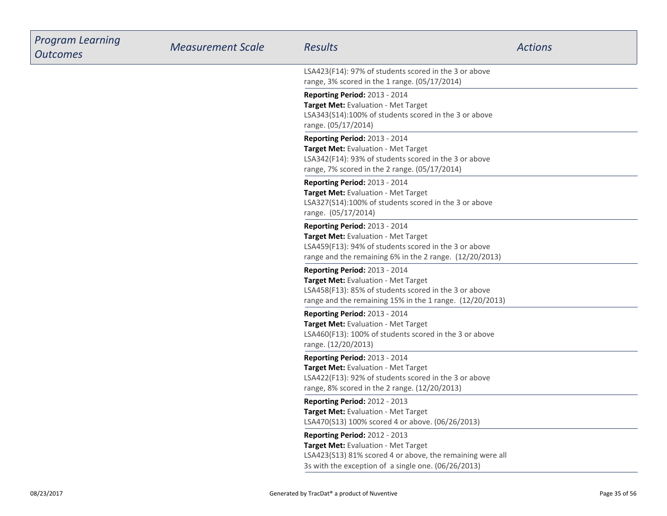| <b>Program Learning</b><br><b>Outcomes</b> | <b>Measurement Scale</b> | <b>Results</b>                                                                                                                                                                            | <b>Actions</b> |
|--------------------------------------------|--------------------------|-------------------------------------------------------------------------------------------------------------------------------------------------------------------------------------------|----------------|
|                                            |                          | LSA423(F14): 97% of students scored in the 3 or above<br>range, 3% scored in the 1 range. (05/17/2014)                                                                                    |                |
|                                            |                          | <b>Reporting Period: 2013 - 2014</b><br>Target Met: Evaluation - Met Target<br>LSA343(S14):100% of students scored in the 3 or above<br>range. (05/17/2014)                               |                |
|                                            |                          | Reporting Period: 2013 - 2014<br>Target Met: Evaluation - Met Target<br>LSA342(F14): 93% of students scored in the 3 or above<br>range, 7% scored in the 2 range. (05/17/2014)            |                |
|                                            |                          | <b>Reporting Period: 2013 - 2014</b><br>Target Met: Evaluation - Met Target<br>LSA327(S14):100% of students scored in the 3 or above<br>range. (05/17/2014)                               |                |
|                                            |                          | Reporting Period: 2013 - 2014<br>Target Met: Evaluation - Met Target<br>LSA459(F13): 94% of students scored in the 3 or above<br>range and the remaining 6% in the 2 range. (12/20/2013)  |                |
|                                            |                          | Reporting Period: 2013 - 2014<br>Target Met: Evaluation - Met Target<br>LSA458(F13): 85% of students scored in the 3 or above<br>range and the remaining 15% in the 1 range. (12/20/2013) |                |
|                                            |                          | <b>Reporting Period: 2013 - 2014</b><br>Target Met: Evaluation - Met Target<br>LSA460(F13): 100% of students scored in the 3 or above<br>range. (12/20/2013)                              |                |
|                                            |                          | Reporting Period: 2013 - 2014<br>Target Met: Evaluation - Met Target<br>LSA422(F13): 92% of students scored in the 3 or above<br>range, 8% scored in the 2 range. (12/20/2013)            |                |
|                                            |                          | <b>Reporting Period: 2012 - 2013</b><br>Target Met: Evaluation - Met Target<br>LSA470(S13) 100% scored 4 or above. (06/26/2013)                                                           |                |
|                                            |                          | Reporting Period: 2012 - 2013<br>Target Met: Evaluation - Met Target<br>LSA423(S13) 81% scored 4 or above, the remaining were all<br>3s with the exception of a single one. (06/26/2013)  |                |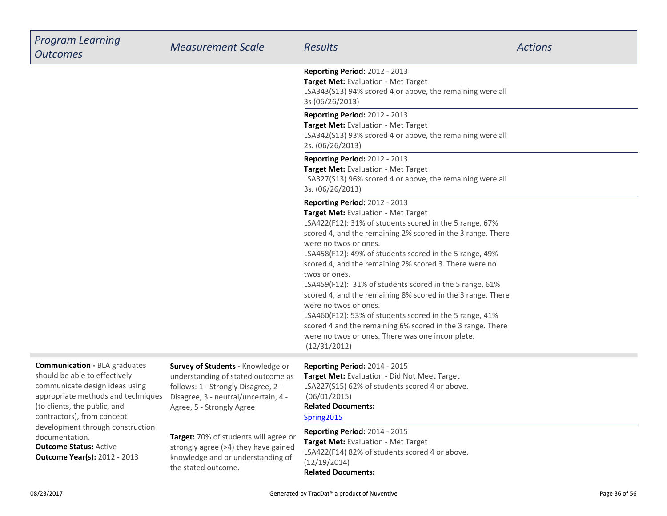| <b>Program Learning</b><br><b>Outcomes</b>                                                                                                    | <b>Measurement Scale</b>                                                                                                                               | <b>Results</b>                                                                                                                                                                                                                                                                                                                                                                                                                                                                                                                                                                                                                                                                                               | <b>Actions</b> |
|-----------------------------------------------------------------------------------------------------------------------------------------------|--------------------------------------------------------------------------------------------------------------------------------------------------------|--------------------------------------------------------------------------------------------------------------------------------------------------------------------------------------------------------------------------------------------------------------------------------------------------------------------------------------------------------------------------------------------------------------------------------------------------------------------------------------------------------------------------------------------------------------------------------------------------------------------------------------------------------------------------------------------------------------|----------------|
|                                                                                                                                               |                                                                                                                                                        | Reporting Period: 2012 - 2013<br>Target Met: Evaluation - Met Target<br>LSA343(S13) 94% scored 4 or above, the remaining were all<br>3s (06/26/2013)                                                                                                                                                                                                                                                                                                                                                                                                                                                                                                                                                         |                |
|                                                                                                                                               |                                                                                                                                                        | Reporting Period: 2012 - 2013<br>Target Met: Evaluation - Met Target<br>LSA342(S13) 93% scored 4 or above, the remaining were all<br>2s. (06/26/2013)                                                                                                                                                                                                                                                                                                                                                                                                                                                                                                                                                        |                |
|                                                                                                                                               |                                                                                                                                                        | Reporting Period: 2012 - 2013<br>Target Met: Evaluation - Met Target<br>LSA327(S13) 96% scored 4 or above, the remaining were all<br>3s. (06/26/2013)                                                                                                                                                                                                                                                                                                                                                                                                                                                                                                                                                        |                |
|                                                                                                                                               |                                                                                                                                                        | Reporting Period: 2012 - 2013<br>Target Met: Evaluation - Met Target<br>LSA422(F12): 31% of students scored in the 5 range, 67%<br>scored 4, and the remaining 2% scored in the 3 range. There<br>were no twos or ones.<br>LSA458(F12): 49% of students scored in the 5 range, 49%<br>scored 4, and the remaining 2% scored 3. There were no<br>twos or ones.<br>LSA459(F12): 31% of students scored in the 5 range, 61%<br>scored 4, and the remaining 8% scored in the 3 range. There<br>were no twos or ones.<br>LSA460(F12): 53% of students scored in the 5 range, 41%<br>scored 4 and the remaining 6% scored in the 3 range. There<br>were no twos or ones. There was one incomplete.<br>(12/31/2012) |                |
| <b>Communication - BLA graduates</b><br>should be able to effectively<br>communicate design ideas using<br>appropriate methods and techniques | Survey of Students - Knowledge or<br>understanding of stated outcome as<br>follows: 1 - Strongly Disagree, 2 -<br>Disagree, 3 - neutral/uncertain, 4 - | Reporting Period: 2014 - 2015<br>Target Met: Evaluation - Did Not Meet Target<br>LSA227(S15) 62% of students scored 4 or above.<br>(06/01/2015)                                                                                                                                                                                                                                                                                                                                                                                                                                                                                                                                                              |                |

**Related Documents:**

#### [Spring2015](https://esf.tracdat.com:443/tracdat/viewDocument?y=slnn4ivYRxpq)

**Target:** 70% of students will agree or strongly agree (>4) they have gainedknowledge and or understanding of

the stated outcome.

Agree, 5 - Strongly Agree

**Related Documents: Reporting Period:** 2014 - 2015 **Target Met:** Evaluation - Met Target LSA422(F14) 82% of students scored 4 or above.(12/19/2014)

**Outcome Status:** Active **Outcome Year(s):** 2012 - 2013

documentation.

(to clients, the public, and contractors), from conceptdevelopment through construction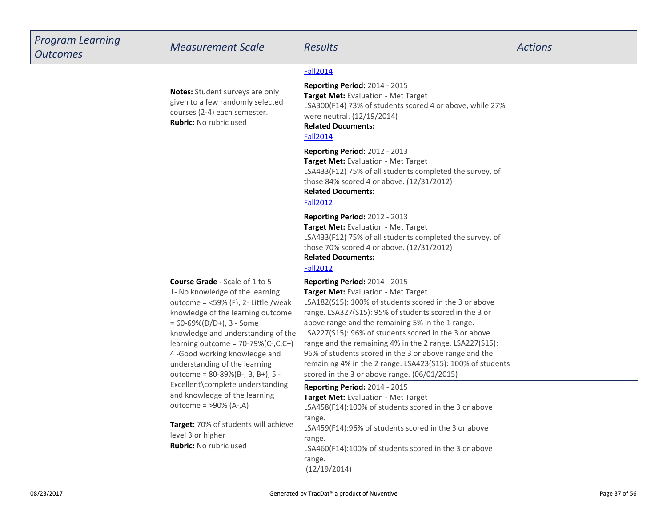| <b>Program Learning</b><br><b>Outcomes</b> | <b>Measurement Scale</b>                                                                                                                                                                                                                                                                                                                                                                                                                                                                                                                                              | <b>Results</b>                                                                                                                                                                                                                                                                                                                                                                                                                                                                                                                                                                                                                                                                                                                                                                                                 | <b>Actions</b> |
|--------------------------------------------|-----------------------------------------------------------------------------------------------------------------------------------------------------------------------------------------------------------------------------------------------------------------------------------------------------------------------------------------------------------------------------------------------------------------------------------------------------------------------------------------------------------------------------------------------------------------------|----------------------------------------------------------------------------------------------------------------------------------------------------------------------------------------------------------------------------------------------------------------------------------------------------------------------------------------------------------------------------------------------------------------------------------------------------------------------------------------------------------------------------------------------------------------------------------------------------------------------------------------------------------------------------------------------------------------------------------------------------------------------------------------------------------------|----------------|
|                                            |                                                                                                                                                                                                                                                                                                                                                                                                                                                                                                                                                                       | <b>Fall2014</b>                                                                                                                                                                                                                                                                                                                                                                                                                                                                                                                                                                                                                                                                                                                                                                                                |                |
|                                            | Notes: Student surveys are only<br>given to a few randomly selected<br>courses (2-4) each semester.<br><b>Rubric:</b> No rubric used                                                                                                                                                                                                                                                                                                                                                                                                                                  | <b>Reporting Period: 2014 - 2015</b><br>Target Met: Evaluation - Met Target<br>LSA300(F14) 73% of students scored 4 or above, while 27%<br>were neutral. (12/19/2014)<br><b>Related Documents:</b><br><b>Fall2014</b>                                                                                                                                                                                                                                                                                                                                                                                                                                                                                                                                                                                          |                |
|                                            |                                                                                                                                                                                                                                                                                                                                                                                                                                                                                                                                                                       | Reporting Period: 2012 - 2013<br>Target Met: Evaluation - Met Target<br>LSA433(F12) 75% of all students completed the survey, of<br>those 84% scored 4 or above. (12/31/2012)<br><b>Related Documents:</b><br><b>Fall2012</b>                                                                                                                                                                                                                                                                                                                                                                                                                                                                                                                                                                                  |                |
|                                            |                                                                                                                                                                                                                                                                                                                                                                                                                                                                                                                                                                       | <b>Reporting Period: 2012 - 2013</b><br>Target Met: Evaluation - Met Target<br>LSA433(F12) 75% of all students completed the survey, of<br>those 70% scored 4 or above. (12/31/2012)<br><b>Related Documents:</b><br><b>Fall2012</b>                                                                                                                                                                                                                                                                                                                                                                                                                                                                                                                                                                           |                |
|                                            | <b>Course Grade - Scale of 1 to 5</b><br>1- No knowledge of the learning<br>outcome = $<$ 59% (F), 2- Little /weak<br>knowledge of the learning outcome<br>$= 60 - 69\% (D/D+), 3 - Some$<br>knowledge and understanding of the<br>learning outcome = $70-79%$ (C-,C,C+)<br>4-Good working knowledge and<br>understanding of the learning<br>outcome = 80-89%(B-, B, B+), 5 -<br>Excellent\complete understanding<br>and knowledge of the learning<br>outcome = $>90\%$ (A-,A)<br>Target: 70% of students will achieve<br>level 3 or higher<br>Rubric: No rubric used | Reporting Period: 2014 - 2015<br>Target Met: Evaluation - Met Target<br>LSA182(S15): 100% of students scored in the 3 or above<br>range. LSA327(S15): 95% of students scored in the 3 or<br>above range and the remaining 5% in the 1 range.<br>LSA227(S15): 96% of students scored in the 3 or above<br>range and the remaining 4% in the 2 range. LSA227(S15):<br>96% of students scored in the 3 or above range and the<br>remaining 4% in the 2 range. LSA423(S15): 100% of students<br>scored in the 3 or above range. (06/01/2015)<br>Reporting Period: 2014 - 2015<br>Target Met: Evaluation - Met Target<br>LSA458(F14):100% of students scored in the 3 or above<br>range.<br>LSA459(F14):96% of students scored in the 3 or above<br>range.<br>LSA460(F14):100% of students scored in the 3 or above |                |
|                                            |                                                                                                                                                                                                                                                                                                                                                                                                                                                                                                                                                                       | range.<br>(12/19/2014)                                                                                                                                                                                                                                                                                                                                                                                                                                                                                                                                                                                                                                                                                                                                                                                         |                |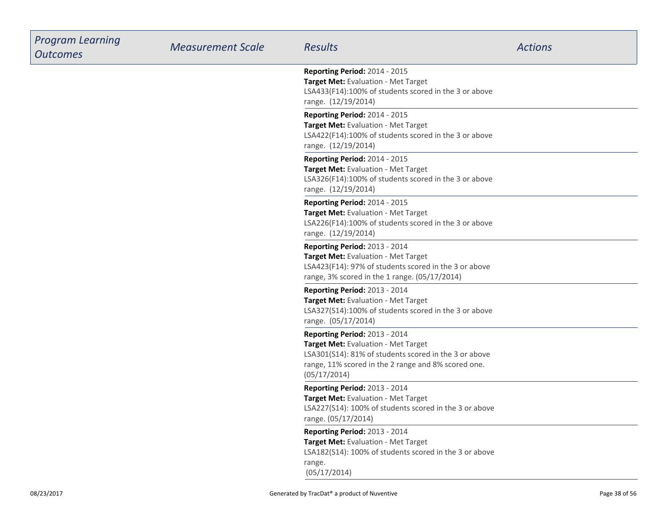| <b>Program Learning</b><br><b>Outcomes</b> | <b>Measurement Scale</b> | <b>Results</b>                                                                                                                                                                                       | <b>Actions</b> |
|--------------------------------------------|--------------------------|------------------------------------------------------------------------------------------------------------------------------------------------------------------------------------------------------|----------------|
|                                            |                          | Reporting Period: 2014 - 2015<br>Target Met: Evaluation - Met Target<br>LSA433(F14):100% of students scored in the 3 or above<br>range. (12/19/2014)                                                 |                |
|                                            |                          | Reporting Period: 2014 - 2015<br>Target Met: Evaluation - Met Target<br>LSA422(F14):100% of students scored in the 3 or above<br>range. (12/19/2014)                                                 |                |
|                                            |                          | Reporting Period: 2014 - 2015<br>Target Met: Evaluation - Met Target<br>LSA326(F14):100% of students scored in the 3 or above<br>range. (12/19/2014)                                                 |                |
|                                            |                          | Reporting Period: 2014 - 2015<br>Target Met: Evaluation - Met Target<br>LSA226(F14):100% of students scored in the 3 or above<br>range. (12/19/2014)                                                 |                |
|                                            |                          | Reporting Period: 2013 - 2014<br>Target Met: Evaluation - Met Target<br>LSA423(F14): 97% of students scored in the 3 or above<br>range, 3% scored in the 1 range. (05/17/2014)                       |                |
|                                            |                          | <b>Reporting Period: 2013 - 2014</b><br>Target Met: Evaluation - Met Target<br>LSA327(S14):100% of students scored in the 3 or above<br>range. (05/17/2014)                                          |                |
|                                            |                          | Reporting Period: 2013 - 2014<br>Target Met: Evaluation - Met Target<br>LSA301(S14): 81% of students scored in the 3 or above<br>range, 11% scored in the 2 range and 8% scored one.<br>(05/17/2014) |                |
|                                            |                          | Reporting Period: 2013 - 2014<br>Target Met: Evaluation - Met Target<br>LSA227(S14): 100% of students scored in the 3 or above<br>range. (05/17/2014)                                                |                |
|                                            |                          | Reporting Period: 2013 - 2014<br>Target Met: Evaluation - Met Target<br>LSA182(S14): 100% of students scored in the 3 or above<br>range.<br>(05/17/2014)                                             |                |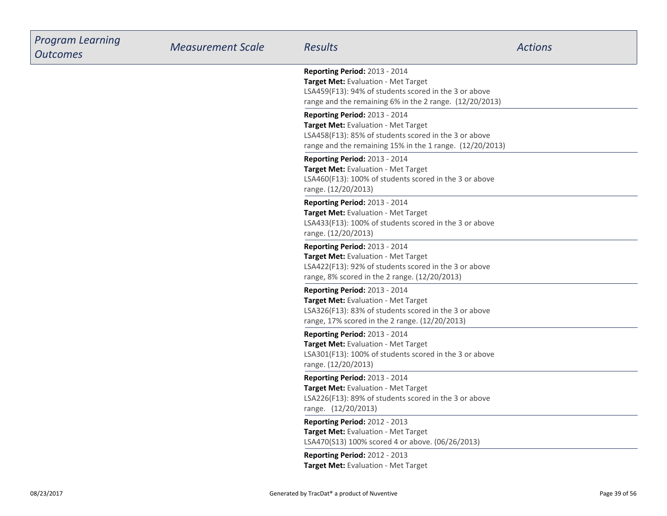| <b>Program Learning</b><br><b>Outcomes</b> | <b>Measurement Scale</b> | <b>Results</b>                                                                                                                                                                                  | <b>Actions</b> |
|--------------------------------------------|--------------------------|-------------------------------------------------------------------------------------------------------------------------------------------------------------------------------------------------|----------------|
|                                            |                          | <b>Reporting Period: 2013 - 2014</b><br>Target Met: Evaluation - Met Target<br>LSA459(F13): 94% of students scored in the 3 or above<br>range and the remaining 6% in the 2 range. (12/20/2013) |                |
|                                            |                          | Reporting Period: 2013 - 2014<br>Target Met: Evaluation - Met Target<br>LSA458(F13): 85% of students scored in the 3 or above<br>range and the remaining 15% in the 1 range. (12/20/2013)       |                |
|                                            |                          | Reporting Period: 2013 - 2014<br>Target Met: Evaluation - Met Target<br>LSA460(F13): 100% of students scored in the 3 or above<br>range. (12/20/2013)                                           |                |
|                                            |                          | <b>Reporting Period: 2013 - 2014</b><br>Target Met: Evaluation - Met Target<br>LSA433(F13): 100% of students scored in the 3 or above<br>range. (12/20/2013)                                    |                |
|                                            |                          | Reporting Period: 2013 - 2014<br>Target Met: Evaluation - Met Target<br>LSA422(F13): 92% of students scored in the 3 or above<br>range, 8% scored in the 2 range. (12/20/2013)                  |                |
|                                            |                          | Reporting Period: 2013 - 2014<br>Target Met: Evaluation - Met Target<br>LSA326(F13): 83% of students scored in the 3 or above<br>range, 17% scored in the 2 range. (12/20/2013)                 |                |
|                                            |                          | <b>Reporting Period: 2013 - 2014</b><br>Target Met: Evaluation - Met Target<br>LSA301(F13): 100% of students scored in the 3 or above<br>range. (12/20/2013)                                    |                |
|                                            |                          | Reporting Period: 2013 - 2014<br>Target Met: Evaluation - Met Target<br>LSA226(F13): 89% of students scored in the 3 or above<br>range. (12/20/2013)                                            |                |
|                                            |                          | Reporting Period: 2012 - 2013<br>Target Met: Evaluation - Met Target<br>LSA470(S13) 100% scored 4 or above. (06/26/2013)                                                                        |                |
|                                            |                          | Reporting Period: 2012 - 2013<br>Target Met: Evaluation - Met Target                                                                                                                            |                |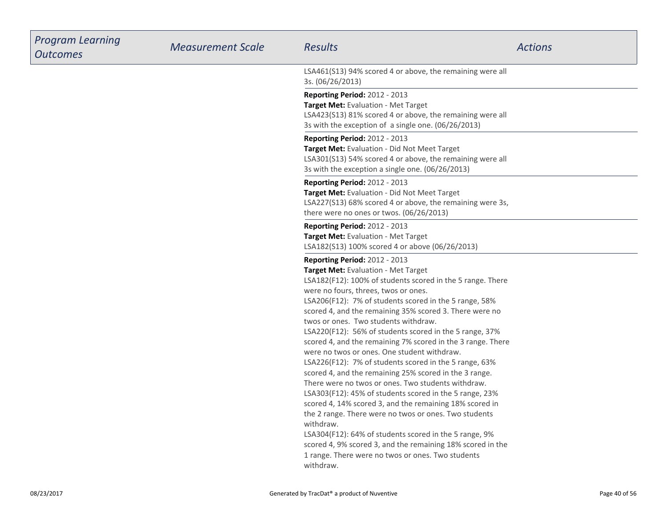| <b>Program Learning</b><br><b>Outcomes</b> | <b>Measurement Scale</b> | <b>Results</b>                                                                                                                                                                                                                                                                                                                                                                                                                                                                                                                                                                                                                                                                                                                                                                                                                                                                                                                                                                                                                                                                          | <b>Actions</b> |
|--------------------------------------------|--------------------------|-----------------------------------------------------------------------------------------------------------------------------------------------------------------------------------------------------------------------------------------------------------------------------------------------------------------------------------------------------------------------------------------------------------------------------------------------------------------------------------------------------------------------------------------------------------------------------------------------------------------------------------------------------------------------------------------------------------------------------------------------------------------------------------------------------------------------------------------------------------------------------------------------------------------------------------------------------------------------------------------------------------------------------------------------------------------------------------------|----------------|
|                                            |                          | LSA461(S13) 94% scored 4 or above, the remaining were all<br>3s. (06/26/2013)                                                                                                                                                                                                                                                                                                                                                                                                                                                                                                                                                                                                                                                                                                                                                                                                                                                                                                                                                                                                           |                |
|                                            |                          | <b>Reporting Period: 2012 - 2013</b><br>Target Met: Evaluation - Met Target<br>LSA423(S13) 81% scored 4 or above, the remaining were all<br>3s with the exception of a single one. (06/26/2013)                                                                                                                                                                                                                                                                                                                                                                                                                                                                                                                                                                                                                                                                                                                                                                                                                                                                                         |                |
|                                            |                          | <b>Reporting Period: 2012 - 2013</b><br>Target Met: Evaluation - Did Not Meet Target<br>LSA301(S13) 54% scored 4 or above, the remaining were all<br>3s with the exception a single one. (06/26/2013)                                                                                                                                                                                                                                                                                                                                                                                                                                                                                                                                                                                                                                                                                                                                                                                                                                                                                   |                |
|                                            |                          | <b>Reporting Period: 2012 - 2013</b><br>Target Met: Evaluation - Did Not Meet Target<br>LSA227(S13) 68% scored 4 or above, the remaining were 3s,<br>there were no ones or twos. (06/26/2013)                                                                                                                                                                                                                                                                                                                                                                                                                                                                                                                                                                                                                                                                                                                                                                                                                                                                                           |                |
|                                            |                          | <b>Reporting Period: 2012 - 2013</b><br>Target Met: Evaluation - Met Target<br>LSA182(S13) 100% scored 4 or above (06/26/2013)                                                                                                                                                                                                                                                                                                                                                                                                                                                                                                                                                                                                                                                                                                                                                                                                                                                                                                                                                          |                |
|                                            |                          | <b>Reporting Period: 2012 - 2013</b><br>Target Met: Evaluation - Met Target<br>LSA182(F12): 100% of students scored in the 5 range. There<br>were no fours, threes, twos or ones.<br>LSA206(F12): 7% of students scored in the 5 range, 58%<br>scored 4, and the remaining 35% scored 3. There were no<br>twos or ones. Two students withdraw.<br>LSA220(F12): 56% of students scored in the 5 range, 37%<br>scored 4, and the remaining 7% scored in the 3 range. There<br>were no twos or ones. One student withdraw.<br>LSA226(F12): 7% of students scored in the 5 range, 63%<br>scored 4, and the remaining 25% scored in the 3 range.<br>There were no twos or ones. Two students withdraw.<br>LSA303(F12): 45% of students scored in the 5 range, 23%<br>scored 4, 14% scored 3, and the remaining 18% scored in<br>the 2 range. There were no twos or ones. Two students<br>withdraw.<br>LSA304(F12): 64% of students scored in the 5 range, 9%<br>scored 4, 9% scored 3, and the remaining 18% scored in the<br>1 range. There were no twos or ones. Two students<br>withdraw. |                |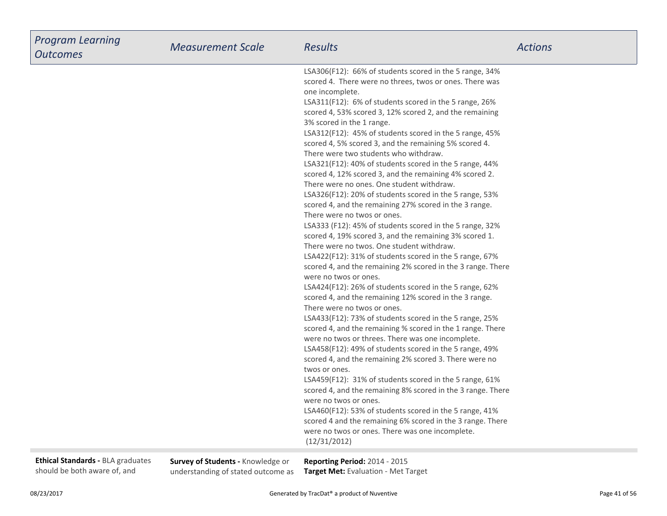| <b>Program Learning</b><br><b>Outcomes</b>                        | <b>Measurement Scale</b>                                                | <b>Results</b>                                                                                                                                                                                                                                                                                                                                                                                                                                                                                                                                                                                                                                                                                                                                                                                                                                                                                                                                                                                                                                                                                                                                                                                                                                                                                                                                                                                                                                                                                                                                                                                                                                                                                                                                                                                                                                                                                                          | <b>Actions</b> |
|-------------------------------------------------------------------|-------------------------------------------------------------------------|-------------------------------------------------------------------------------------------------------------------------------------------------------------------------------------------------------------------------------------------------------------------------------------------------------------------------------------------------------------------------------------------------------------------------------------------------------------------------------------------------------------------------------------------------------------------------------------------------------------------------------------------------------------------------------------------------------------------------------------------------------------------------------------------------------------------------------------------------------------------------------------------------------------------------------------------------------------------------------------------------------------------------------------------------------------------------------------------------------------------------------------------------------------------------------------------------------------------------------------------------------------------------------------------------------------------------------------------------------------------------------------------------------------------------------------------------------------------------------------------------------------------------------------------------------------------------------------------------------------------------------------------------------------------------------------------------------------------------------------------------------------------------------------------------------------------------------------------------------------------------------------------------------------------------|----------------|
|                                                                   |                                                                         | LSA306(F12): 66% of students scored in the 5 range, 34%<br>scored 4. There were no threes, twos or ones. There was<br>one incomplete.<br>LSA311(F12): 6% of students scored in the 5 range, 26%<br>scored 4, 53% scored 3, 12% scored 2, and the remaining<br>3% scored in the 1 range.<br>LSA312(F12): 45% of students scored in the 5 range, 45%<br>scored 4, 5% scored 3, and the remaining 5% scored 4.<br>There were two students who withdraw.<br>LSA321(F12): 40% of students scored in the 5 range, 44%<br>scored 4, 12% scored 3, and the remaining 4% scored 2.<br>There were no ones. One student withdraw.<br>LSA326(F12): 20% of students scored in the 5 range, 53%<br>scored 4, and the remaining 27% scored in the 3 range.<br>There were no twos or ones.<br>LSA333 (F12): 45% of students scored in the 5 range, 32%<br>scored 4, 19% scored 3, and the remaining 3% scored 1.<br>There were no twos. One student withdraw.<br>LSA422(F12): 31% of students scored in the 5 range, 67%<br>scored 4, and the remaining 2% scored in the 3 range. There<br>were no twos or ones.<br>LSA424(F12): 26% of students scored in the 5 range, 62%<br>scored 4, and the remaining 12% scored in the 3 range.<br>There were no twos or ones.<br>LSA433(F12): 73% of students scored in the 5 range, 25%<br>scored 4, and the remaining % scored in the 1 range. There<br>were no twos or threes. There was one incomplete.<br>LSA458(F12): 49% of students scored in the 5 range, 49%<br>scored 4, and the remaining 2% scored 3. There were no<br>twos or ones.<br>LSA459(F12): 31% of students scored in the 5 range, 61%<br>scored 4, and the remaining 8% scored in the 3 range. There<br>were no twos or ones.<br>LSA460(F12): 53% of students scored in the 5 range, 41%<br>scored 4 and the remaining 6% scored in the 3 range. There<br>were no twos or ones. There was one incomplete.<br>(12/31/2012) |                |
| Ethical Standards - BLA graduates<br>should be both aware of, and | Survey of Students - Knowledge or<br>understanding of stated outcome as | Reporting Period: 2014 - 2015<br>Target Met: Evaluation - Met Target                                                                                                                                                                                                                                                                                                                                                                                                                                                                                                                                                                                                                                                                                                                                                                                                                                                                                                                                                                                                                                                                                                                                                                                                                                                                                                                                                                                                                                                                                                                                                                                                                                                                                                                                                                                                                                                    |                |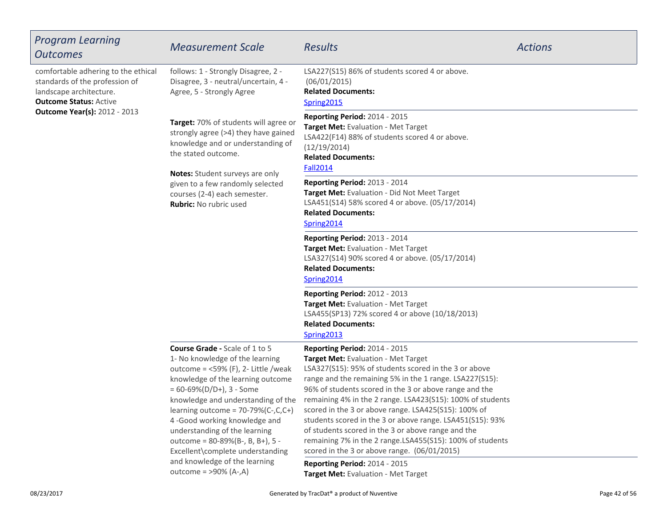| <b>Program Learning</b><br><b>Outcomes</b>                                                                                                                               | <b>Measurement Scale</b>                                                                                                                                                                                                                                                                                                                                                                                             | <b>Results</b>                                                                                                                                                                                                                                                                                                                                                                                                                                                                                                                                                                                                  | <b>Actions</b> |
|--------------------------------------------------------------------------------------------------------------------------------------------------------------------------|----------------------------------------------------------------------------------------------------------------------------------------------------------------------------------------------------------------------------------------------------------------------------------------------------------------------------------------------------------------------------------------------------------------------|-----------------------------------------------------------------------------------------------------------------------------------------------------------------------------------------------------------------------------------------------------------------------------------------------------------------------------------------------------------------------------------------------------------------------------------------------------------------------------------------------------------------------------------------------------------------------------------------------------------------|----------------|
| comfortable adhering to the ethical<br>standards of the profession of<br>landscape architecture.<br><b>Outcome Status: Active</b><br><b>Outcome Year(s): 2012 - 2013</b> | follows: 1 - Strongly Disagree, 2 -<br>Disagree, 3 - neutral/uncertain, 4 -<br>Agree, 5 - Strongly Agree                                                                                                                                                                                                                                                                                                             | LSA227(S15) 86% of students scored 4 or above.<br>(06/01/2015)<br><b>Related Documents:</b><br>Spring2015                                                                                                                                                                                                                                                                                                                                                                                                                                                                                                       |                |
|                                                                                                                                                                          | Target: 70% of students will agree or<br>strongly agree (>4) they have gained<br>knowledge and or understanding of<br>the stated outcome.                                                                                                                                                                                                                                                                            | <b>Reporting Period: 2014 - 2015</b><br>Target Met: Evaluation - Met Target<br>LSA422(F14) 88% of students scored 4 or above.<br>(12/19/2014)<br><b>Related Documents:</b><br><b>Fall2014</b>                                                                                                                                                                                                                                                                                                                                                                                                                   |                |
|                                                                                                                                                                          | Notes: Student surveys are only<br>given to a few randomly selected<br>courses (2-4) each semester.<br>Rubric: No rubric used                                                                                                                                                                                                                                                                                        | <b>Reporting Period: 2013 - 2014</b><br>Target Met: Evaluation - Did Not Meet Target<br>LSA451(S14) 58% scored 4 or above. (05/17/2014)<br><b>Related Documents:</b><br>Spring2014                                                                                                                                                                                                                                                                                                                                                                                                                              |                |
|                                                                                                                                                                          |                                                                                                                                                                                                                                                                                                                                                                                                                      | Reporting Period: 2013 - 2014<br>Target Met: Evaluation - Met Target<br>LSA327(S14) 90% scored 4 or above. (05/17/2014)<br><b>Related Documents:</b><br>Spring2014                                                                                                                                                                                                                                                                                                                                                                                                                                              |                |
|                                                                                                                                                                          |                                                                                                                                                                                                                                                                                                                                                                                                                      | <b>Reporting Period: 2012 - 2013</b><br>Target Met: Evaluation - Met Target<br>LSA455(SP13) 72% scored 4 or above (10/18/2013)<br><b>Related Documents:</b><br>Spring2013                                                                                                                                                                                                                                                                                                                                                                                                                                       |                |
|                                                                                                                                                                          | <b>Course Grade - Scale of 1 to 5</b><br>1- No knowledge of the learning<br>outcome = $<$ 59% (F), 2- Little /weak<br>knowledge of the learning outcome<br>$= 60 - 69\% (D/D+), 3 - Some$<br>knowledge and understanding of the<br>learning outcome = $70-79%$ (C-,C,C+)<br>4-Good working knowledge and<br>understanding of the learning<br>outcome = $80-89%$ (B-, B, B+), 5 -<br>Excellent\complete understanding | <b>Reporting Period: 2014 - 2015</b><br>Target Met: Evaluation - Met Target<br>LSA327(S15): 95% of students scored in the 3 or above<br>range and the remaining 5% in the 1 range. LSA227(S15):<br>96% of students scored in the 3 or above range and the<br>remaining 4% in the 2 range. LSA423(S15): 100% of students<br>scored in the 3 or above range. LSA425(S15): 100% of<br>students scored in the 3 or above range. LSA451(S15): 93%<br>of students scored in the 3 or above range and the<br>remaining 7% in the 2 range.LSA455(S15): 100% of students<br>scored in the 3 or above range. (06/01/2015) |                |
|                                                                                                                                                                          | and knowledge of the learning<br>outcome = $>90\%$ (A-,A)                                                                                                                                                                                                                                                                                                                                                            | <b>Reporting Period: 2014 - 2015</b><br>Target Met: Evaluation - Met Target                                                                                                                                                                                                                                                                                                                                                                                                                                                                                                                                     |                |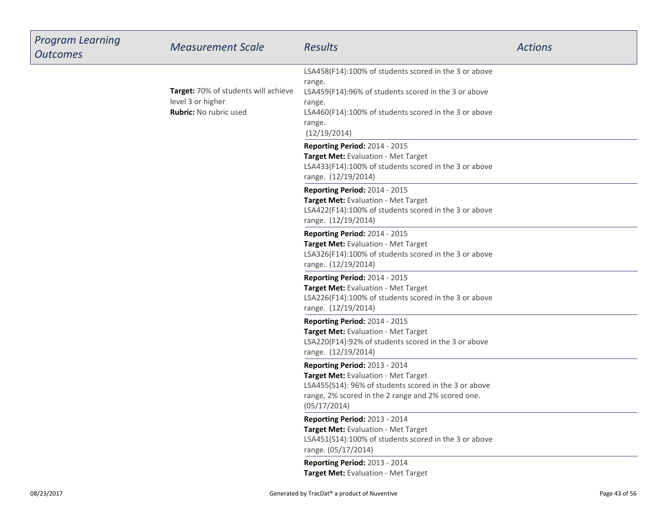| <b>Program Learning</b><br><b>Outcomes</b> | <b>Measurement Scale</b>                                                                   | <b>Results</b>                                                                                                                                                                                                       | <b>Actions</b> |
|--------------------------------------------|--------------------------------------------------------------------------------------------|----------------------------------------------------------------------------------------------------------------------------------------------------------------------------------------------------------------------|----------------|
|                                            | Target: 70% of students will achieve<br>level 3 or higher<br><b>Rubric: No rubric used</b> | LSA458(F14):100% of students scored in the 3 or above<br>range.<br>LSA459(F14):96% of students scored in the 3 or above<br>range.<br>LSA460(F14):100% of students scored in the 3 or above<br>range.<br>(12/19/2014) |                |
|                                            |                                                                                            | Reporting Period: 2014 - 2015<br>Target Met: Evaluation - Met Target<br>LSA433(F14):100% of students scored in the 3 or above<br>range. (12/19/2014)                                                                 |                |
|                                            |                                                                                            | Reporting Period: 2014 - 2015<br>Target Met: Evaluation - Met Target<br>LSA422(F14):100% of students scored in the 3 or above<br>range. (12/19/2014)                                                                 |                |
|                                            |                                                                                            | Reporting Period: 2014 - 2015<br>Target Met: Evaluation - Met Target<br>LSA326(F14):100% of students scored in the 3 or above<br>range. (12/19/2014)                                                                 |                |
|                                            |                                                                                            | Reporting Period: 2014 - 2015<br>Target Met: Evaluation - Met Target<br>LSA226(F14):100% of students scored in the 3 or above<br>range. (12/19/2014)                                                                 |                |
|                                            |                                                                                            | Reporting Period: 2014 - 2015<br>Target Met: Evaluation - Met Target<br>LSA220(F14):92% of students scored in the 3 or above<br>range. (12/19/2014)                                                                  |                |
|                                            |                                                                                            | Reporting Period: 2013 - 2014<br>Target Met: Evaluation - Met Target<br>LSA455(S14): 96% of students scored in the 3 or above<br>range, 2% scored in the 2 range and 2% scored one.<br>(05/17/2014)                  |                |
|                                            |                                                                                            | Reporting Period: 2013 - 2014<br>Target Met: Evaluation - Met Target<br>LSA451(S14):100% of students scored in the 3 or above<br>range. (05/17/2014)                                                                 |                |
|                                            |                                                                                            | Reporting Period: 2013 - 2014<br>Target Met: Evaluation - Met Target                                                                                                                                                 |                |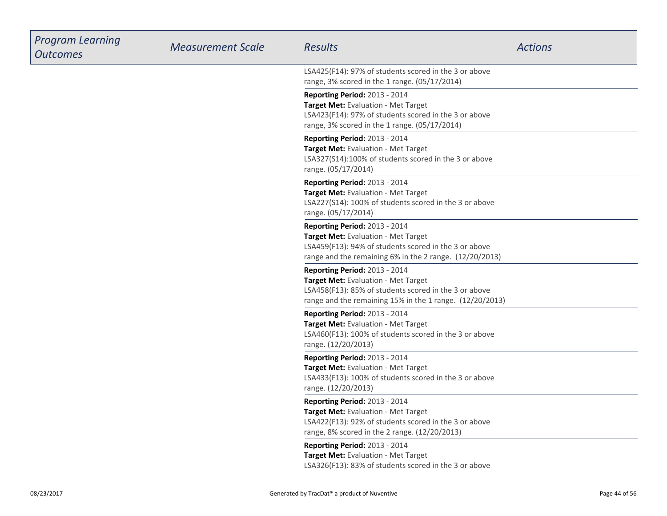| <b>Program Learning</b><br><b>Outcomes</b> | <b>Measurement Scale</b> | <b>Results</b>                                                                                                                                                                            | <b>Actions</b> |
|--------------------------------------------|--------------------------|-------------------------------------------------------------------------------------------------------------------------------------------------------------------------------------------|----------------|
|                                            |                          | LSA425(F14): 97% of students scored in the 3 or above<br>range, 3% scored in the 1 range. (05/17/2014)                                                                                    |                |
|                                            |                          | <b>Reporting Period: 2013 - 2014</b><br>Target Met: Evaluation - Met Target<br>LSA423(F14): 97% of students scored in the 3 or above<br>range, 3% scored in the 1 range. (05/17/2014)     |                |
|                                            |                          | Reporting Period: 2013 - 2014<br>Target Met: Evaluation - Met Target<br>LSA327(S14):100% of students scored in the 3 or above<br>range. (05/17/2014)                                      |                |
|                                            |                          | Reporting Period: 2013 - 2014<br>Target Met: Evaluation - Met Target<br>LSA227(S14): 100% of students scored in the 3 or above<br>range. (05/17/2014)                                     |                |
|                                            |                          | Reporting Period: 2013 - 2014<br>Target Met: Evaluation - Met Target<br>LSA459(F13): 94% of students scored in the 3 or above<br>range and the remaining 6% in the 2 range. (12/20/2013)  |                |
|                                            |                          | Reporting Period: 2013 - 2014<br>Target Met: Evaluation - Met Target<br>LSA458(F13): 85% of students scored in the 3 or above<br>range and the remaining 15% in the 1 range. (12/20/2013) |                |
|                                            |                          | Reporting Period: 2013 - 2014<br>Target Met: Evaluation - Met Target<br>LSA460(F13): 100% of students scored in the 3 or above<br>range. (12/20/2013)                                     |                |
|                                            |                          | <b>Reporting Period: 2013 - 2014</b><br>Target Met: Evaluation - Met Target<br>LSA433(F13): 100% of students scored in the 3 or above<br>range. (12/20/2013)                              |                |
|                                            |                          | Reporting Period: 2013 - 2014<br>Target Met: Evaluation - Met Target<br>LSA422(F13): 92% of students scored in the 3 or above<br>range, 8% scored in the 2 range. (12/20/2013)            |                |
|                                            |                          | Reporting Period: 2013 - 2014<br>Target Met: Evaluation - Met Target<br>LSA326(F13): 83% of students scored in the 3 or above                                                             |                |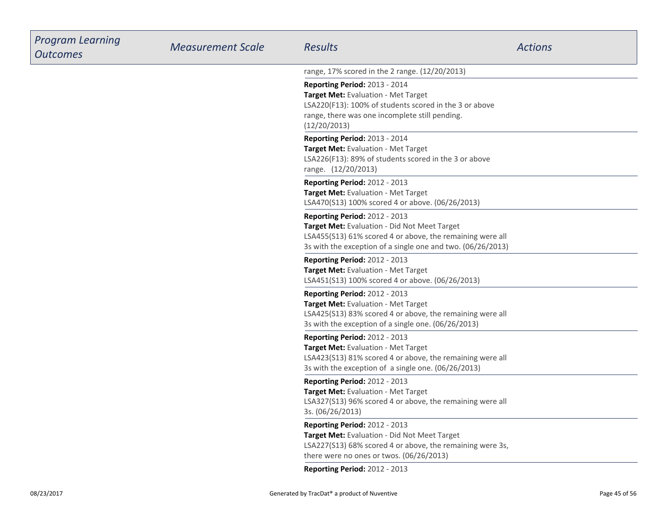| <b>Program Learning</b><br><b>Outcomes</b> | <b>Measurement Scale</b> | Results                                                                                                                                                                                                   | <b>Actions</b> |
|--------------------------------------------|--------------------------|-----------------------------------------------------------------------------------------------------------------------------------------------------------------------------------------------------------|----------------|
|                                            |                          | range, 17% scored in the 2 range. (12/20/2013)                                                                                                                                                            |                |
|                                            |                          | Reporting Period: 2013 - 2014<br>Target Met: Evaluation - Met Target<br>LSA220(F13): 100% of students scored in the 3 or above<br>range, there was one incomplete still pending.<br>(12/20/2013)          |                |
|                                            |                          | Reporting Period: 2013 - 2014<br>Target Met: Evaluation - Met Target<br>LSA226(F13): 89% of students scored in the 3 or above<br>range. (12/20/2013)                                                      |                |
|                                            |                          | Reporting Period: 2012 - 2013<br>Target Met: Evaluation - Met Target<br>LSA470(S13) 100% scored 4 or above. (06/26/2013)                                                                                  |                |
|                                            |                          | Reporting Period: 2012 - 2013<br>Target Met: Evaluation - Did Not Meet Target<br>LSA455(S13) 61% scored 4 or above, the remaining were all<br>3s with the exception of a single one and two. (06/26/2013) |                |
|                                            |                          | <b>Reporting Period: 2012 - 2013</b><br>Target Met: Evaluation - Met Target<br>LSA451(S13) 100% scored 4 or above. (06/26/2013)                                                                           |                |
|                                            |                          | Reporting Period: 2012 - 2013<br>Target Met: Evaluation - Met Target<br>LSA425(S13) 83% scored 4 or above, the remaining were all<br>3s with the exception of a single one. (06/26/2013)                  |                |
|                                            |                          | Reporting Period: 2012 - 2013<br>Target Met: Evaluation - Met Target<br>LSA423(S13) 81% scored 4 or above, the remaining were all<br>3s with the exception of a single one. (06/26/2013)                  |                |
|                                            |                          | Reporting Period: 2012 - 2013<br>Target Met: Evaluation - Met Target<br>LSA327(S13) 96% scored 4 or above, the remaining were all<br>3s. (06/26/2013)                                                     |                |
|                                            |                          | Reporting Period: 2012 - 2013<br>Target Met: Evaluation - Did Not Meet Target<br>LSA227(S13) 68% scored 4 or above, the remaining were 3s,<br>there were no ones or twos. (06/26/2013)                    |                |
|                                            |                          | Reporting Period: 2012 - 2013                                                                                                                                                                             |                |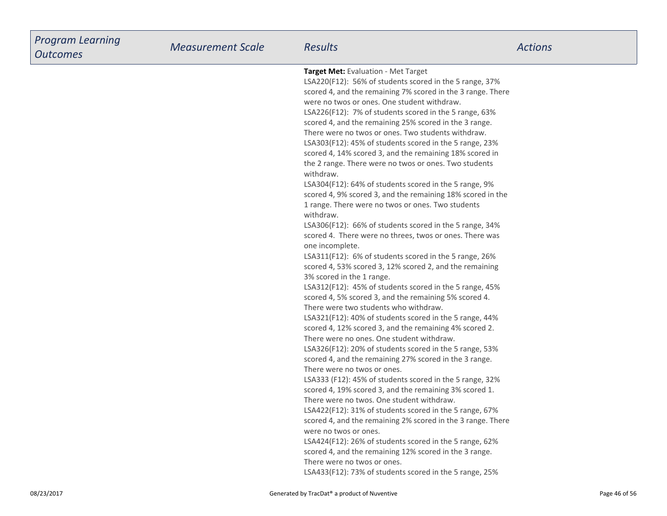| <b>Program Learning</b><br><b>Outcomes</b> | <b>Measurement Scale</b> | <b>Results</b>                                                                                                                                                                                                                                                                                                                                                                                                                                                                                                                                                                                                                                                                                                                                                                                                                                                                                                                                                                                                                                                                                                                                                                                                                                                                                                                                                                                                                                                                                                                                                                                                                                                                                                                                                                                                                                                                                                                                                                                                                                                                                  | <b>Actions</b> |
|--------------------------------------------|--------------------------|-------------------------------------------------------------------------------------------------------------------------------------------------------------------------------------------------------------------------------------------------------------------------------------------------------------------------------------------------------------------------------------------------------------------------------------------------------------------------------------------------------------------------------------------------------------------------------------------------------------------------------------------------------------------------------------------------------------------------------------------------------------------------------------------------------------------------------------------------------------------------------------------------------------------------------------------------------------------------------------------------------------------------------------------------------------------------------------------------------------------------------------------------------------------------------------------------------------------------------------------------------------------------------------------------------------------------------------------------------------------------------------------------------------------------------------------------------------------------------------------------------------------------------------------------------------------------------------------------------------------------------------------------------------------------------------------------------------------------------------------------------------------------------------------------------------------------------------------------------------------------------------------------------------------------------------------------------------------------------------------------------------------------------------------------------------------------------------------------|----------------|
|                                            |                          | Target Met: Evaluation - Met Target<br>LSA220(F12): 56% of students scored in the 5 range, 37%<br>scored 4, and the remaining 7% scored in the 3 range. There<br>were no twos or ones. One student withdraw.<br>LSA226(F12): 7% of students scored in the 5 range, 63%<br>scored 4, and the remaining 25% scored in the 3 range.<br>There were no twos or ones. Two students withdraw.<br>LSA303(F12): 45% of students scored in the 5 range, 23%<br>scored 4, 14% scored 3, and the remaining 18% scored in<br>the 2 range. There were no twos or ones. Two students<br>withdraw.<br>LSA304(F12): 64% of students scored in the 5 range, 9%<br>scored 4, 9% scored 3, and the remaining 18% scored in the<br>1 range. There were no twos or ones. Two students<br>withdraw.<br>LSA306(F12): 66% of students scored in the 5 range, 34%<br>scored 4. There were no threes, twos or ones. There was<br>one incomplete.<br>LSA311(F12): 6% of students scored in the 5 range, 26%<br>scored 4, 53% scored 3, 12% scored 2, and the remaining<br>3% scored in the 1 range.<br>LSA312(F12): 45% of students scored in the 5 range, 45%<br>scored 4, 5% scored 3, and the remaining 5% scored 4.<br>There were two students who withdraw.<br>LSA321(F12): 40% of students scored in the 5 range, 44%<br>scored 4, 12% scored 3, and the remaining 4% scored 2.<br>There were no ones. One student withdraw.<br>LSA326(F12): 20% of students scored in the 5 range, 53%<br>scored 4, and the remaining 27% scored in the 3 range.<br>There were no twos or ones.<br>LSA333 (F12): 45% of students scored in the 5 range, 32%<br>scored 4, 19% scored 3, and the remaining 3% scored 1.<br>There were no twos. One student withdraw.<br>LSA422(F12): 31% of students scored in the 5 range, 67%<br>scored 4, and the remaining 2% scored in the 3 range. There<br>were no twos or ones.<br>LSA424(F12): 26% of students scored in the 5 range, 62%<br>scored 4, and the remaining 12% scored in the 3 range.<br>There were no twos or ones.<br>LSA433(F12): 73% of students scored in the 5 range, 25% |                |
| 08/23/2017                                 |                          | Generated by TracDat® a product of Nuventive                                                                                                                                                                                                                                                                                                                                                                                                                                                                                                                                                                                                                                                                                                                                                                                                                                                                                                                                                                                                                                                                                                                                                                                                                                                                                                                                                                                                                                                                                                                                                                                                                                                                                                                                                                                                                                                                                                                                                                                                                                                    | Page 46 of 56  |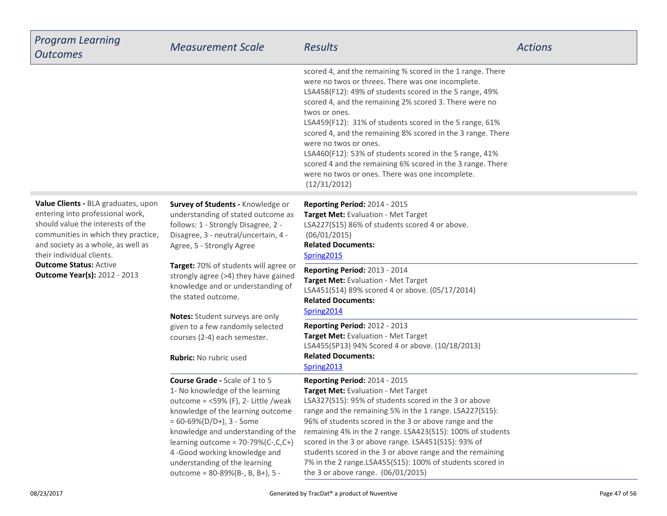| <b>Program Learning</b><br><b>Outcomes</b>                                                                                                                                                                                                                                                     | <b>Measurement Scale</b>                                                                                                                                                                                                                                                                                                                                                          | <b>Results</b>                                                                                                                                                                                                                                                                                                                                                                                                                                                                                                                                                                                       | <b>Actions</b> |
|------------------------------------------------------------------------------------------------------------------------------------------------------------------------------------------------------------------------------------------------------------------------------------------------|-----------------------------------------------------------------------------------------------------------------------------------------------------------------------------------------------------------------------------------------------------------------------------------------------------------------------------------------------------------------------------------|------------------------------------------------------------------------------------------------------------------------------------------------------------------------------------------------------------------------------------------------------------------------------------------------------------------------------------------------------------------------------------------------------------------------------------------------------------------------------------------------------------------------------------------------------------------------------------------------------|----------------|
|                                                                                                                                                                                                                                                                                                |                                                                                                                                                                                                                                                                                                                                                                                   | scored 4, and the remaining % scored in the 1 range. There<br>were no twos or threes. There was one incomplete.<br>LSA458(F12): 49% of students scored in the 5 range, 49%<br>scored 4, and the remaining 2% scored 3. There were no<br>twos or ones.<br>LSA459(F12): 31% of students scored in the 5 range, 61%<br>scored 4, and the remaining 8% scored in the 3 range. There<br>were no twos or ones.<br>LSA460(F12): 53% of students scored in the 5 range, 41%<br>scored 4 and the remaining 6% scored in the 3 range. There<br>were no twos or ones. There was one incomplete.<br>(12/31/2012) |                |
| Value Clients - BLA graduates, upon<br>entering into professional work,<br>should value the interests of the<br>communities in which they practice,<br>and society as a whole, as well as<br>their individual clients.<br><b>Outcome Status: Active</b><br><b>Outcome Year(s): 2012 - 2013</b> | Survey of Students - Knowledge or<br>understanding of stated outcome as<br>follows: 1 - Strongly Disagree, 2 -<br>Disagree, 3 - neutral/uncertain, 4 -<br>Agree, 5 - Strongly Agree                                                                                                                                                                                               | <b>Reporting Period: 2014 - 2015</b><br>Target Met: Evaluation - Met Target<br>LSA227(S15) 86% of students scored 4 or above.<br>(06/01/2015)<br><b>Related Documents:</b><br>Spring2015                                                                                                                                                                                                                                                                                                                                                                                                             |                |
|                                                                                                                                                                                                                                                                                                | Target: 70% of students will agree or<br>strongly agree (>4) they have gained<br>knowledge and or understanding of<br>the stated outcome.<br>Notes: Student surveys are only                                                                                                                                                                                                      | Reporting Period: 2013 - 2014<br>Target Met: Evaluation - Met Target<br>LSA451(S14) 89% scored 4 or above. (05/17/2014)<br><b>Related Documents:</b><br>Spring2014                                                                                                                                                                                                                                                                                                                                                                                                                                   |                |
|                                                                                                                                                                                                                                                                                                | given to a few randomly selected<br>courses (2-4) each semester.<br>Rubric: No rubric used                                                                                                                                                                                                                                                                                        | <b>Reporting Period: 2012 - 2013</b><br>Target Met: Evaluation - Met Target<br>LSA455(SP13) 94% Scored 4 or above. (10/18/2013)<br><b>Related Documents:</b><br>Spring2013                                                                                                                                                                                                                                                                                                                                                                                                                           |                |
|                                                                                                                                                                                                                                                                                                | <b>Course Grade - Scale of 1 to 5</b><br>1- No knowledge of the learning<br>outcome = $<$ 59% (F), 2- Little /weak<br>knowledge of the learning outcome<br>$= 60 - 69\% (D/D+), 3 - Some$<br>knowledge and understanding of the<br>learning outcome = $70-79%$ (C-,C,C+)<br>4-Good working knowledge and<br>understanding of the learning<br>outcome = $80-89\%$ (B-, B, B+), 5 - | Reporting Period: 2014 - 2015<br>Target Met: Evaluation - Met Target<br>LSA327(S15): 95% of students scored in the 3 or above<br>range and the remaining 5% in the 1 range. LSA227(S15):<br>96% of students scored in the 3 or above range and the<br>remaining 4% in the 2 range. LSA423(S15): 100% of students<br>scored in the 3 or above range. LSA451(S15): 93% of<br>students scored in the 3 or above range and the remaining<br>7% in the 2 range.LSA455(S15): 100% of students scored in<br>the 3 or above range. (06/01/2015)                                                              |                |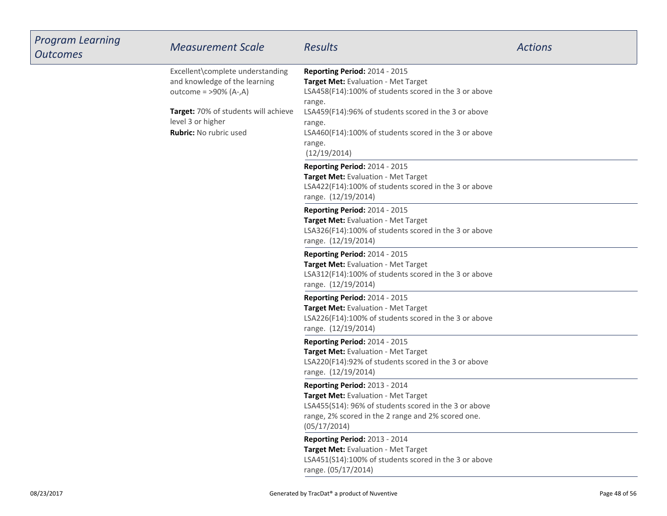| <b>Program Learning</b><br><b>Outcomes</b> | <b>Measurement Scale</b>                                                                                                                                                             | <b>Results</b>                                                                                                                                                                                                                                                                               | <b>Actions</b> |
|--------------------------------------------|--------------------------------------------------------------------------------------------------------------------------------------------------------------------------------------|----------------------------------------------------------------------------------------------------------------------------------------------------------------------------------------------------------------------------------------------------------------------------------------------|----------------|
|                                            | Excellent\complete understanding<br>and knowledge of the learning<br>outcome = $>90\%$ (A-,A)<br>Target: 70% of students will achieve<br>level 3 or higher<br>Rubric: No rubric used | Reporting Period: 2014 - 2015<br>Target Met: Evaluation - Met Target<br>LSA458(F14):100% of students scored in the 3 or above<br>range.<br>LSA459(F14):96% of students scored in the 3 or above<br>range.<br>LSA460(F14):100% of students scored in the 3 or above<br>range.<br>(12/19/2014) |                |
|                                            |                                                                                                                                                                                      | <b>Reporting Period: 2014 - 2015</b><br>Target Met: Evaluation - Met Target<br>LSA422(F14):100% of students scored in the 3 or above<br>range. (12/19/2014)                                                                                                                                  |                |
|                                            |                                                                                                                                                                                      | Reporting Period: 2014 - 2015<br>Target Met: Evaluation - Met Target<br>LSA326(F14):100% of students scored in the 3 or above<br>range. (12/19/2014)                                                                                                                                         |                |
|                                            |                                                                                                                                                                                      | Reporting Period: 2014 - 2015<br>Target Met: Evaluation - Met Target<br>LSA312(F14):100% of students scored in the 3 or above<br>range. (12/19/2014)                                                                                                                                         |                |
|                                            |                                                                                                                                                                                      | Reporting Period: 2014 - 2015<br>Target Met: Evaluation - Met Target<br>LSA226(F14):100% of students scored in the 3 or above<br>range. (12/19/2014)                                                                                                                                         |                |
|                                            |                                                                                                                                                                                      | <b>Reporting Period: 2014 - 2015</b><br>Target Met: Evaluation - Met Target<br>LSA220(F14):92% of students scored in the 3 or above<br>range. (12/19/2014)                                                                                                                                   |                |
|                                            |                                                                                                                                                                                      | Reporting Period: 2013 - 2014<br>Target Met: Evaluation - Met Target<br>LSA455(S14): 96% of students scored in the 3 or above<br>range, 2% scored in the 2 range and 2% scored one.<br>(05/17/2014)                                                                                          |                |
|                                            |                                                                                                                                                                                      | Reporting Period: 2013 - 2014<br>Target Met: Evaluation - Met Target<br>LSA451(S14):100% of students scored in the 3 or above<br>range. (05/17/2014)                                                                                                                                         |                |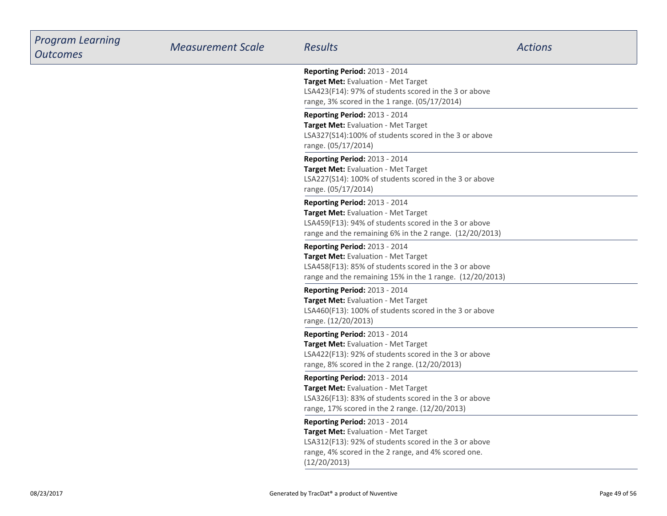| <b>Program Learning</b><br><b>Outcomes</b> | <b>Measurement Scale</b> | <b>Results</b>                                                                                                                                                                                       | <b>Actions</b> |
|--------------------------------------------|--------------------------|------------------------------------------------------------------------------------------------------------------------------------------------------------------------------------------------------|----------------|
|                                            |                          | Reporting Period: 2013 - 2014<br>Target Met: Evaluation - Met Target<br>LSA423(F14): 97% of students scored in the 3 or above<br>range, 3% scored in the 1 range. (05/17/2014)                       |                |
|                                            |                          | Reporting Period: 2013 - 2014<br>Target Met: Evaluation - Met Target<br>LSA327(S14):100% of students scored in the 3 or above<br>range. (05/17/2014)                                                 |                |
|                                            |                          | Reporting Period: 2013 - 2014<br>Target Met: Evaluation - Met Target<br>LSA227(S14): 100% of students scored in the 3 or above<br>range. (05/17/2014)                                                |                |
|                                            |                          | Reporting Period: 2013 - 2014<br>Target Met: Evaluation - Met Target<br>LSA459(F13): 94% of students scored in the 3 or above<br>range and the remaining 6% in the 2 range. (12/20/2013)             |                |
|                                            |                          | Reporting Period: 2013 - 2014<br>Target Met: Evaluation - Met Target<br>LSA458(F13): 85% of students scored in the 3 or above<br>range and the remaining 15% in the 1 range. (12/20/2013)            |                |
|                                            |                          | <b>Reporting Period: 2013 - 2014</b><br>Target Met: Evaluation - Met Target<br>LSA460(F13): 100% of students scored in the 3 or above<br>range. (12/20/2013)                                         |                |
|                                            |                          | Reporting Period: 2013 - 2014<br>Target Met: Evaluation - Met Target<br>LSA422(F13): 92% of students scored in the 3 or above<br>range, 8% scored in the 2 range. (12/20/2013)                       |                |
|                                            |                          | Reporting Period: 2013 - 2014<br>Target Met: Evaluation - Met Target<br>LSA326(F13): 83% of students scored in the 3 or above<br>range, 17% scored in the 2 range. (12/20/2013)                      |                |
|                                            |                          | Reporting Period: 2013 - 2014<br>Target Met: Evaluation - Met Target<br>LSA312(F13): 92% of students scored in the 3 or above<br>range, 4% scored in the 2 range, and 4% scored one.<br>(12/20/2013) |                |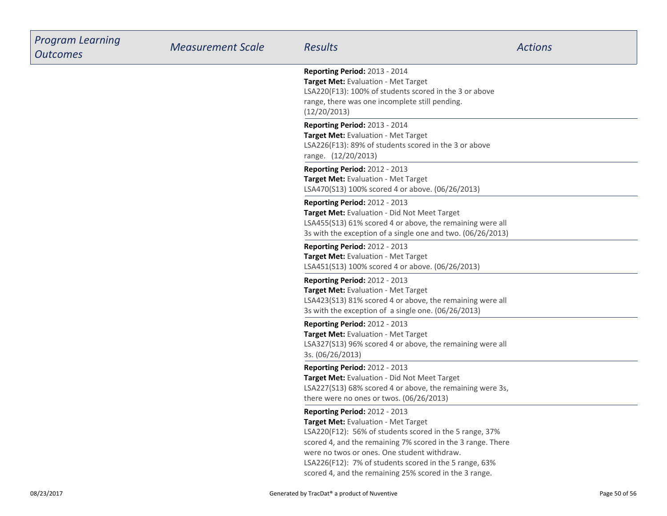| <b>Program Learning</b><br><b>Outcomes</b> | <b>Measurement Scale</b> | Results                                                                                                                                                                                                                                                                                                                                                           | <b>Actions</b> |
|--------------------------------------------|--------------------------|-------------------------------------------------------------------------------------------------------------------------------------------------------------------------------------------------------------------------------------------------------------------------------------------------------------------------------------------------------------------|----------------|
|                                            |                          | Reporting Period: 2013 - 2014<br>Target Met: Evaluation - Met Target<br>LSA220(F13): 100% of students scored in the 3 or above<br>range, there was one incomplete still pending.<br>(12/20/2013)                                                                                                                                                                  |                |
|                                            |                          | Reporting Period: 2013 - 2014<br>Target Met: Evaluation - Met Target<br>LSA226(F13): 89% of students scored in the 3 or above<br>range. (12/20/2013)                                                                                                                                                                                                              |                |
|                                            |                          | <b>Reporting Period: 2012 - 2013</b><br>Target Met: Evaluation - Met Target<br>LSA470(S13) 100% scored 4 or above. (06/26/2013)                                                                                                                                                                                                                                   |                |
|                                            |                          | Reporting Period: 2012 - 2013<br>Target Met: Evaluation - Did Not Meet Target<br>LSA455(S13) 61% scored 4 or above, the remaining were all<br>3s with the exception of a single one and two. (06/26/2013)                                                                                                                                                         |                |
|                                            |                          | <b>Reporting Period: 2012 - 2013</b><br><b>Target Met: Evaluation - Met Target</b><br>LSA451(S13) 100% scored 4 or above. (06/26/2013)                                                                                                                                                                                                                            |                |
|                                            |                          | <b>Reporting Period: 2012 - 2013</b><br>Target Met: Evaluation - Met Target<br>LSA423(S13) 81% scored 4 or above, the remaining were all<br>3s with the exception of a single one. (06/26/2013)                                                                                                                                                                   |                |
|                                            |                          | Reporting Period: 2012 - 2013<br>Target Met: Evaluation - Met Target<br>LSA327(S13) 96% scored 4 or above, the remaining were all<br>3s. (06/26/2013)                                                                                                                                                                                                             |                |
|                                            |                          | Reporting Period: 2012 - 2013<br>Target Met: Evaluation - Did Not Meet Target<br>LSA227(S13) 68% scored 4 or above, the remaining were 3s,<br>there were no ones or twos. (06/26/2013)                                                                                                                                                                            |                |
|                                            |                          | Reporting Period: 2012 - 2013<br>Target Met: Evaluation - Met Target<br>LSA220(F12): 56% of students scored in the 5 range, 37%<br>scored 4, and the remaining 7% scored in the 3 range. There<br>were no twos or ones. One student withdraw.<br>LSA226(F12): 7% of students scored in the 5 range, 63%<br>scored 4, and the remaining 25% scored in the 3 range. |                |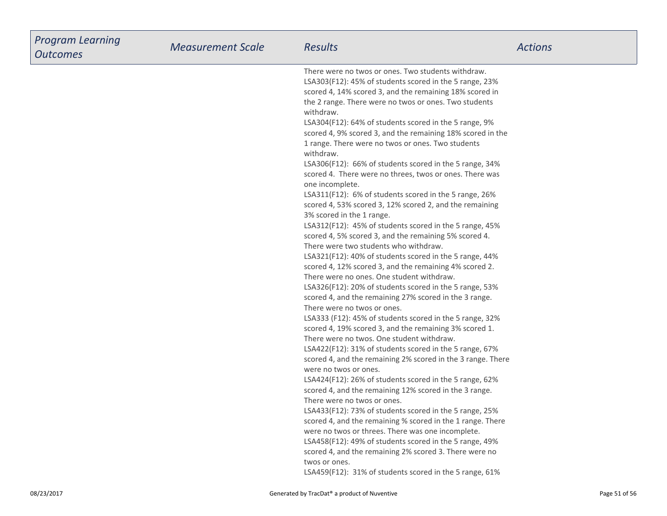| <b>Program Learning</b><br><b>Outcomes</b> | <b>Measurement Scale</b> | <b>Results</b>                                                                                                                                                                                                                                                                                                                                                                                                                                                                                                                                                                                                                                                                                                                                                                                                                                                                                                                                                                                                                                                                                                                                                                                                                                                                                                                                                                                                                                                                                                                                                                                                                                                                                                                                                                                                                                                                                                                                                                                                                                                                  | <b>Actions</b> |
|--------------------------------------------|--------------------------|---------------------------------------------------------------------------------------------------------------------------------------------------------------------------------------------------------------------------------------------------------------------------------------------------------------------------------------------------------------------------------------------------------------------------------------------------------------------------------------------------------------------------------------------------------------------------------------------------------------------------------------------------------------------------------------------------------------------------------------------------------------------------------------------------------------------------------------------------------------------------------------------------------------------------------------------------------------------------------------------------------------------------------------------------------------------------------------------------------------------------------------------------------------------------------------------------------------------------------------------------------------------------------------------------------------------------------------------------------------------------------------------------------------------------------------------------------------------------------------------------------------------------------------------------------------------------------------------------------------------------------------------------------------------------------------------------------------------------------------------------------------------------------------------------------------------------------------------------------------------------------------------------------------------------------------------------------------------------------------------------------------------------------------------------------------------------------|----------------|
|                                            |                          | There were no twos or ones. Two students withdraw.<br>LSA303(F12): 45% of students scored in the 5 range, 23%<br>scored 4, 14% scored 3, and the remaining 18% scored in<br>the 2 range. There were no twos or ones. Two students<br>withdraw.<br>LSA304(F12): 64% of students scored in the 5 range, 9%<br>scored 4, 9% scored 3, and the remaining 18% scored in the<br>1 range. There were no twos or ones. Two students<br>withdraw.<br>LSA306(F12): 66% of students scored in the 5 range, 34%<br>scored 4. There were no threes, twos or ones. There was<br>one incomplete.<br>LSA311(F12): 6% of students scored in the 5 range, 26%<br>scored 4, 53% scored 3, 12% scored 2, and the remaining<br>3% scored in the 1 range.<br>LSA312(F12): 45% of students scored in the 5 range, 45%<br>scored 4, 5% scored 3, and the remaining 5% scored 4.<br>There were two students who withdraw.<br>LSA321(F12): 40% of students scored in the 5 range, 44%<br>scored 4, 12% scored 3, and the remaining 4% scored 2.<br>There were no ones. One student withdraw.<br>LSA326(F12): 20% of students scored in the 5 range, 53%<br>scored 4, and the remaining 27% scored in the 3 range.<br>There were no twos or ones.<br>LSA333 (F12): 45% of students scored in the 5 range, 32%<br>scored 4, 19% scored 3, and the remaining 3% scored 1.<br>There were no twos. One student withdraw.<br>LSA422(F12): 31% of students scored in the 5 range, 67%<br>scored 4, and the remaining 2% scored in the 3 range. There<br>were no twos or ones.<br>LSA424(F12): 26% of students scored in the 5 range, 62%<br>scored 4, and the remaining 12% scored in the 3 range.<br>There were no twos or ones.<br>LSA433(F12): 73% of students scored in the 5 range, 25%<br>scored 4, and the remaining % scored in the 1 range. There<br>were no twos or threes. There was one incomplete.<br>LSA458(F12): 49% of students scored in the 5 range, 49%<br>scored 4, and the remaining 2% scored 3. There were no<br>twos or ones.<br>LSA459(F12): 31% of students scored in the 5 range, 61% |                |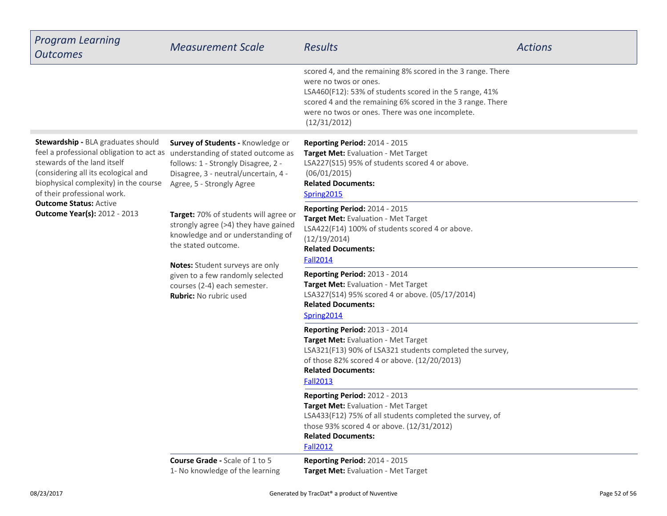| <b>Program Learning</b><br><b>Outcomes</b>                                                                                                                                                                                                                                                           | <b>Measurement Scale</b>                                                                                                                                                                                                                                                                                                                                                                                                                                                 | <b>Results</b>                                                                                                                                                                                                                                                                   | <b>Actions</b> |
|------------------------------------------------------------------------------------------------------------------------------------------------------------------------------------------------------------------------------------------------------------------------------------------------------|--------------------------------------------------------------------------------------------------------------------------------------------------------------------------------------------------------------------------------------------------------------------------------------------------------------------------------------------------------------------------------------------------------------------------------------------------------------------------|----------------------------------------------------------------------------------------------------------------------------------------------------------------------------------------------------------------------------------------------------------------------------------|----------------|
|                                                                                                                                                                                                                                                                                                      |                                                                                                                                                                                                                                                                                                                                                                                                                                                                          | scored 4, and the remaining 8% scored in the 3 range. There<br>were no twos or ones.<br>LSA460(F12): 53% of students scored in the 5 range, 41%<br>scored 4 and the remaining 6% scored in the 3 range. There<br>were no twos or ones. There was one incomplete.<br>(12/31/2012) |                |
| Stewardship - BLA graduates should<br>feel a professional obligation to act as<br>stewards of the land itself<br>(considering all its ecological and<br>biophysical complexity) in the course<br>of their professional work.<br><b>Outcome Status: Active</b><br><b>Outcome Year(s): 2012 - 2013</b> | Survey of Students - Knowledge or<br>understanding of stated outcome as<br>follows: 1 - Strongly Disagree, 2 -<br>Disagree, 3 - neutral/uncertain, 4 -<br>Agree, 5 - Strongly Agree<br>Target: 70% of students will agree or<br>strongly agree (>4) they have gained<br>knowledge and or understanding of<br>the stated outcome.<br>Notes: Student surveys are only<br>given to a few randomly selected<br>courses (2-4) each semester.<br><b>Rubric: No rubric used</b> | Reporting Period: 2014 - 2015<br>Target Met: Evaluation - Met Target<br>LSA227(S15) 95% of students scored 4 or above.<br>(06/01/2015)<br><b>Related Documents:</b><br>Spring2015                                                                                                |                |
|                                                                                                                                                                                                                                                                                                      |                                                                                                                                                                                                                                                                                                                                                                                                                                                                          | Reporting Period: 2014 - 2015<br>Target Met: Evaluation - Met Target<br>LSA422(F14) 100% of students scored 4 or above.<br>(12/19/2014)<br><b>Related Documents:</b><br><b>Fall2014</b>                                                                                          |                |
|                                                                                                                                                                                                                                                                                                      |                                                                                                                                                                                                                                                                                                                                                                                                                                                                          | Reporting Period: 2013 - 2014<br>Target Met: Evaluation - Met Target<br>LSA327(S14) 95% scored 4 or above. (05/17/2014)<br><b>Related Documents:</b><br>Spring2014                                                                                                               |                |
|                                                                                                                                                                                                                                                                                                      |                                                                                                                                                                                                                                                                                                                                                                                                                                                                          | <b>Reporting Period: 2013 - 2014</b><br>Target Met: Evaluation - Met Target<br>LSA321(F13) 90% of LSA321 students completed the survey,<br>of those 82% scored 4 or above. (12/20/2013)<br><b>Related Documents:</b><br><b>Fall2013</b>                                          |                |
|                                                                                                                                                                                                                                                                                                      |                                                                                                                                                                                                                                                                                                                                                                                                                                                                          | Reporting Period: 2012 - 2013<br><b>Target Met: Evaluation - Met Target</b><br>LSA433(F12) 75% of all students completed the survey, of<br>those 93% scored 4 or above. (12/31/2012)<br><b>Related Documents:</b><br><b>Fall2012</b>                                             |                |
|                                                                                                                                                                                                                                                                                                      | <b>Course Grade - Scale of 1 to 5</b><br>1- No knowledge of the learning                                                                                                                                                                                                                                                                                                                                                                                                 | Reporting Period: 2014 - 2015<br>Target Met: Evaluation - Met Target                                                                                                                                                                                                             |                |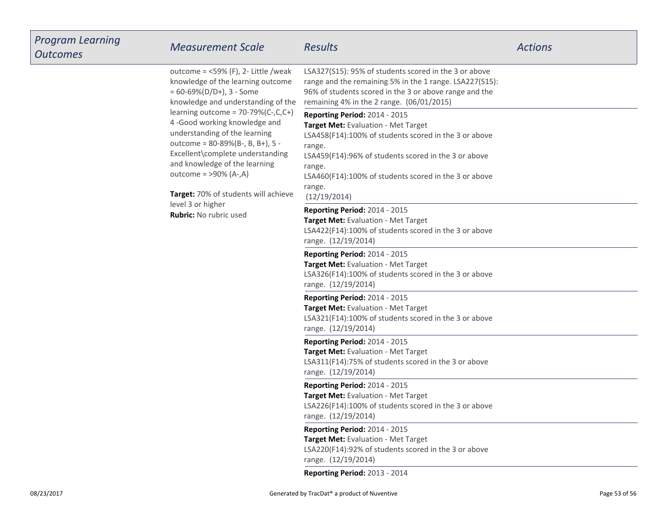| <b>Program Learning</b><br><b>Outcomes</b> | <b>Measurement Scale</b>                                                                                                                                                                                                                                                                                                                                                                                                                                                               | <b>Results</b>                                                                                                                                                                                                                                                                               | <b>Actions</b> |
|--------------------------------------------|----------------------------------------------------------------------------------------------------------------------------------------------------------------------------------------------------------------------------------------------------------------------------------------------------------------------------------------------------------------------------------------------------------------------------------------------------------------------------------------|----------------------------------------------------------------------------------------------------------------------------------------------------------------------------------------------------------------------------------------------------------------------------------------------|----------------|
|                                            | outcome = $<$ 59% (F), 2- Little /weak<br>knowledge of the learning outcome<br>$= 60 - 69\% (D/D+), 3 - Some$<br>knowledge and understanding of the<br>learning outcome = $70-79%$ (C-,C,C+)<br>4-Good working knowledge and<br>understanding of the learning<br>outcome = 80-89%(B-, B, B+), 5 -<br>Excellent\complete understanding<br>and knowledge of the learning<br>outcome = >90% (A-,A)<br>Target: 70% of students will achieve<br>level 3 or higher<br>Rubric: No rubric used | LSA327(S15): 95% of students scored in the 3 or above<br>range and the remaining 5% in the 1 range. LSA227(S15):<br>96% of students scored in the 3 or above range and the<br>remaining 4% in the 2 range. (06/01/2015)                                                                      |                |
|                                            |                                                                                                                                                                                                                                                                                                                                                                                                                                                                                        | Reporting Period: 2014 - 2015<br>Target Met: Evaluation - Met Target<br>LSA458(F14):100% of students scored in the 3 or above<br>range.<br>LSA459(F14):96% of students scored in the 3 or above<br>range.<br>LSA460(F14):100% of students scored in the 3 or above<br>range.<br>(12/19/2014) |                |
|                                            |                                                                                                                                                                                                                                                                                                                                                                                                                                                                                        | <b>Reporting Period: 2014 - 2015</b><br>Target Met: Evaluation - Met Target<br>LSA422(F14):100% of students scored in the 3 or above<br>range. (12/19/2014)                                                                                                                                  |                |
|                                            |                                                                                                                                                                                                                                                                                                                                                                                                                                                                                        | Reporting Period: 2014 - 2015<br>Target Met: Evaluation - Met Target<br>LSA326(F14):100% of students scored in the 3 or above<br>range. (12/19/2014)                                                                                                                                         |                |
|                                            |                                                                                                                                                                                                                                                                                                                                                                                                                                                                                        | Reporting Period: 2014 - 2015<br>Target Met: Evaluation - Met Target<br>LSA321(F14):100% of students scored in the 3 or above<br>range. (12/19/2014)                                                                                                                                         |                |
|                                            |                                                                                                                                                                                                                                                                                                                                                                                                                                                                                        | Reporting Period: 2014 - 2015<br>Target Met: Evaluation - Met Target<br>LSA311(F14):75% of students scored in the 3 or above<br>range. (12/19/2014)                                                                                                                                          |                |
|                                            |                                                                                                                                                                                                                                                                                                                                                                                                                                                                                        | Reporting Period: 2014 - 2015<br>Target Met: Evaluation - Met Target<br>LSA226(F14):100% of students scored in the 3 or above<br>range. (12/19/2014)                                                                                                                                         |                |
|                                            |                                                                                                                                                                                                                                                                                                                                                                                                                                                                                        | Reporting Period: 2014 - 2015<br>Target Met: Evaluation - Met Target<br>LSA220(F14):92% of students scored in the 3 or above<br>range. (12/19/2014)                                                                                                                                          |                |
|                                            |                                                                                                                                                                                                                                                                                                                                                                                                                                                                                        | Reporting Period: 2013 - 2014                                                                                                                                                                                                                                                                |                |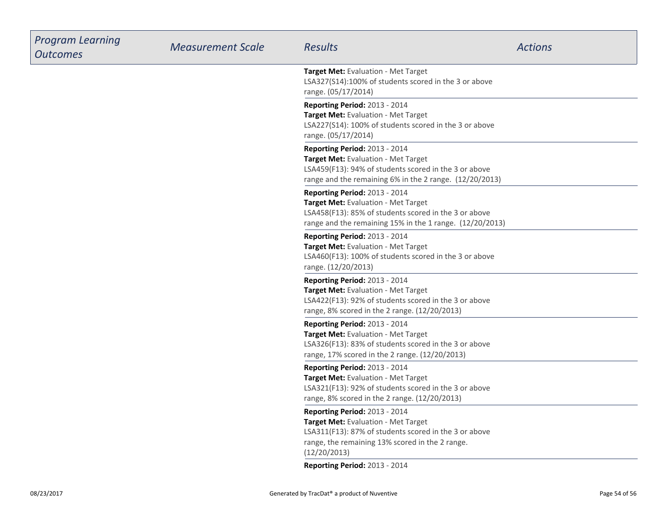| <b>Program Learning</b><br><b>Outcomes</b> | <b>Measurement Scale</b> | <b>Results</b>                                                                                                                                                                                   | <b>Actions</b> |
|--------------------------------------------|--------------------------|--------------------------------------------------------------------------------------------------------------------------------------------------------------------------------------------------|----------------|
|                                            |                          | Target Met: Evaluation - Met Target<br>LSA327(S14):100% of students scored in the 3 or above<br>range. (05/17/2014)                                                                              |                |
|                                            |                          | Reporting Period: 2013 - 2014<br>Target Met: Evaluation - Met Target<br>LSA227(S14): 100% of students scored in the 3 or above<br>range. (05/17/2014)                                            |                |
|                                            |                          | Reporting Period: 2013 - 2014<br>Target Met: Evaluation - Met Target<br>LSA459(F13): 94% of students scored in the 3 or above<br>range and the remaining 6% in the 2 range. (12/20/2013)         |                |
|                                            |                          | Reporting Period: 2013 - 2014<br>Target Met: Evaluation - Met Target<br>LSA458(F13): 85% of students scored in the 3 or above<br>range and the remaining 15% in the 1 range. (12/20/2013)        |                |
|                                            |                          | <b>Reporting Period: 2013 - 2014</b><br>Target Met: Evaluation - Met Target<br>LSA460(F13): 100% of students scored in the 3 or above<br>range. (12/20/2013)                                     |                |
|                                            |                          | Reporting Period: 2013 - 2014<br>Target Met: Evaluation - Met Target<br>LSA422(F13): 92% of students scored in the 3 or above<br>range, 8% scored in the 2 range. (12/20/2013)                   |                |
|                                            |                          | Reporting Period: 2013 - 2014<br>Target Met: Evaluation - Met Target<br>LSA326(F13): 83% of students scored in the 3 or above<br>range, 17% scored in the 2 range. (12/20/2013)                  |                |
|                                            |                          | Reporting Period: 2013 - 2014<br>Target Met: Evaluation - Met Target<br>LSA321(F13): 92% of students scored in the 3 or above<br>range, 8% scored in the 2 range. (12/20/2013)                   |                |
|                                            |                          | Reporting Period: 2013 - 2014<br>Target Met: Evaluation - Met Target<br>LSA311(F13): 87% of students scored in the 3 or above<br>range, the remaining 13% scored in the 2 range.<br>(12/20/2013) |                |
|                                            |                          | Reporting Period: 2013 - 2014                                                                                                                                                                    |                |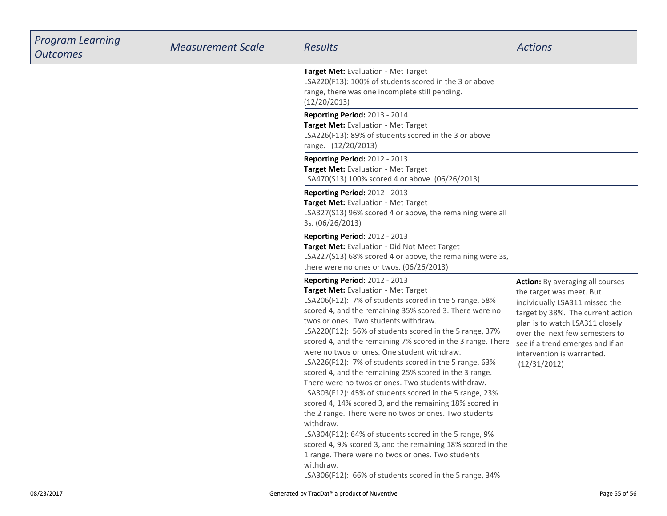| <b>Program Learning</b><br><b>Outcomes</b> | <b>Measurement Scale</b> | <b>Results</b>                                                                                                                                                                                                                                                                                                                                                                                                                                                                                                                                                                                                                                                                                                                                                                                                                                                                                                                                                                                                                               | <b>Actions</b>                                                                                                                                                                                                                                                                                    |
|--------------------------------------------|--------------------------|----------------------------------------------------------------------------------------------------------------------------------------------------------------------------------------------------------------------------------------------------------------------------------------------------------------------------------------------------------------------------------------------------------------------------------------------------------------------------------------------------------------------------------------------------------------------------------------------------------------------------------------------------------------------------------------------------------------------------------------------------------------------------------------------------------------------------------------------------------------------------------------------------------------------------------------------------------------------------------------------------------------------------------------------|---------------------------------------------------------------------------------------------------------------------------------------------------------------------------------------------------------------------------------------------------------------------------------------------------|
|                                            |                          | Target Met: Evaluation - Met Target<br>LSA220(F13): 100% of students scored in the 3 or above<br>range, there was one incomplete still pending.<br>(12/20/2013)                                                                                                                                                                                                                                                                                                                                                                                                                                                                                                                                                                                                                                                                                                                                                                                                                                                                              |                                                                                                                                                                                                                                                                                                   |
|                                            |                          | Reporting Period: 2013 - 2014<br>Target Met: Evaluation - Met Target<br>LSA226(F13): 89% of students scored in the 3 or above<br>range. (12/20/2013)                                                                                                                                                                                                                                                                                                                                                                                                                                                                                                                                                                                                                                                                                                                                                                                                                                                                                         |                                                                                                                                                                                                                                                                                                   |
|                                            |                          | <b>Reporting Period: 2012 - 2013</b><br>Target Met: Evaluation - Met Target<br>LSA470(S13) 100% scored 4 or above. (06/26/2013)                                                                                                                                                                                                                                                                                                                                                                                                                                                                                                                                                                                                                                                                                                                                                                                                                                                                                                              |                                                                                                                                                                                                                                                                                                   |
|                                            |                          | <b>Reporting Period: 2012 - 2013</b><br>Target Met: Evaluation - Met Target<br>LSA327(S13) 96% scored 4 or above, the remaining were all<br>3s. (06/26/2013)                                                                                                                                                                                                                                                                                                                                                                                                                                                                                                                                                                                                                                                                                                                                                                                                                                                                                 |                                                                                                                                                                                                                                                                                                   |
|                                            |                          | <b>Reporting Period: 2012 - 2013</b><br>Target Met: Evaluation - Did Not Meet Target<br>LSA227(S13) 68% scored 4 or above, the remaining were 3s,<br>there were no ones or twos. (06/26/2013)                                                                                                                                                                                                                                                                                                                                                                                                                                                                                                                                                                                                                                                                                                                                                                                                                                                |                                                                                                                                                                                                                                                                                                   |
|                                            |                          | <b>Reporting Period: 2012 - 2013</b><br>Target Met: Evaluation - Met Target<br>LSA206(F12): 7% of students scored in the 5 range, 58%<br>scored 4, and the remaining 35% scored 3. There were no<br>twos or ones. Two students withdraw.<br>LSA220(F12): 56% of students scored in the 5 range, 37%<br>scored 4, and the remaining 7% scored in the 3 range. There<br>were no twos or ones. One student withdraw.<br>LSA226(F12): 7% of students scored in the 5 range, 63%<br>scored 4, and the remaining 25% scored in the 3 range.<br>There were no twos or ones. Two students withdraw.<br>LSA303(F12): 45% of students scored in the 5 range, 23%<br>scored 4, 14% scored 3, and the remaining 18% scored in<br>the 2 range. There were no twos or ones. Two students<br>withdraw.<br>LSA304(F12): 64% of students scored in the 5 range, 9%<br>scored 4, 9% scored 3, and the remaining 18% scored in the<br>1 range. There were no twos or ones. Two students<br>withdraw.<br>LSA306(F12): 66% of students scored in the 5 range, 34% | <b>Action:</b> By averaging all courses<br>the target was meet. But<br>individually LSA311 missed the<br>target by 38%. The current action<br>plan is to watch LSA311 closely<br>over the next few semesters to<br>see if a trend emerges and if an<br>intervention is warranted.<br>(12/31/2012) |